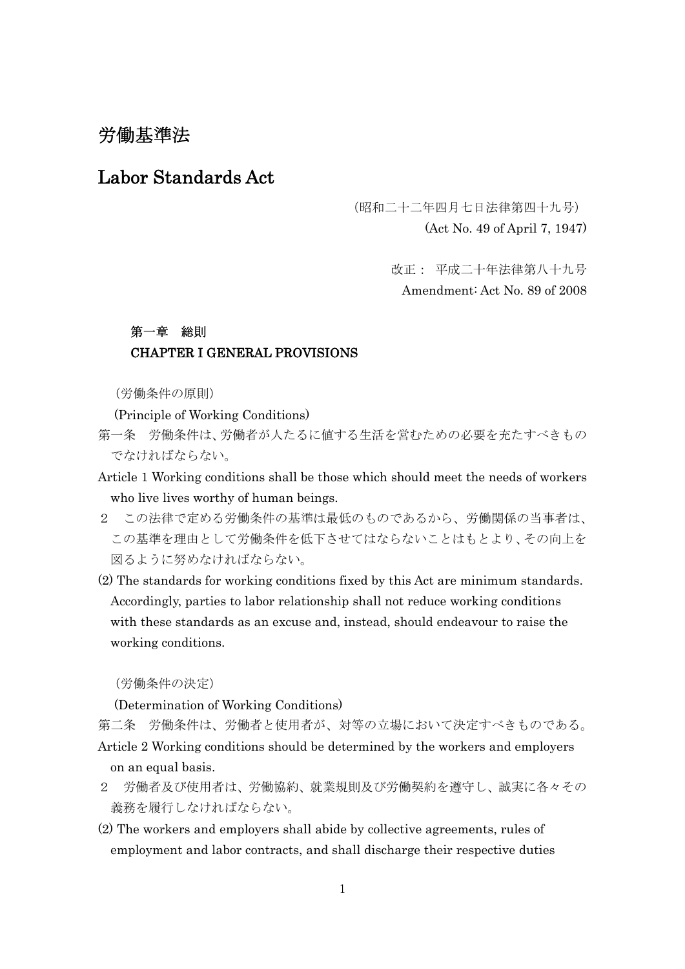# 労働基準法

# Labor Standards Act

(昭和二十二年四月七日法律第四十九号)

(Act No. 49 of April 7, 1947)

改正: 平成二十年法律第八十九号 Amendment: Act No. 89 of 2008

### 第一章 総則

### CHAPTER I GENERAL PROVISIONS

(労働条件の原則)

(Principle of Working Conditions)

- 第一条 労働条件は、労働者が人たるに値する生活を営むための必要を充たすべきもの でなければならない。
- Article 1 Working conditions shall be those which should meet the needs of workers who live lives worthy of human beings.
- 2 この法律で定める労働条件の基準は最低のものであるから、労働関係の当事者は、 この基準を理由として労働条件を低下させてはならないことはもとより、その向上を 図るように努めなければならない。
- (2) The standards for working conditions fixed by this Act are minimum standards. Accordingly, parties to labor relationship shall not reduce working conditions with these standards as an excuse and, instead, should endeavour to raise the working conditions.

(労働条件の決定)

(Determination of Working Conditions)

第二条 労働条件は、労働者と使用者が、対等の立場において決定すべきものである。 Article 2 Working conditions should be determined by the workers and employers on an equal basis.

- 2 労働者及び使用者は、労働協約、就業規則及び労働契約を遵守し、誠実に各々その 義務を履行しなければならない。
- (2) The workers and employers shall abide by collective agreements, rules of employment and labor contracts, and shall discharge their respective duties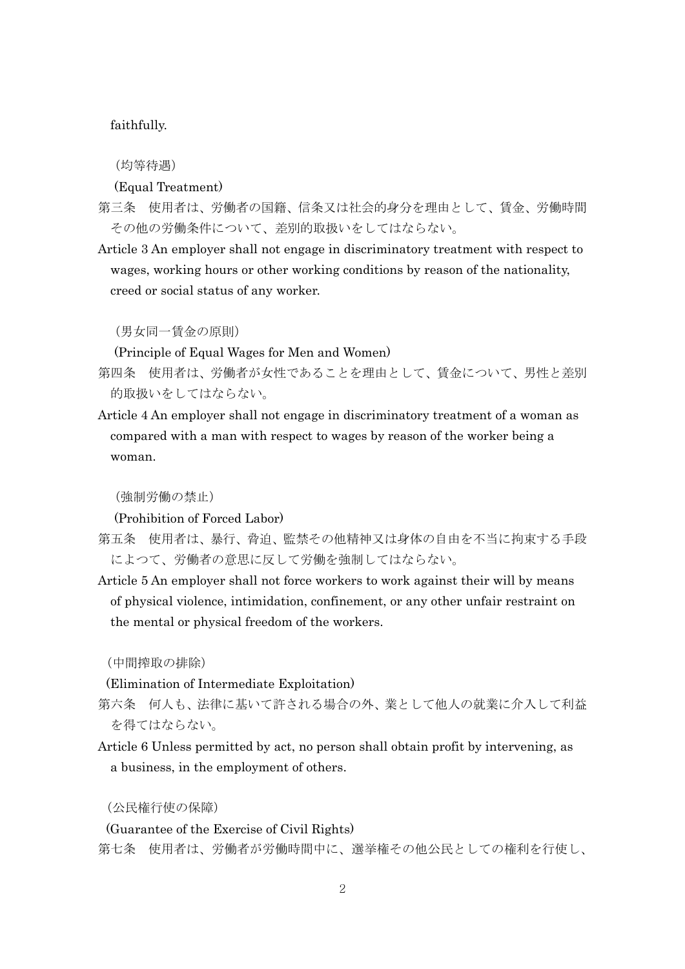#### faithfully.

(均等待遇)

#### (Equal Treatment)

- 第三条 使用者は、労働者の国籍、信条又は社会的身分を理由として、賃金、労働時間 その他の労働条件について、差別的取扱いをしてはならない。
- Article 3 An employer shall not engage in discriminatory treatment with respect to wages, working hours or other working conditions by reason of the nationality, creed or social status of any worker.

(男女同一賃金の原則)

(Principle of Equal Wages for Men and Women)

- 第四条 使用者は、労働者が女性であることを理由として、賃金について、男性と差別 的取扱いをしてはならない。
- Article 4 An employer shall not engage in discriminatory treatment of a woman as compared with a man with respect to wages by reason of the worker being a woman.

(強制労働の禁止)

(Prohibition of Forced Labor)

- 第五条 使用者は、暴行、脅迫、監禁その他精神又は身体の自由を不当に拘束する手段 によつて、労働者の意思に反して労働を強制してはならない。
- Article 5 An employer shall not force workers to work against their will by means of physical violence, intimidation, confinement, or any other unfair restraint on the mental or physical freedom of the workers.

(中間搾取の排除)

(Elimination of Intermediate Exploitation)

- 第六条 何人も、法律に基いて許される場合の外、業として他人の就業に介入して利益 を得てはならない。
- Article 6 Unless permitted by act, no person shall obtain profit by intervening, as a business, in the employment of others.

(公民権行使の保障)

(Guarantee of the Exercise of Civil Rights)

第七条 使用者は、労働者が労働時間中に、選挙権その他公民としての権利を行使し、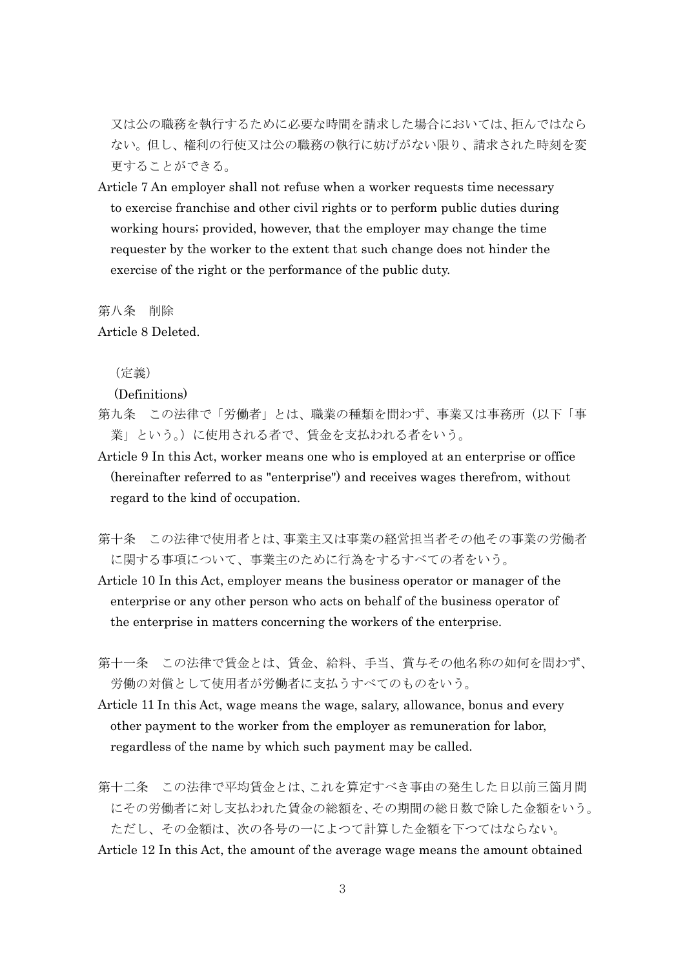又は公の職務を執行するために必要な時間を請求した場合においては、拒んではなら ない。但し、権利の行使又は公の職務の執行に妨げがない限り、請求された時刻を変 更することができる。

Article 7 An employer shall not refuse when a worker requests time necessary to exercise franchise and other civil rights or to perform public duties during working hours; provided, however, that the employer may change the time requester by the worker to the extent that such change does not hinder the exercise of the right or the performance of the public duty.

第八条 削除

Article 8 Deleted.

(定義)

### (Definitions)

- 第九条 この法律で「労働者」とは、職業の種類を問わず、事業又は事務所(以下「事 業」という。)に使用される者で、賃金を支払われる者をいう。
- Article 9 In this Act, worker means one who is employed at an enterprise or office (hereinafter referred to as "enterprise") and receives wages therefrom, without regard to the kind of occupation.
- 第十条 この法律で使用者とは、事業主又は事業の経営担当者その他その事業の労働者 に関する事項について、事業主のために行為をするすべての者をいう。
- Article 10 In this Act, employer means the business operator or manager of the enterprise or any other person who acts on behalf of the business operator of the enterprise in matters concerning the workers of the enterprise.
- 第十一条 この法律で賃金とは、賃金、給料、手当、賞与その他名称の如何を問わず、 労働の対償として使用者が労働者に支払うすべてのものをいう。
- Article 11 In this Act, wage means the wage, salary, allowance, bonus and every other payment to the worker from the employer as remuneration for labor, regardless of the name by which such payment may be called.
- 第十二条 この法律で平均賃金とは、これを算定すべき事由の発生した日以前三箇月間 にその労働者に対し支払われた賃金の総額を、その期間の総日数で除した金額をいう。 ただし、その金額は、次の各号の一によつて計算した金額を下つてはならない。 Article 12 In this Act, the amount of the average wage means the amount obtained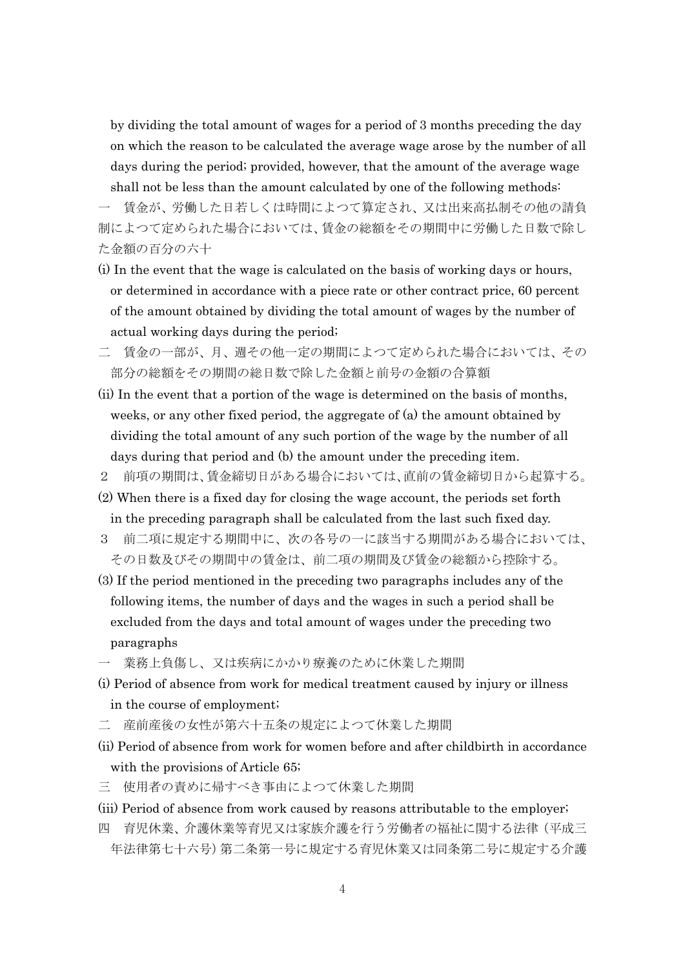by dividing the total amount of wages for a period of 3 months preceding the day on which the reason to be calculated the average wage arose by the number of all days during the period; provided, however, that the amount of the average wage shall not be less than the amount calculated by one of the following methods:

一 賃金が、労働した日若しくは時間によつて算定され、又は出来高払制その他の請負 制によつて定められた場合においては、賃金の総額をその期間中に労働した日数で除し た金額の百分の六十

- (i) In the event that the wage is calculated on the basis of working days or hours, or determined in accordance with a piece rate or other contract price, 60 percent of the amount obtained by dividing the total amount of wages by the number of actual working days during the period;
- 二 賃金の一部が、月、週その他一定の期間によつて定められた場合においては、その 部分の総額をその期間の総日数で除した金額と前号の金額の合算額
- (ii) In the event that a portion of the wage is determined on the basis of months, weeks, or any other fixed period, the aggregate of (a) the amount obtained by dividing the total amount of any such portion of the wage by the number of all days during that period and (b) the amount under the preceding item.
- 2 前項の期間は、賃金締切日がある場合においては、直前の賃金締切日から起算する。
- (2) When there is a fixed day for closing the wage account, the periods set forth in the preceding paragraph shall be calculated from the last such fixed day.
- 3 前二項に規定する期間中に、次の各号の一に該当する期間がある場合においては、 その日数及びその期間中の賃金は、前二項の期間及び賃金の総額から控除する。
- (3) If the period mentioned in the preceding two paragraphs includes any of the following items, the number of days and the wages in such a period shall be excluded from the days and total amount of wages under the preceding two paragraphs
- 業務上負傷し、又は疾病にかかり療養のために休業した期間
- (i) Period of absence from work for medical treatment caused by injury or illness in the course of employment;
- 二 産前産後の女性が第六十五条の規定によつて休業した期間
- (ii) Period of absence from work for women before and after childbirth in accordance with the provisions of Article 65;
- 三 使用者の責めに帰すべき事由によつて休業した期間
- (iii) Period of absence from work caused by reasons attributable to the employer;
- 四 育児休業、介護休業等育児又は家族介護を行う労働者の福祉に関する法律(平成三 年法律第七十六号)第二条第一号に規定する育児休業又は同条第二号に規定する介護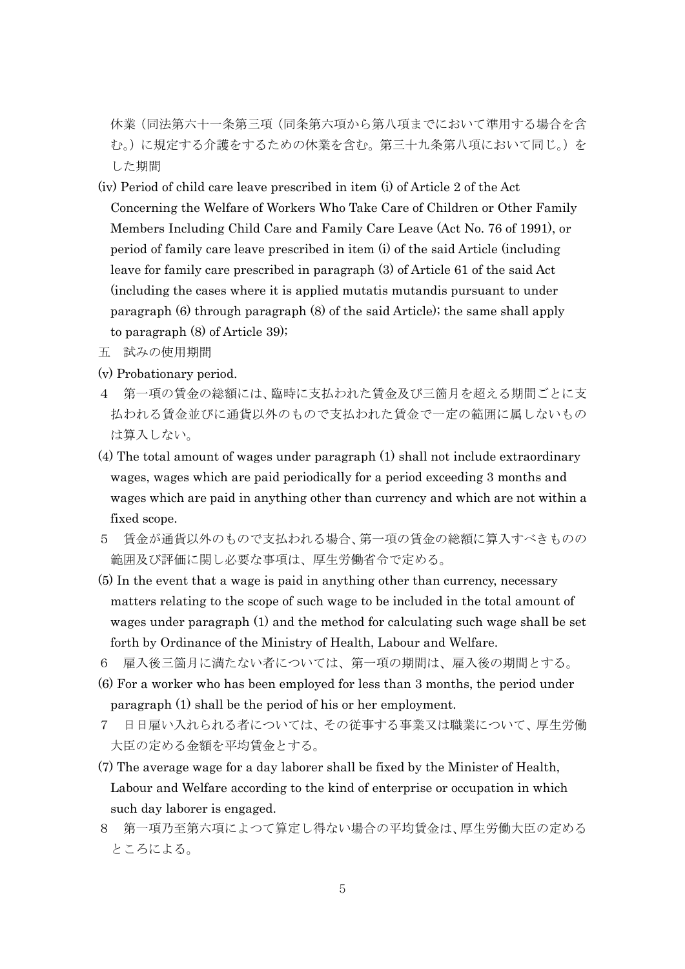休業(同法第六十一条第三項(同条第六項から第八項までにおいて準用する場合を含 む。)に規定する介護をするための休業を含む。第三十九条第八項において同じ。)を した期間

- (iv) Period of child care leave prescribed in item (i) of Article 2 of the Act Concerning the Welfare of Workers Who Take Care of Children or Other Family Members Including Child Care and Family Care Leave (Act No. 76 of 1991), or period of family care leave prescribed in item (i) of the said Article (including leave for family care prescribed in paragraph (3) of Article 61 of the said Act (including the cases where it is applied mutatis mutandis pursuant to under paragraph (6) through paragraph (8) of the said Article); the same shall apply to paragraph (8) of Article 39);
- 五 試みの使用期間
- (v) Probationary period.
- 4 第一項の賃金の総額には、臨時に支払われた賃金及び三箇月を超える期間ごとに支 払われる賃金並びに通貨以外のもので支払われた賃金で一定の範囲に属しないもの は算入しない。
- (4) The total amount of wages under paragraph (1) shall not include extraordinary wages, wages which are paid periodically for a period exceeding 3 months and wages which are paid in anything other than currency and which are not within a fixed scope.
- 5 賃金が通貨以外のもので支払われる場合、第一項の賃金の総額に算入すべきものの 範囲及び評価に関し必要な事項は、厚生労働省令で定める。
- (5) In the event that a wage is paid in anything other than currency, necessary matters relating to the scope of such wage to be included in the total amount of wages under paragraph (1) and the method for calculating such wage shall be set forth by Ordinance of the Ministry of Health, Labour and Welfare.
- 6 雇入後三箇月に満たない者については、第一項の期間は、雇入後の期間とする。
- (6) For a worker who has been employed for less than 3 months, the period under paragraph (1) shall be the period of his or her employment.
- 7 日日雇い入れられる者については、その従事する事業又は職業について、厚生労働 大臣の定める金額を平均賃金とする。
- (7) The average wage for a day laborer shall be fixed by the Minister of Health, Labour and Welfare according to the kind of enterprise or occupation in which such day laborer is engaged.
- 8 第一項乃至第六項によつて算定し得ない場合の平均賃金は、厚生労働大臣の定める ところによる。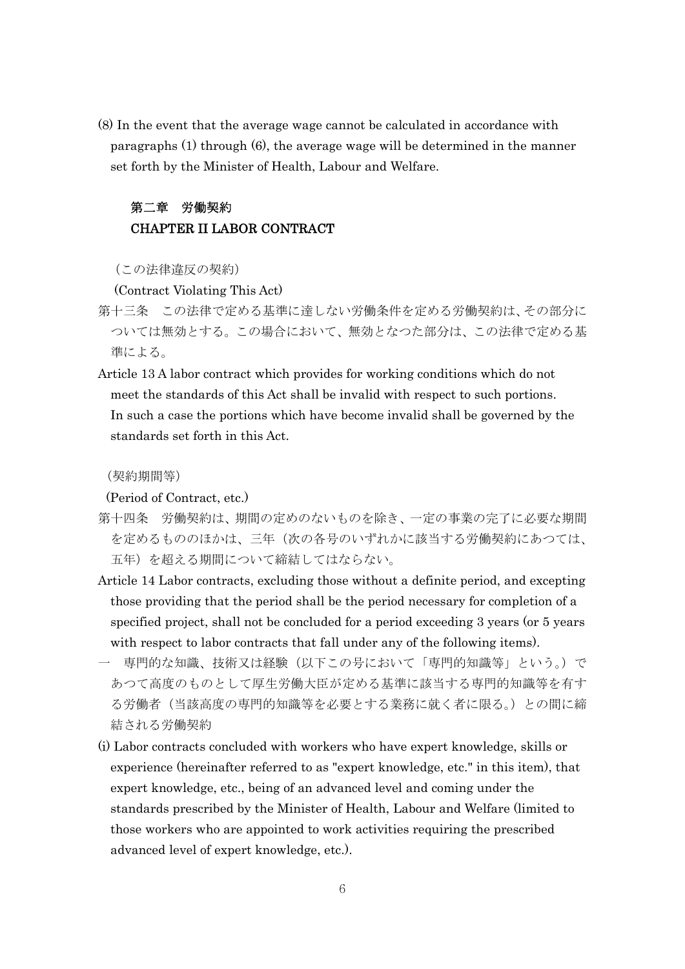(8) In the event that the average wage cannot be calculated in accordance with paragraphs (1) through (6), the average wage will be determined in the manner set forth by the Minister of Health, Labour and Welfare.

## 第二章 労働契約 CHAPTER II LABOR CONTRACT

(この法律違反の契約)

(Contract Violating This Act)

- 第十三条 この法律で定める基準に達しない労働条件を定める労働契約は、その部分に ついては無効とする。この場合において、無効となつた部分は、この法律で定める基 準による。
- Article 13 A labor contract which provides for working conditions which do not meet the standards of this Act shall be invalid with respect to such portions. In such a case the portions which have become invalid shall be governed by the standards set forth in this Act.

(契約期間等)

(Period of Contract, etc.)

- 第十四条 労働契約は、期間の定めのないものを除き、一定の事業の完了に必要な期間 を定めるもののほかは、三年(次の各号のいずれかに該当する労働契約にあつては、 五年)を超える期間について締結してはならない。
- Article 14 Labor contracts, excluding those without a definite period, and excepting those providing that the period shall be the period necessary for completion of a specified project, shall not be concluded for a period exceeding 3 years (or 5 years with respect to labor contracts that fall under any of the following items).
- 一 専門的な知識、技術又は経験(以下この号において「専門的知識等」という。)で あつて高度のものとして厚生労働大臣が定める基準に該当する専門的知識等を有す る労働者(当該高度の専門的知識等を必要とする業務に就く者に限る。)との間に締 結される労働契約
- (i) Labor contracts concluded with workers who have expert knowledge, skills or experience (hereinafter referred to as "expert knowledge, etc." in this item), that expert knowledge, etc., being of an advanced level and coming under the standards prescribed by the Minister of Health, Labour and Welfare (limited to those workers who are appointed to work activities requiring the prescribed advanced level of expert knowledge, etc.).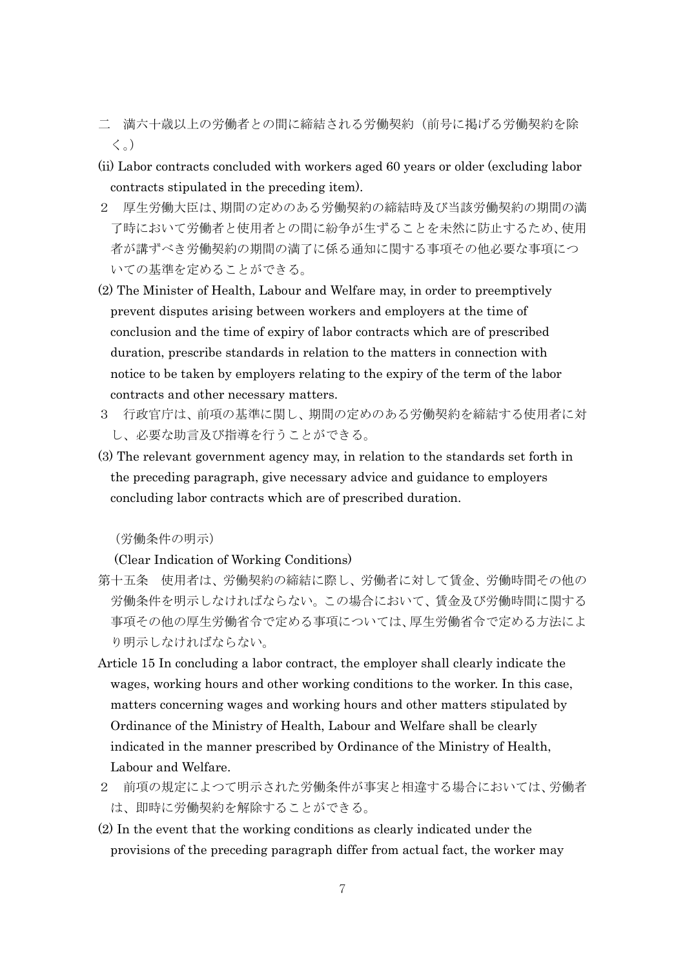- 二 満六十歳以上の労働者との間に締結される労働契約(前号に掲げる労働契約を除 く。)
- (ii) Labor contracts concluded with workers aged 60 years or older (excluding labor contracts stipulated in the preceding item).
- 2 厚生労働大臣は、期間の定めのある労働契約の締結時及び当該労働契約の期間の満 了時において労働者と使用者との間に紛争が生ずることを未然に防止するため、使用 者が講ずべき労働契約の期間の満了に係る通知に関する事項その他必要な事項につ いての基準を定めることができる。
- (2) The Minister of Health, Labour and Welfare may, in order to preemptively prevent disputes arising between workers and employers at the time of conclusion and the time of expiry of labor contracts which are of prescribed duration, prescribe standards in relation to the matters in connection with notice to be taken by employers relating to the expiry of the term of the labor contracts and other necessary matters.
- 3 行政官庁は、前項の基準に関し、期間の定めのある労働契約を締結する使用者に対 し、必要な助言及び指導を行うことができる。
- (3) The relevant government agency may, in relation to the standards set forth in the preceding paragraph, give necessary advice and guidance to employers concluding labor contracts which are of prescribed duration.

(労働条件の明示)

(Clear Indication of Working Conditions)

- 第十五条 使用者は、労働契約の締結に際し、労働者に対して賃金、労働時間その他の 労働条件を明示しなければならない。この場合において、賃金及び労働時間に関する 事項その他の厚生労働省令で定める事項については、厚生労働省令で定める方法によ り明示しなければならない。
- Article 15 In concluding a labor contract, the employer shall clearly indicate the wages, working hours and other working conditions to the worker. In this case, matters concerning wages and working hours and other matters stipulated by Ordinance of the Ministry of Health, Labour and Welfare shall be clearly indicated in the manner prescribed by Ordinance of the Ministry of Health, Labour and Welfare.
- 2 前項の規定によつて明示された労働条件が事実と相違する場合においては、労働者 は、即時に労働契約を解除することができる。
- (2) In the event that the working conditions as clearly indicated under the provisions of the preceding paragraph differ from actual fact, the worker may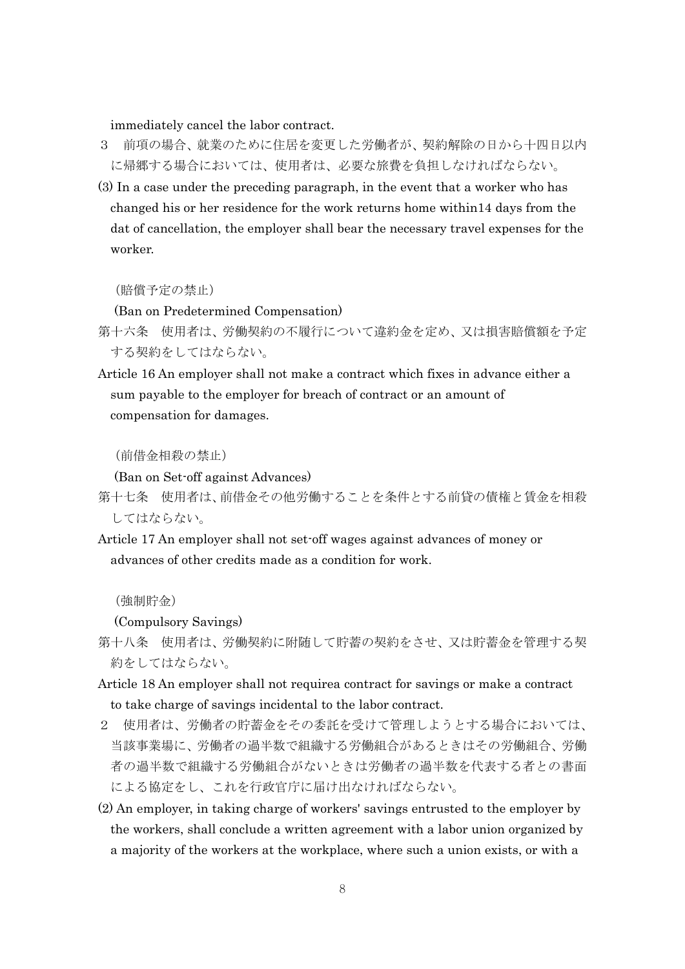immediately cancel the labor contract.

- 3 前項の場合、就業のために住居を変更した労働者が、契約解除の日から十四日以内 に帰郷する場合においては、使用者は、必要な旅費を負担しなければならない。
- (3) In a case under the preceding paragraph, in the event that a worker who has changed his or her residence for the work returns home within14 days from the dat of cancellation, the employer shall bear the necessary travel expenses for the worker.

(賠償予定の禁止)

(Ban on Predetermined Compensation)

- 第十六条 使用者は、労働契約の不履行について違約金を定め、又は損害賠償額を予定 する契約をしてはならない。
- Article 16 An employer shall not make a contract which fixes in advance either a sum payable to the employer for breach of contract or an amount of compensation for damages.

(前借金相殺の禁止)

(Ban on Set-off against Advances)

- 第十七条 使用者は、前借金その他労働することを条件とする前貸の債権と賃金を相殺 してはならない。
- Article 17 An employer shall not set-off wages against advances of money or advances of other credits made as a condition for work.

(強制貯金)

(Compulsory Savings)

- 第十八条 使用者は、労働契約に附随して貯蓄の契約をさせ、又は貯蓄金を管理する契 約をしてはならない。
- Article 18 An employer shall not requirea contract for savings or make a contract to take charge of savings incidental to the labor contract.
- 2 使用者は、労働者の貯蓄金をその委託を受けて管理しようとする場合においては、 当該事業場に、労働者の過半数で組織する労働組合があるときはその労働組合、労働 者の過半数で組織する労働組合がないときは労働者の過半数を代表する者との書面 による協定をし、これを行政官庁に届け出なければならない。
- (2) An employer, in taking charge of workers' savings entrusted to the employer by the workers, shall conclude a written agreement with a labor union organized by a majority of the workers at the workplace, where such a union exists, or with a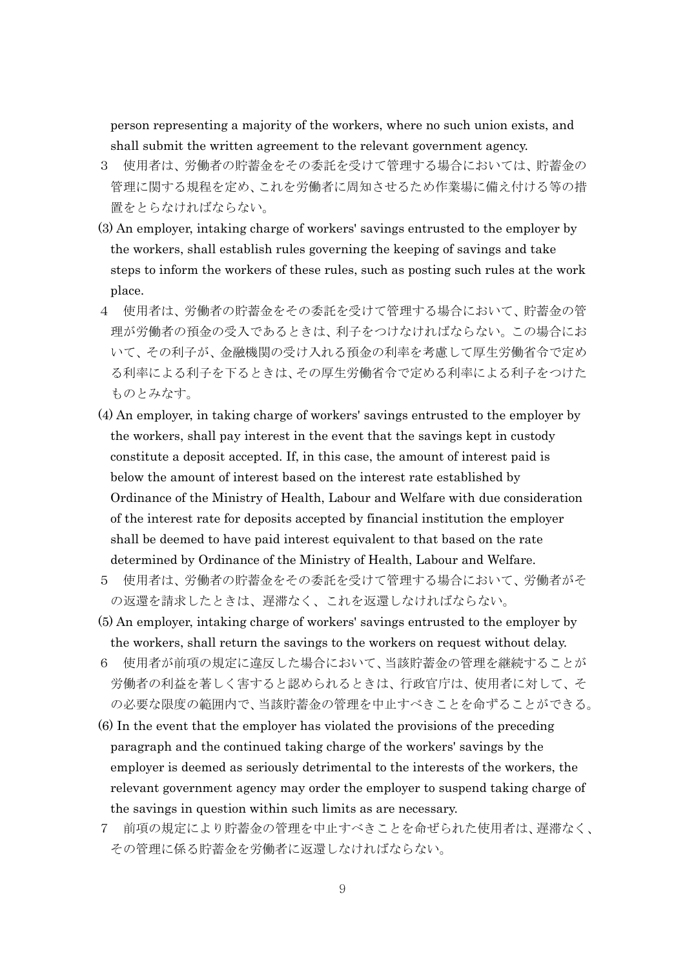person representing a majority of the workers, where no such union exists, and shall submit the written agreement to the relevant government agency.

- 3 使用者は、労働者の貯蓄金をその委託を受けて管理する場合においては、貯蓄金の 管理に関する規程を定め、これを労働者に周知させるため作業場に備え付ける等の措 置をとらなければならない。
- (3) An employer, intaking charge of workers' savings entrusted to the employer by the workers, shall establish rules governing the keeping of savings and take steps to inform the workers of these rules, such as posting such rules at the work place.
- 4 使用者は、労働者の貯蓄金をその委託を受けて管理する場合において、貯蓄金の管 理が労働者の預金の受入であるときは、利子をつけなければならない。この場合にお いて、その利子が、金融機関の受け入れる預金の利率を考慮して厚生労働省令で定め る利率による利子を下るときは、その厚生労働省令で定める利率による利子をつけた ものとみなす。
- (4) An employer, in taking charge of workers' savings entrusted to the employer by the workers, shall pay interest in the event that the savings kept in custody constitute a deposit accepted. If, in this case, the amount of interest paid is below the amount of interest based on the interest rate established by Ordinance of the Ministry of Health, Labour and Welfare with due consideration of the interest rate for deposits accepted by financial institution the employer shall be deemed to have paid interest equivalent to that based on the rate determined by Ordinance of the Ministry of Health, Labour and Welfare.
- 5 使用者は、労働者の貯蓄金をその委託を受けて管理する場合において、労働者がそ の返還を請求したときは、遅滞なく、これを返還しなければならない。
- (5) An employer, intaking charge of workers' savings entrusted to the employer by the workers, shall return the savings to the workers on request without delay.
- 6 使用者が前項の規定に違反した場合において、当該貯蓄金の管理を継続することが 労働者の利益を著しく害すると認められるときは、行政官庁は、使用者に対して、そ の必要な限度の範囲内で、当該貯蓄金の管理を中止すべきことを命ずることができる。
- (6) In the event that the employer has violated the provisions of the preceding paragraph and the continued taking charge of the workers' savings by the employer is deemed as seriously detrimental to the interests of the workers, the relevant government agency may order the employer to suspend taking charge of the savings in question within such limits as are necessary.
- 7 前項の規定により貯蓄金の管理を中止すべきことを命ぜられた使用者は、遅滞なく、 その管理に係る貯蓄金を労働者に返還しなければならない。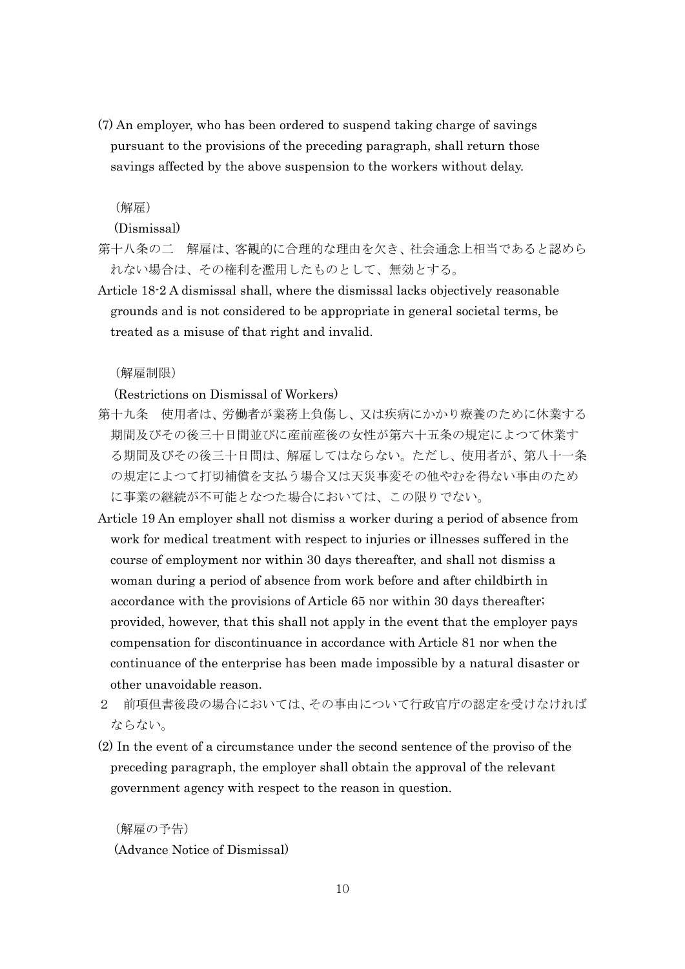(7) An employer, who has been ordered to suspend taking charge of savings pursuant to the provisions of the preceding paragraph, shall return those savings affected by the above suspension to the workers without delay.

#### (解雇)

#### (Dismissal)

- 第十八条の二 解雇は、客観的に合理的な理由を欠き、社会通念上相当であると認めら れない場合は、その権利を濫用したものとして、無効とする。
- Article 18-2 A dismissal shall, where the dismissal lacks objectively reasonable grounds and is not considered to be appropriate in general societal terms, be treated as a misuse of that right and invalid.

#### (解雇制限)

#### (Restrictions on Dismissal of Workers)

- 第十九条 使用者は、労働者が業務上負傷し、又は疾病にかかり療養のために休業する 期間及びその後三十日間並びに産前産後の女性が第六十五条の規定によつて休業す る期間及びその後三十日間は、解雇してはならない。ただし、使用者が、第八十一条 の規定によつて打切補償を支払う場合又は天災事変その他やむを得ない事由のため に事業の継続が不可能となつた場合においては、この限りでない。
- Article 19 An employer shall not dismiss a worker during a period of absence from work for medical treatment with respect to injuries or illnesses suffered in the course of employment nor within 30 days thereafter, and shall not dismiss a woman during a period of absence from work before and after childbirth in accordance with the provisions of Article 65 nor within 30 days thereafter; provided, however, that this shall not apply in the event that the employer pays compensation for discontinuance in accordance with Article 81 nor when the continuance of the enterprise has been made impossible by a natural disaster or other unavoidable reason.
- 2 前項但書後段の場合においては、その事由について行政官庁の認定を受けなければ ならない。
- (2) In the event of a circumstance under the second sentence of the proviso of the preceding paragraph, the employer shall obtain the approval of the relevant government agency with respect to the reason in question.

(解雇の予告) (Advance Notice of Dismissal)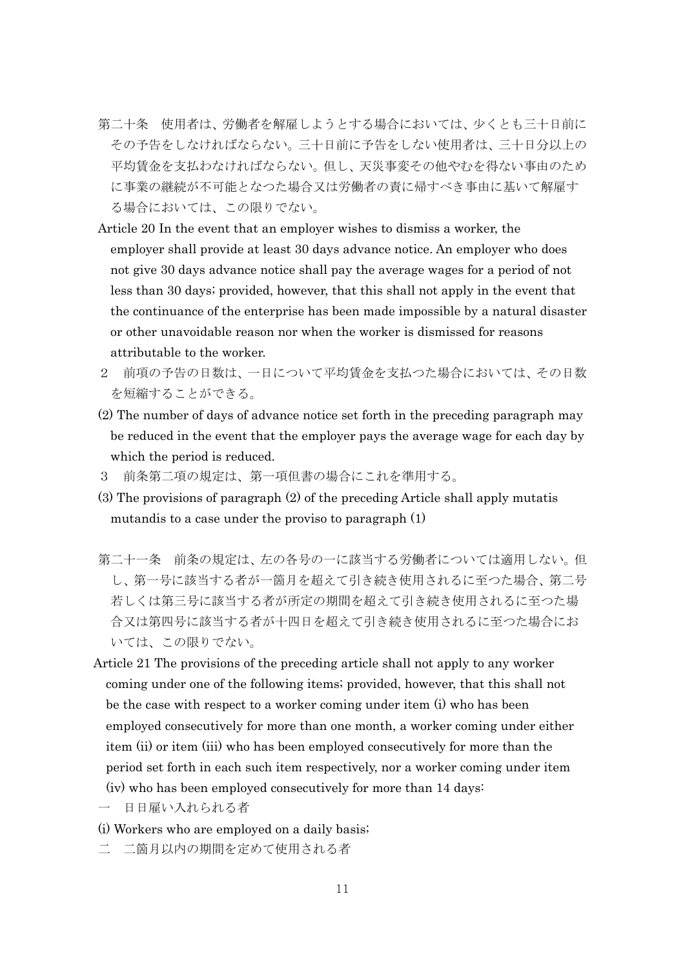- 第二十条 使用者は、労働者を解雇しようとする場合においては、少くとも三十日前に その予告をしなければならない。三十日前に予告をしない使用者は、三十日分以上の 平均賃金を支払わなければならない。但し、天災事変その他やむを得ない事由のため に事業の継続が不可能となつた場合又は労働者の責に帰すべき事由に基いて解雇す る場合においては、この限りでない。
- Article 20 In the event that an employer wishes to dismiss a worker, the employer shall provide at least 30 days advance notice. An employer who does not give 30 days advance notice shall pay the average wages for a period of not less than 30 days; provided, however, that this shall not apply in the event that the continuance of the enterprise has been made impossible by a natural disaster or other unavoidable reason nor when the worker is dismissed for reasons attributable to the worker.
- 2 前項の予告の日数は、一日について平均賃金を支払つた場合においては、その日数 を短縮することができる。
- (2) The number of days of advance notice set forth in the preceding paragraph may be reduced in the event that the employer pays the average wage for each day by which the period is reduced.
- 3 前条第二項の規定は、第一項但書の場合にこれを準用する。
- (3) The provisions of paragraph (2) of the preceding Article shall apply mutatis mutandis to a case under the proviso to paragraph (1)
- 第二十一条 前条の規定は、左の各号の一に該当する労働者については適用しない。但 し、第一号に該当する者が一箇月を超えて引き続き使用されるに至つた場合、第二号 若しくは第三号に該当する者が所定の期間を超えて引き続き使用されるに至つた場 合又は第四号に該当する者が十四日を超えて引き続き使用されるに至つた場合にお いては、この限りでない。
- Article 21 The provisions of the preceding article shall not apply to any worker coming under one of the following items; provided, however, that this shall not be the case with respect to a worker coming under item (i) who has been employed consecutively for more than one month, a worker coming under either item (ii) or item (iii) who has been employed consecutively for more than the period set forth in each such item respectively, nor a worker coming under item (iv) who has been employed consecutively for more than 14 days:
- 一 日日雇い入れられる者
- (i) Workers who are employed on a daily basis;
- 二 二箇月以内の期間を定めて使用される者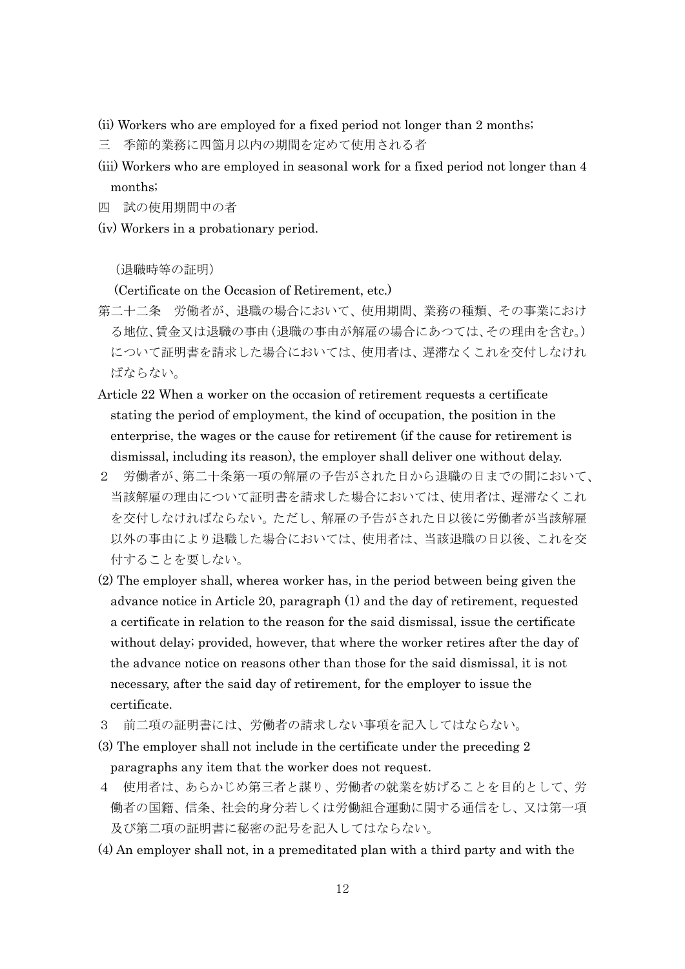- (ii) Workers who are employed for a fixed period not longer than 2 months;
- 三 季節的業務に四箇月以内の期間を定めて使用される者
- (iii) Workers who are employed in seasonal work for a fixed period not longer than 4 months;
- 四 試の使用期間中の者
- (iv) Workers in a probationary period.

#### (退職時等の証明)

#### (Certificate on the Occasion of Retirement, etc.)

- 第二十二条 労働者が、退職の場合において、使用期間、業務の種類、その事業におけ る地位、賃金又は退職の事由(退職の事由が解雇の場合にあつては、その理由を含む。) について証明書を請求した場合においては、使用者は、遅滞なくこれを交付しなけれ ばならない。
- Article 22 When a worker on the occasion of retirement requests a certificate stating the period of employment, the kind of occupation, the position in the enterprise, the wages or the cause for retirement (if the cause for retirement is dismissal, including its reason), the employer shall deliver one without delay.
- 2 労働者が、第二十条第一項の解雇の予告がされた日から退職の日までの間において、 当該解雇の理由について証明書を請求した場合においては、使用者は、遅滞なくこれ を交付しなければならない。ただし、解雇の予告がされた日以後に労働者が当該解雇 以外の事由により退職した場合においては、使用者は、当該退職の日以後、これを交 付することを要しない。
- (2) The employer shall, wherea worker has, in the period between being given the advance notice in Article 20, paragraph (1) and the day of retirement, requested a certificate in relation to the reason for the said dismissal, issue the certificate without delay; provided, however, that where the worker retires after the day of the advance notice on reasons other than those for the said dismissal, it is not necessary, after the said day of retirement, for the employer to issue the certificate.
- 3 前二項の証明書には、労働者の請求しない事項を記入してはならない。
- (3) The employer shall not include in the certificate under the preceding 2 paragraphs any item that the worker does not request.
- 4 使用者は、あらかじめ第三者と謀り、労働者の就業を妨げることを目的として、労 働者の国籍、信条、社会的身分若しくは労働組合運動に関する通信をし、又は第一項 及び第二項の証明書に秘密の記号を記入してはならない。
- (4) An employer shall not, in a premeditated plan with a third party and with the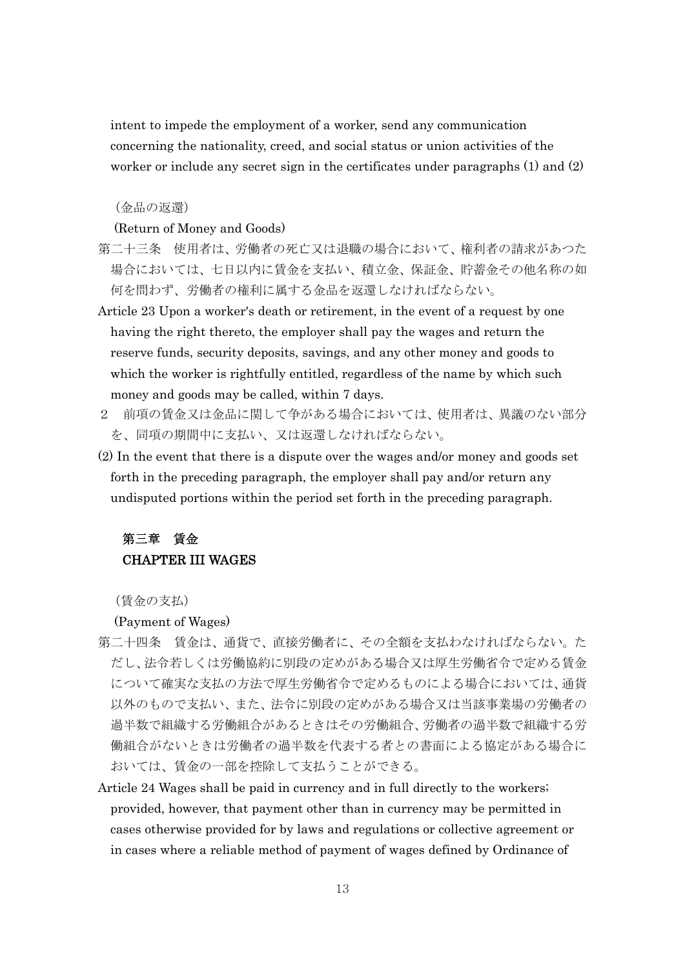intent to impede the employment of a worker, send any communication concerning the nationality, creed, and social status or union activities of the worker or include any secret sign in the certificates under paragraphs (1) and (2)

#### (金品の返還)

#### (Return of Money and Goods)

- 第二十三条 使用者は、労働者の死亡又は退職の場合において、権利者の請求があつた 場合においては、七日以内に賃金を支払い、積立金、保証金、貯蓄金その他名称の如 何を問わず、労働者の権利に属する金品を返還しなければならない。
- Article 23 Upon a worker's death or retirement, in the event of a request by one having the right thereto, the employer shall pay the wages and return the reserve funds, security deposits, savings, and any other money and goods to which the worker is rightfully entitled, regardless of the name by which such money and goods may be called, within 7 days.
- 2 前項の賃金又は金品に関して争がある場合においては、使用者は、異議のない部分 を、同項の期間中に支払い、又は返還しなければならない。
- (2) In the event that there is a dispute over the wages and/or money and goods set forth in the preceding paragraph, the employer shall pay and/or return any undisputed portions within the period set forth in the preceding paragraph.

### 第三章 賃金 CHAPTER III WAGES

(賃金の支払)

(Payment of Wages)

- 第二十四条 賃金は、通貨で、直接労働者に、その全額を支払わなければならない。た だし、法令若しくは労働協約に別段の定めがある場合又は厚生労働省令で定める賃金 について確実な支払の方法で厚生労働省令で定めるものによる場合においては、通貨 以外のもので支払い、また、法令に別段の定めがある場合又は当該事業場の労働者の 過半数で組織する労働組合があるときはその労働組合、労働者の過半数で組織する労 働組合がないときは労働者の過半数を代表する者との書面による協定がある場合に おいては、賃金の一部を控除して支払うことができる。
- Article 24 Wages shall be paid in currency and in full directly to the workers; provided, however, that payment other than in currency may be permitted in cases otherwise provided for by laws and regulations or collective agreement or in cases where a reliable method of payment of wages defined by Ordinance of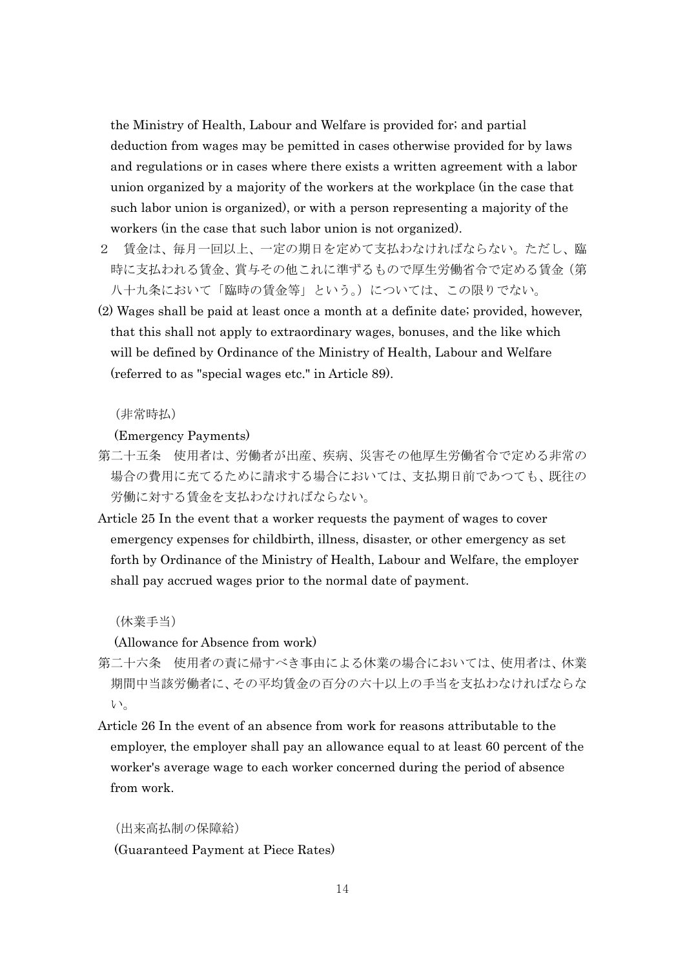the Ministry of Health, Labour and Welfare is provided for; and partial deduction from wages may be pemitted in cases otherwise provided for by laws and regulations or in cases where there exists a written agreement with a labor union organized by a majority of the workers at the workplace (in the case that such labor union is organized), or with a person representing a majority of the workers (in the case that such labor union is not organized).

- 2 賃金は、毎月一回以上、一定の期日を定めて支払わなければならない。ただし、臨 時に支払われる賃金、賞与その他これに準ずるもので厚生労働省令で定める賃金(第 八十九条において「臨時の賃金等」という。)については、この限りでない。
- (2) Wages shall be paid at least once a month at a definite date; provided, however, that this shall not apply to extraordinary wages, bonuses, and the like which will be defined by Ordinance of the Ministry of Health, Labour and Welfare (referred to as "special wages etc." in Article 89).

#### (非常時払)

(Emergency Payments)

- 第二十五条 使用者は、労働者が出産、疾病、災害その他厚生労働省令で定める非常の 場合の費用に充てるために請求する場合においては、支払期日前であつても、既往の 労働に対する賃金を支払わなければならない。
- Article 25 In the event that a worker requests the payment of wages to cover emergency expenses for childbirth, illness, disaster, or other emergency as set forth by Ordinance of the Ministry of Health, Labour and Welfare, the employer shall pay accrued wages prior to the normal date of payment.

(休業手当)

(Allowance for Absence from work)

- 第二十六条 使用者の責に帰すべき事由による休業の場合においては、使用者は、休業 期間中当該労働者に、その平均賃金の百分の六十以上の手当を支払わなければならな い。
- Article 26 In the event of an absence from work for reasons attributable to the employer, the employer shall pay an allowance equal to at least 60 percent of the worker's average wage to each worker concerned during the period of absence from work.

(出来高払制の保障給) (Guaranteed Payment at Piece Rates)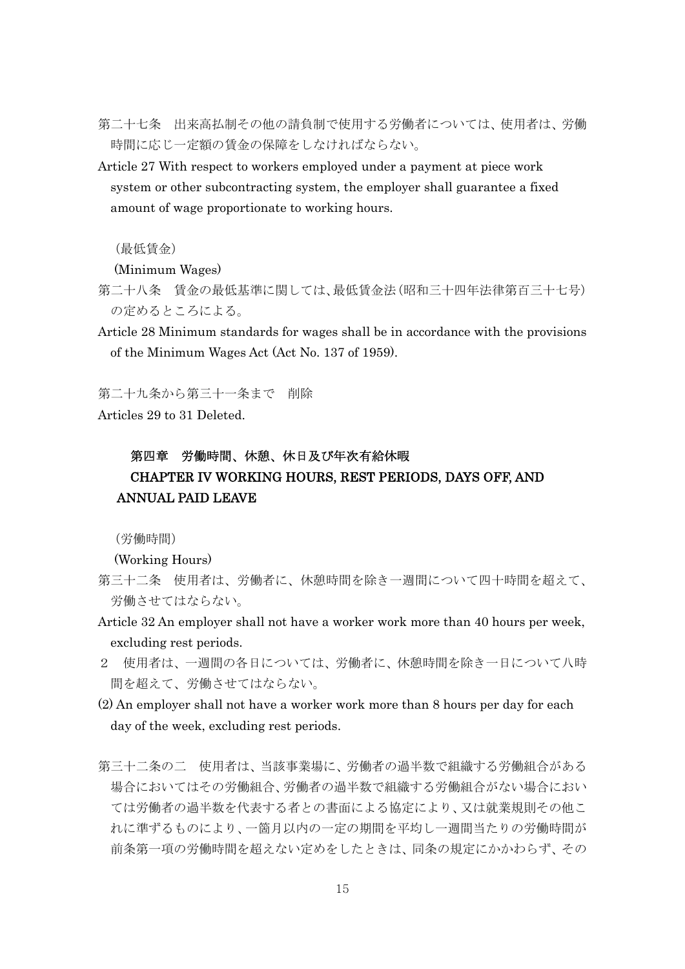- 第二十七条 出来高払制その他の請負制で使用する労働者については、使用者は、労働 時間に応じ一定額の賃金の保障をしなければならない。
- Article 27 With respect to workers employed under a payment at piece work system or other subcontracting system, the employer shall guarantee a fixed amount of wage proportionate to working hours.

(最低賃金)

(Minimum Wages)

- 第二十八条 賃金の最低基準に関しては、最低賃金法(昭和三十四年法律第百三十七号) の定めるところによる。
- Article 28 Minimum standards for wages shall be in accordance with the provisions of the Minimum Wages Act (Act No. 137 of 1959).

第二十九条から第三十一条まで 削除

Articles 29 to 31 Deleted.

## 第四章 労働時間、休憩、休日及び年次有給休暇 CHAPTER IV WORKING HOURS, REST PERIODS, DAYS OFF, AND ANNUAL PAID LEAVE

(労働時間)

(Working Hours)

- 第三十二条 使用者は、労働者に、休憩時間を除き一週間について四十時間を超えて、 労働させてはならない。
- Article 32 An employer shall not have a worker work more than 40 hours per week, excluding rest periods.
- 2 使用者は、一週間の各日については、労働者に、休憩時間を除き一日について八時 間を超えて、労働させてはならない。
- (2) An employer shall not have a worker work more than 8 hours per day for each day of the week, excluding rest periods.
- 第三十二条の二 使用者は、当該事業場に、労働者の過半数で組織する労働組合がある 場合においてはその労働組合、労働者の過半数で組織する労働組合がない場合におい ては労働者の過半数を代表する者との書面による協定により、又は就業規則その他こ れに準ずるものにより、一箇月以内の一定の期間を平均し一週間当たりの労働時間が 前条第一項の労働時間を超えない定めをしたときは、同条の規定にかかわらず、その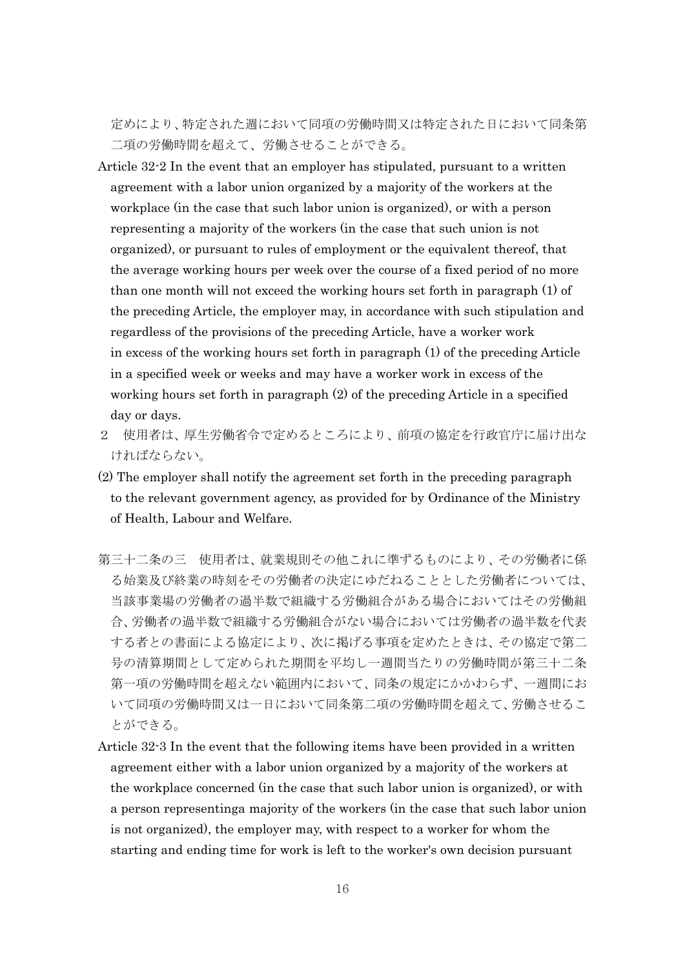定めにより、特定された週において同項の労働時間又は特定された日において同条第 二項の労働時間を超えて、労働させることができる。

- Article 32-2 In the event that an employer has stipulated, pursuant to a written agreement with a labor union organized by a majority of the workers at the workplace (in the case that such labor union is organized), or with a person representing a majority of the workers (in the case that such union is not organized), or pursuant to rules of employment or the equivalent thereof, that the average working hours per week over the course of a fixed period of no more than one month will not exceed the working hours set forth in paragraph (1) of the preceding Article, the employer may, in accordance with such stipulation and regardless of the provisions of the preceding Article, have a worker work in excess of the working hours set forth in paragraph (1) of the preceding Article in a specified week or weeks and may have a worker work in excess of the working hours set forth in paragraph (2) of the preceding Article in a specified day or days.
- 2 使用者は、厚生労働省令で定めるところにより、前項の協定を行政官庁に届け出な ければならない。
- (2) The employer shall notify the agreement set forth in the preceding paragraph to the relevant government agency, as provided for by Ordinance of the Ministry of Health, Labour and Welfare.
- 第三十二条の三 使用者は、就業規則その他これに準ずるものにより、その労働者に係 る始業及び終業の時刻をその労働者の決定にゆだねることとした労働者については、 当該事業場の労働者の過半数で組織する労働組合がある場合においてはその労働組 合、労働者の過半数で組織する労働組合がない場合においては労働者の過半数を代表 する者との書面による協定により、次に掲げる事項を定めたときは、その協定で第二 号の清算期間として定められた期間を平均し一週間当たりの労働時間が第三十二条 第一項の労働時間を超えない範囲内において、同条の規定にかかわらず、一週間にお いて同項の労働時間又は一日において同条第二項の労働時間を超えて、労働させるこ とができる。
- Article 32-3 In the event that the following items have been provided in a written agreement either with a labor union organized by a majority of the workers at the workplace concerned (in the case that such labor union is organized), or with a person representinga majority of the workers (in the case that such labor union is not organized), the employer may, with respect to a worker for whom the starting and ending time for work is left to the worker's own decision pursuant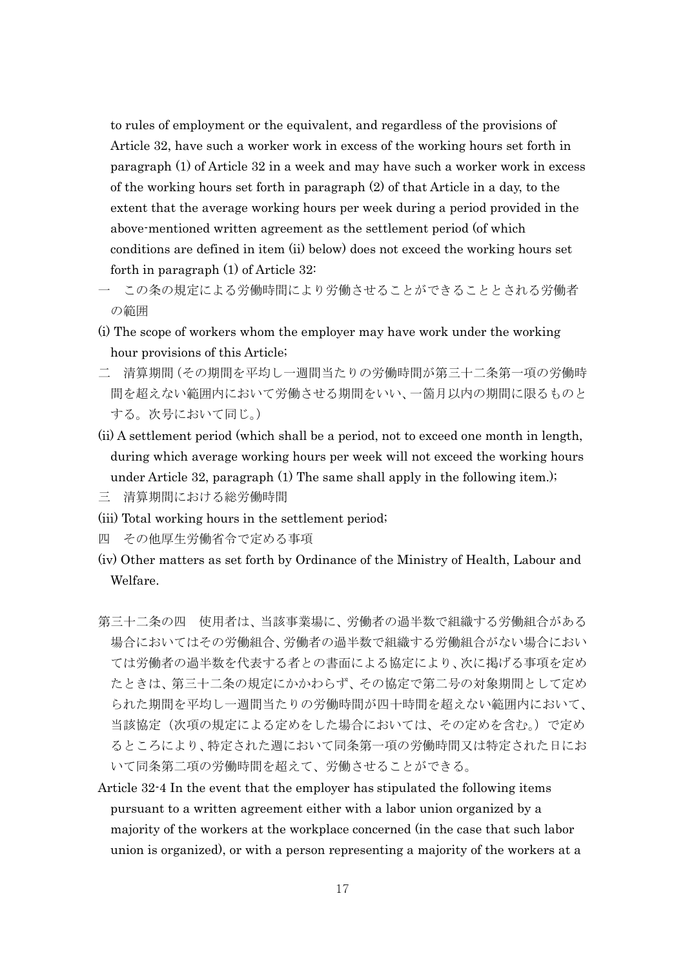to rules of employment or the equivalent, and regardless of the provisions of Article 32, have such a worker work in excess of the working hours set forth in paragraph (1) of Article 32 in a week and may have such a worker work in excess of the working hours set forth in paragraph (2) of that Article in a day, to the extent that the average working hours per week during a period provided in the above-mentioned written agreement as the settlement period (of which conditions are defined in item (ii) below) does not exceed the working hours set forth in paragraph (1) of Article 32:

- この条の規定による労働時間により労働させることができることとおれる労働者 の範囲
- (i) The scope of workers whom the employer may have work under the working hour provisions of this Article;
- 二 清算期間(その期間を平均し一週間当たりの労働時間が第三十二条第一項の労働時 間を超えない範囲内において労働させる期間をいい、一箇月以内の期間に限るものと する。次号において同じ。)
- (ii) A settlement period (which shall be a period, not to exceed one month in length, during which average working hours per week will not exceed the working hours under Article 32, paragraph (1) The same shall apply in the following item.);
- 三 清算期間における総労働時間
- (iii) Total working hours in the settlement period;
- 四 その他厚生労働省令で定める事項
- (iv) Other matters as set forth by Ordinance of the Ministry of Health, Labour and Welfare.
- 第三十二条の四 使用者は、当該事業場に、労働者の過半数で組織する労働組合がある 場合においてはその労働組合、労働者の過半数で組織する労働組合がない場合におい ては労働者の過半数を代表する者との書面による協定により、次に掲げる事項を定め たときは、第三十二条の規定にかかわらず、その協定で第二号の対象期間として定め られた期間を平均し一週間当たりの労働時間が四十時間を超えない範囲内において、 当該協定(次項の規定による定めをした場合においては、その定めを含む。)で定め るところにより、特定された週において同条第一項の労働時間又は特定された日にお いて同条第二項の労働時間を超えて、労働させることができる。
- Article 32-4 In the event that the employer has stipulated the following items pursuant to a written agreement either with a labor union organized by a majority of the workers at the workplace concerned (in the case that such labor union is organized), or with a person representing a majority of the workers at a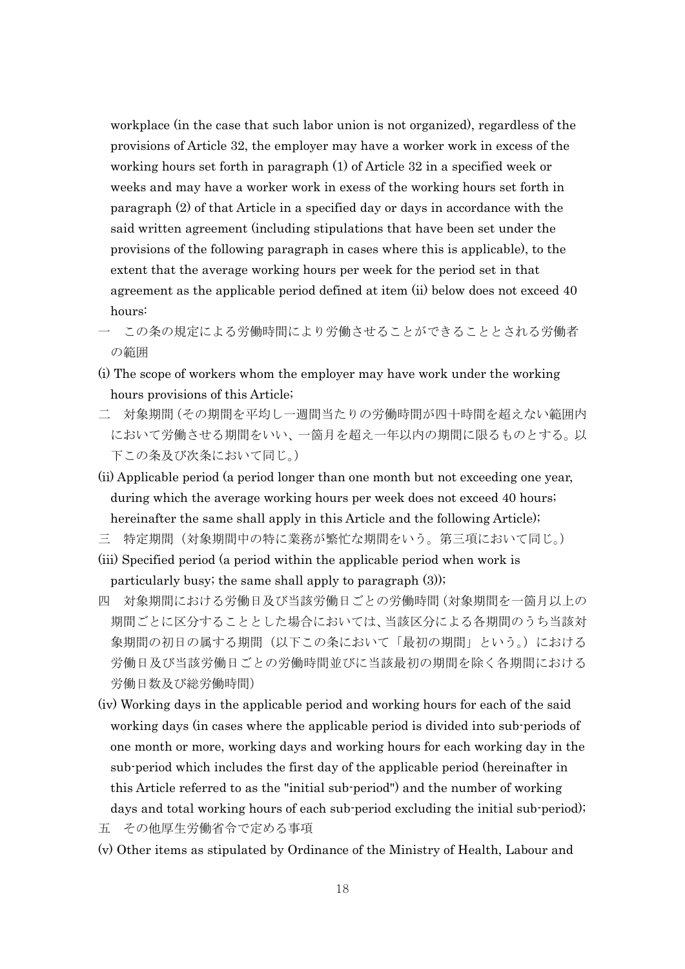workplace (in the case that such labor union is not organized), regardless of the provisions of Article 32, the employer may have a worker work in excess of the working hours set forth in paragraph (1) of Article 32 in a specified week or weeks and may have a worker work in exess of the working hours set forth in paragraph (2) of that Article in a specified day or days in accordance with the said written agreement (including stipulations that have been set under the provisions of the following paragraph in cases where this is applicable), to the extent that the average working hours per week for the period set in that agreement as the applicable period defined at item (ii) below does not exceed 40 hours:

- この条の規定による労働時間により労働させることができることとおれる労働者 の範囲
- (i) The scope of workers whom the employer may have work under the working hours provisions of this Article;
- 二 対象期間(その期間を平均し一週間当たりの労働時間が四十時間を超えない範囲内 において労働させる期間をいい、一箇月を超え一年以内の期間に限るものとする。以 下この条及び次条において同じ。)
- (ii) Applicable period (a period longer than one month but not exceeding one year, during which the average working hours per week does not exceed 40 hours; hereinafter the same shall apply in this Article and the following Article);
- 三 特定期間(対象期間中の特に業務が繁忙な期間をいう。第三項において同じ。)
- (iii) Specified period (a period within the applicable period when work is particularly busy; the same shall apply to paragraph (3));
- 四 対象期間における労働日及び当該労働日ごとの労働時間(対象期間を一箇月以上の 期間ごとに区分することとした場合においては、当該区分による各期間のうち当該対 象期間の初日の属する期間(以下この条において「最初の期間」という。)における 労働日及び当該労働日ごとの労働時間並びに当該最初の期間を除く各期間における 労働日数及び総労働時間)
- (iv) Working days in the applicable period and working hours for each of the said working days (in cases where the applicable period is divided into sub-periods of one month or more, working days and working hours for each working day in the sub-period which includes the first day of the applicable period (hereinafter in this Article referred to as the "initial sub-period") and the number of working days and total working hours of each sub-period excluding the initial sub-period);
- 五 その他厚生労働省令で定める事項
- (v) Other items as stipulated by Ordinance of the Ministry of Health, Labour and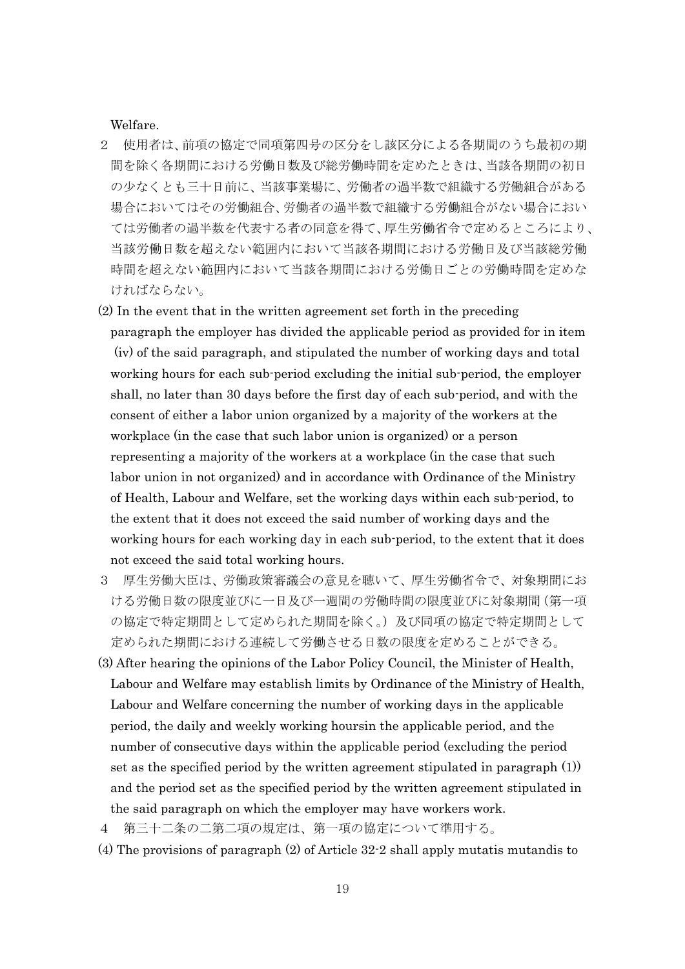Welfare.

- 2 使用者は、前項の協定で同項第四号の区分をし該区分による各期間のうち最初の期 間を除く各期間における労働日数及び総労働時間を定めたときは、当該各期間の初日 の少なくとも三十日前に、当該事業場に、労働者の過半数で組織する労働組合がある 場合においてはその労働組合、労働者の過半数で組織する労働組合がない場合におい ては労働者の過半数を代表する者の同意を得て、厚生労働省令で定めるところにより、 当該労働日数を超えない範囲内において当該各期間における労働日及び当該総労働 時間を超えない範囲内において当該各期間における労働日ごとの労働時間を定めな ければならない。
- (2) In the event that in the written agreement set forth in the preceding paragraph the employer has divided the applicable period as provided for in item (iv) of the said paragraph, and stipulated the number of working days and total working hours for each sub-period excluding the initial sub-period, the employer shall, no later than 30 days before the first day of each sub-period, and with the consent of either a labor union organized by a majority of the workers at the workplace (in the case that such labor union is organized) or a person representing a majority of the workers at a workplace (in the case that such labor union in not organized) and in accordance with Ordinance of the Ministry of Health, Labour and Welfare, set the working days within each sub-period, to the extent that it does not exceed the said number of working days and the working hours for each working day in each sub-period, to the extent that it does not exceed the said total working hours.
- 3 厚生労働大臣は、労働政策審議会の意見を聴いて、厚生労働省令で、対象期間にお ける労働日数の限度並びに一日及び一週間の労働時間の限度並びに対象期間(第一項 の協定で特定期間として定められた期間を除く。)及び同項の協定で特定期間として 定められた期間における連続して労働させる日数の限度を定めることができる。
- (3) After hearing the opinions of the Labor Policy Council, the Minister of Health, Labour and Welfare may establish limits by Ordinance of the Ministry of Health, Labour and Welfare concerning the number of working days in the applicable period, the daily and weekly working hoursin the applicable period, and the number of consecutive days within the applicable period (excluding the period set as the specified period by the written agreement stipulated in paragraph (1)) and the period set as the specified period by the written agreement stipulated in the said paragraph on which the employer may have workers work.
- 4 第三十二条の二第二項の規定は、第一項の協定について準用する。
- (4) The provisions of paragraph (2) of Article 32-2 shall apply mutatis mutandis to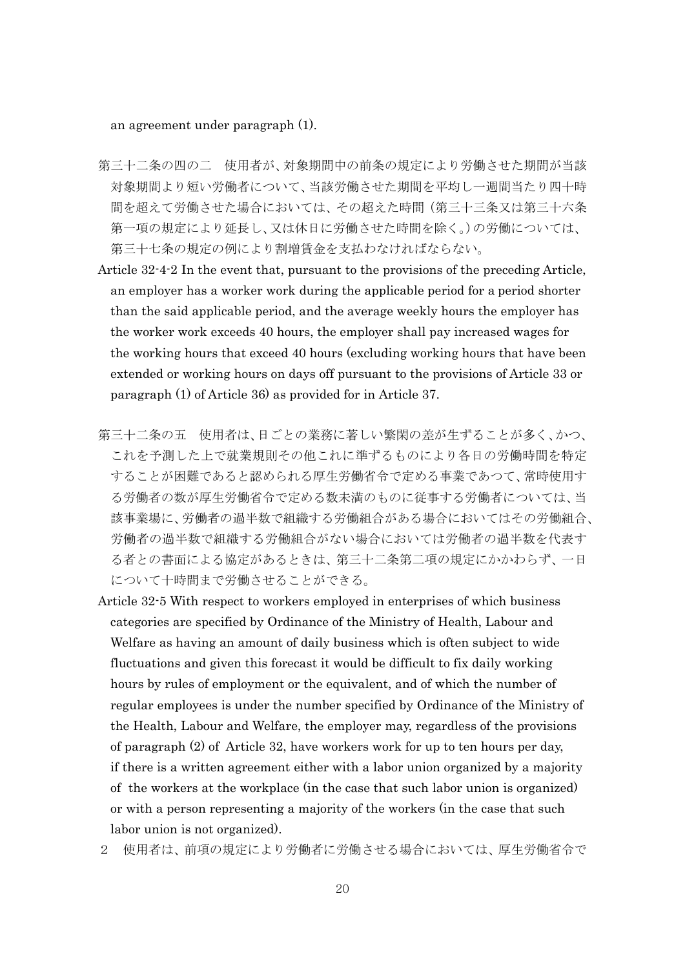an agreement under paragraph (1).

- 第三十二条の四の二 使用者が、対象期間中の前条の規定により労働させた期間が当該 対象期間より短い労働者について、当該労働させた期間を平均し一週間当たり四十時 間を超えて労働させた場合においては、その超えた時間(第三十三条又は第三十六条 第一項の規定により延長し、又は休日に労働させた時間を除く。)の労働については、 第三十七条の規定の例により割増賃金を支払わなければならない。
- Article 32-4-2 In the event that, pursuant to the provisions of the preceding Article, an employer has a worker work during the applicable period for a period shorter than the said applicable period, and the average weekly hours the employer has the worker work exceeds 40 hours, the employer shall pay increased wages for the working hours that exceed 40 hours (excluding working hours that have been extended or working hours on days off pursuant to the provisions of Article 33 or paragraph (1) of Article 36) as provided for in Article 37.
- 第三十二条の五 使用者は、日ごとの業務に著しい繁閑の差が生ずることが多く、かつ、 これを予測した上で就業規則その他これに準ずるものにより各日の労働時間を特定 することが困難であると認められる厚生労働省令で定める事業であつて、常時使用す る労働者の数が厚生労働省令で定める数未満のものに従事する労働者については、当 該事業場に、労働者の過半数で組織する労働組合がある場合においてはその労働組合、 労働者の過半数で組織する労働組合がない場合においては労働者の過半数を代表す る者との書面による協定があるときは、第三十二条第二項の規定にかかわらず、一日 について十時間まで労働させることができる。
- Article 32-5 With respect to workers employed in enterprises of which business categories are specified by Ordinance of the Ministry of Health, Labour and Welfare as having an amount of daily business which is often subject to wide fluctuations and given this forecast it would be difficult to fix daily working hours by rules of employment or the equivalent, and of which the number of regular employees is under the number specified by Ordinance of the Ministry of the Health, Labour and Welfare, the employer may, regardless of the provisions of paragraph (2) of Article 32, have workers work for up to ten hours per day, if there is a written agreement either with a labor union organized by a majority of the workers at the workplace (in the case that such labor union is organized) or with a person representing a majority of the workers (in the case that such labor union is not organized).
- 2 使用者は、前項の規定により労働者に労働させる場合においては、厚生労働省令で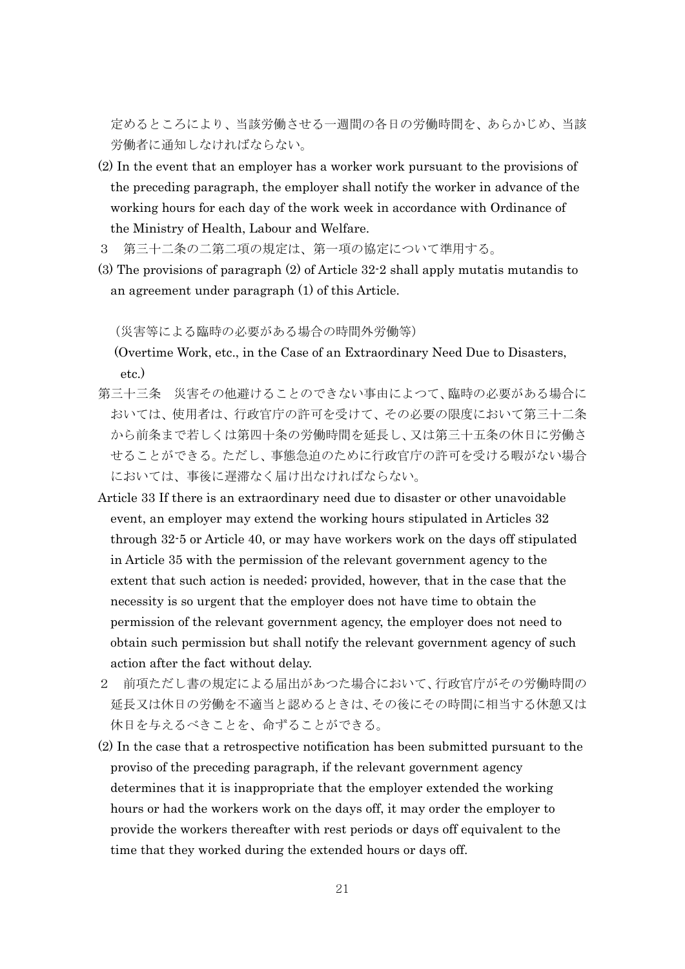定めるところにより、当該労働させる一週間の各日の労働時間を、あらかじめ、当該 労働者に通知しなければならない。

- (2) In the event that an employer has a worker work pursuant to the provisions of the preceding paragraph, the employer shall notify the worker in advance of the working hours for each day of the work week in accordance with Ordinance of the Ministry of Health, Labour and Welfare.
- 3 第三十二条の二第二項の規定は、第一項の協定について準用する。
- (3) The provisions of paragraph (2) of Article 32-2 shall apply mutatis mutandis to an agreement under paragraph (1) of this Article.

(災害等による臨時の必要がある場合の時間外労働等)

(Overtime Work, etc., in the Case of an Extraordinary Need Due to Disasters, etc.)

- 第三十三条 災害その他避けることのできない事由によつて、臨時の必要がある場合に おいては、使用者は、行政官庁の許可を受けて、その必要の限度において第三十二条 から前条まで若しくは第四十条の労働時間を延長し、又は第三十五条の休日に労働さ せることができる。ただし、事態急迫のために行政官庁の許可を受ける暇がない場合 においては、事後に遅滞なく届け出なければならない。
- Article 33 If there is an extraordinary need due to disaster or other unavoidable event, an employer may extend the working hours stipulated in Articles 32 through 32-5 or Article 40, or may have workers work on the days off stipulated in Article 35 with the permission of the relevant government agency to the extent that such action is needed; provided, however, that in the case that the necessity is so urgent that the employer does not have time to obtain the permission of the relevant government agency, the employer does not need to obtain such permission but shall notify the relevant government agency of such action after the fact without delay.
- 2 前項ただし書の規定による届出があつた場合において、行政官庁がその労働時間の 延長又は休日の労働を不適当と認めるときは、その後にその時間に相当する休憩又は 休日を与えるべきことを、命ずることができる。
- (2) In the case that a retrospective notification has been submitted pursuant to the proviso of the preceding paragraph, if the relevant government agency determines that it is inappropriate that the employer extended the working hours or had the workers work on the days off, it may order the employer to provide the workers thereafter with rest periods or days off equivalent to the time that they worked during the extended hours or days off.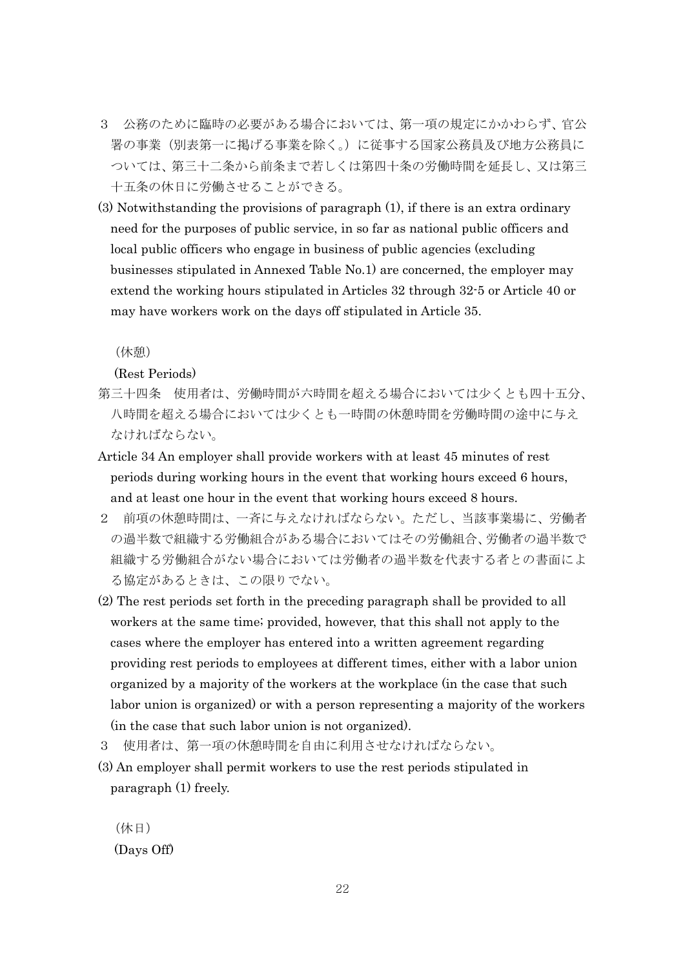- 3 公務のために臨時の必要がある場合においては、第一項の規定にかかわらず、官公 署の事業(別表第一に掲げる事業を除く。)に従事する国家公務員及び地方公務員に ついては、第三十二条から前条まで若しくは第四十条の労働時間を延長し、又は第三 十五条の休日に労働させることができる。
- (3) Notwithstanding the provisions of paragraph (1), if there is an extra ordinary need for the purposes of public service, in so far as national public officers and local public officers who engage in business of public agencies (excluding businesses stipulated in Annexed Table No.1) are concerned, the employer may extend the working hours stipulated in Articles 32 through 32-5 or Article 40 or may have workers work on the days off stipulated in Article 35.

(休憩)

(Rest Periods)

- 第三十四条 使用者は、労働時間が六時間を超える場合においては少くとも四十五分、 八時間を超える場合においては少くとも一時間の休憩時間を労働時間の途中に与え なければならない。
- Article 34 An employer shall provide workers with at least 45 minutes of rest periods during working hours in the event that working hours exceed 6 hours, and at least one hour in the event that working hours exceed 8 hours.
- 2 前項の休憩時間は、一斉に与えなければならない。ただし、当該事業場に、労働者 の過半数で組織する労働組合がある場合においてはその労働組合、労働者の過半数で 組織する労働組合がない場合においては労働者の過半数を代表する者との書面によ る協定があるときは、この限りでない。
- (2) The rest periods set forth in the preceding paragraph shall be provided to all workers at the same time; provided, however, that this shall not apply to the cases where the employer has entered into a written agreement regarding providing rest periods to employees at different times, either with a labor union organized by a majority of the workers at the workplace (in the case that such labor union is organized) or with a person representing a majority of the workers (in the case that such labor union is not organized).
- 3 使用者は、第一項の休憩時間を自由に利用させなければならない。
- (3) An employer shall permit workers to use the rest periods stipulated in paragraph (1) freely.

(休日) (Days Off)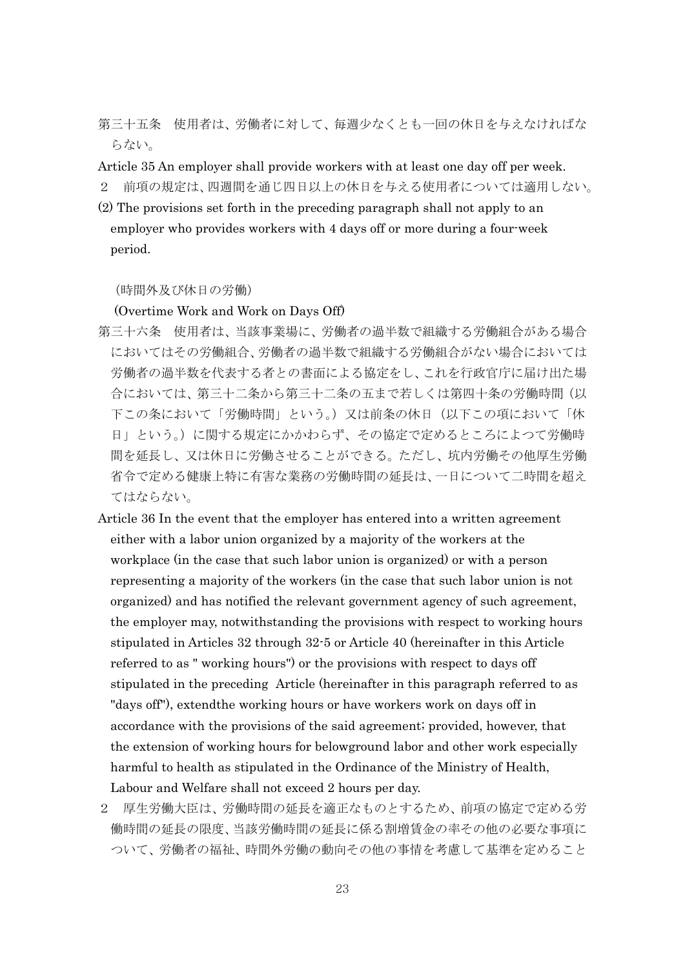第三十五条 使用者は、労働者に対して、毎週少なくとも一回の休日を与えなければな らない。

Article 35 An employer shall provide workers with at least one day off per week.

- 2 前項の規定は、四週間を通じ四日以上の休日を与える使用者については適用しない。
- (2) The provisions set forth in the preceding paragraph shall not apply to an employer who provides workers with 4 days off or more during a four-week period.

(時間外及び休日の労働)

(Overtime Work and Work on Days Off)

- 第三十六条 使用者は、当該事業場に、労働者の過半数で組織する労働組合がある場合 においてはその労働組合、労働者の過半数で組織する労働組合がない場合においては 労働者の過半数を代表する者との書面による協定をし、これを行政官庁に届け出た場 合においては、第三十二条から第三十二条の五まで若しくは第四十条の労働時間(以 下この条において「労働時間」という。)又は前条の休日(以下この項において「休 日」という。)に関する規定にかかわらず、その協定で定めるところによつて労働時 間を延長し、又は休日に労働させることができる。ただし、坑内労働その他厚生労働 省令で定める健康上特に有害な業務の労働時間の延長は、一日について二時間を超え てはならない。
- Article 36 In the event that the employer has entered into a written agreement either with a labor union organized by a majority of the workers at the workplace (in the case that such labor union is organized) or with a person representing a majority of the workers (in the case that such labor union is not organized) and has notified the relevant government agency of such agreement, the employer may, notwithstanding the provisions with respect to working hours stipulated in Articles 32 through 32-5 or Article 40 (hereinafter in this Article referred to as " working hours") or the provisions with respect to days off stipulated in the preceding Article (hereinafter in this paragraph referred to as "days off"), extendthe working hours or have workers work on days off in accordance with the provisions of the said agreement; provided, however, that the extension of working hours for belowground labor and other work especially harmful to health as stipulated in the Ordinance of the Ministry of Health, Labour and Welfare shall not exceed 2 hours per day.
- 2 厚生労働大臣は、労働時間の延長を適正なものとするため、前項の協定で定める労 働時間の延長の限度、当該労働時間の延長に係る割増賃金の率その他の必要な事項に ついて、労働者の福祉、時間外労働の動向その他の事情を考慮して基準を定めること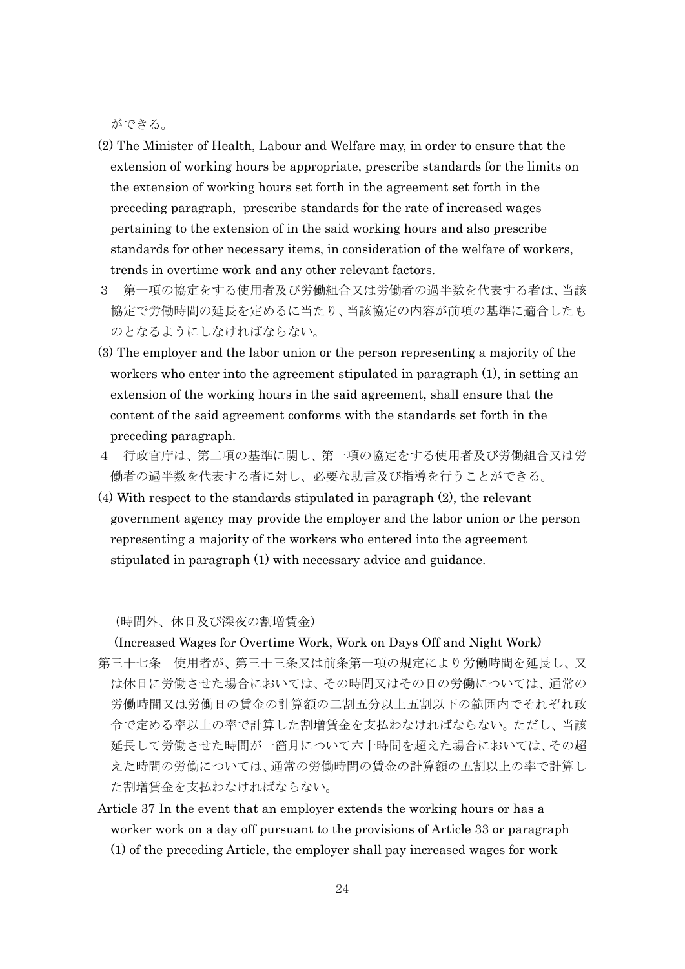ができる。

- (2) The Minister of Health, Labour and Welfare may, in order to ensure that the extension of working hours be appropriate, prescribe standards for the limits on the extension of working hours set forth in the agreement set forth in the preceding paragraph, prescribe standards for the rate of increased wages pertaining to the extension of in the said working hours and also prescribe standards for other necessary items, in consideration of the welfare of workers, trends in overtime work and any other relevant factors.
- 3 第一項の協定をする使用者及び労働組合又は労働者の過半数を代表する者は、当該 協定で労働時間の延長を定めるに当たり、当該協定の内容が前項の基準に適合したも のとなるようにしなければならない。
- (3) The employer and the labor union or the person representing a majority of the workers who enter into the agreement stipulated in paragraph (1), in setting an extension of the working hours in the said agreement, shall ensure that the content of the said agreement conforms with the standards set forth in the preceding paragraph.
- 4 行政官庁は、第二項の基準に関し、第一項の協定をする使用者及び労働組合又は労 働者の過半数を代表する者に対し、必要な助言及び指導を行うことができる。
- (4) With respect to the standards stipulated in paragraph (2), the relevant government agency may provide the employer and the labor union or the person representing a majority of the workers who entered into the agreement stipulated in paragraph (1) with necessary advice and guidance.

(時間外、休日及び深夜の割増賃金)

(Increased Wages for Overtime Work, Work on Days Off and Night Work)

- 第三十七条 使用者が、第三十三条又は前条第一項の規定により労働時間を延長し、又 は休日に労働させた場合においては、その時間又はその日の労働については、通常の 労働時間又は労働日の賃金の計算額の二割五分以上五割以下の範囲内でそれぞれ政 令で定める率以上の率で計算した割増賃金を支払わなければならない。ただし、当該 延長して労働させた時間が一箇月について六十時間を超えた場合においては、その超 えた時間の労働については、通常の労働時間の賃金の計算額の五割以上の率で計算し た割増賃金を支払わなければならない。
- Article 37 In the event that an employer extends the working hours or has a worker work on a day off pursuant to the provisions of Article 33 or paragraph (1) of the preceding Article, the employer shall pay increased wages for work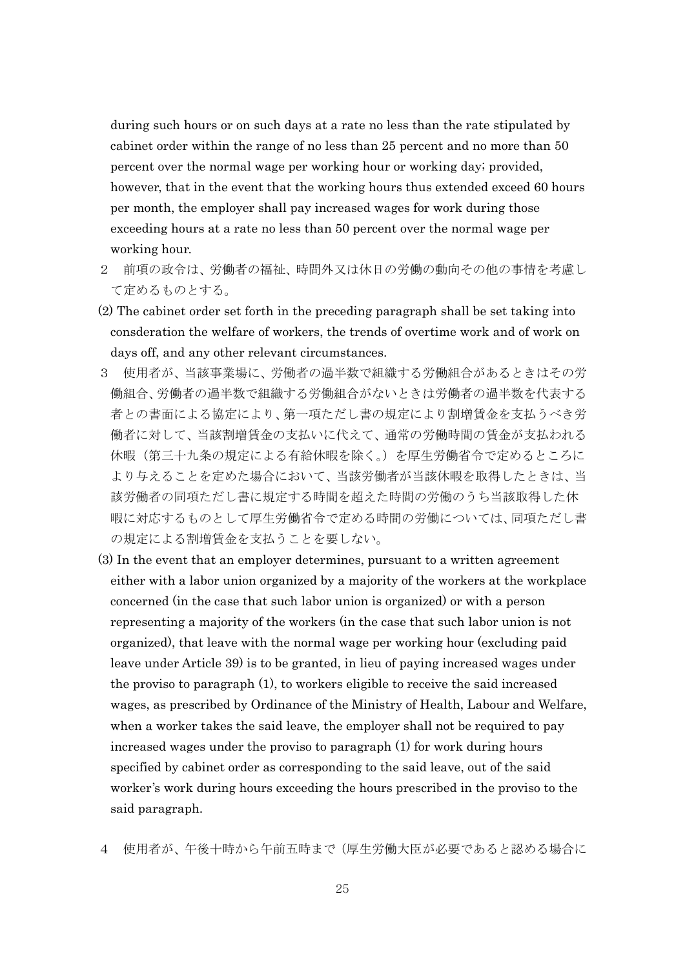during such hours or on such days at a rate no less than the rate stipulated by cabinet order within the range of no less than 25 percent and no more than 50 percent over the normal wage per working hour or working day; provided, however, that in the event that the working hours thus extended exceed 60 hours per month, the employer shall pay increased wages for work during those exceeding hours at a rate no less than 50 percent over the normal wage per working hour.

- 2 前項の政令は、労働者の福祉、時間外又は休日の労働の動向その他の事情を考慮し て定めるものとする。
- (2) The cabinet order set forth in the preceding paragraph shall be set taking into consderation the welfare of workers, the trends of overtime work and of work on days off, and any other relevant circumstances.
- 3 使用者が、当該事業場に、労働者の過半数で組織する労働組合があるときはその労 働組合、労働者の過半数で組織する労働組合がないときは労働者の過半数を代表する 者との書面による協定により、第一項ただし書の規定により割増賃金を支払うべき労 働者に対して、当該割増賃金の支払いに代えて、通常の労働時間の賃金が支払われる 休暇(第三十九条の規定による有給休暇を除く。)を厚生労働省令で定めるところに より与えることを定めた場合において、当該労働者が当該休暇を取得したときは、当 該労働者の同項ただし書に規定する時間を超えた時間の労働のうち当該取得した休 暇に対応するものとして厚生労働省令で定める時間の労働については、同項ただし書 の規定による割増賃金を支払うことを要しない。
- (3) In the event that an employer determines, pursuant to a written agreement either with a labor union organized by a majority of the workers at the workplace concerned (in the case that such labor union is organized) or with a person representing a majority of the workers (in the case that such labor union is not organized), that leave with the normal wage per working hour (excluding paid leave under Article 39) is to be granted, in lieu of paying increased wages under the proviso to paragraph (1), to workers eligible to receive the said increased wages, as prescribed by Ordinance of the Ministry of Health, Labour and Welfare, when a worker takes the said leave, the employer shall not be required to pay increased wages under the proviso to paragraph (1) for work during hours specified by cabinet order as corresponding to the said leave, out of the said worker's work during hours exceeding the hours prescribed in the proviso to the said paragraph.
- 4 使用者が、午後十時から午前五時まで(厚生労働大臣が必要であると認める場合に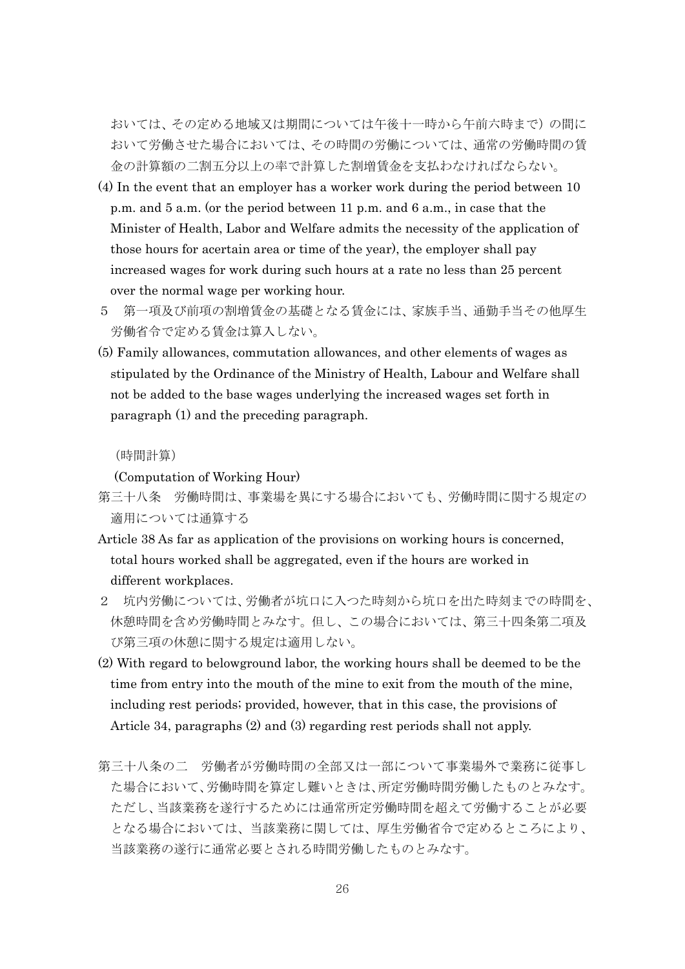おいては、その定める地域又は期間については午後十一時から午前六時まで)の間に おいて労働させた場合においては、その時間の労働については、通常の労働時間の賃 金の計算額の二割五分以上の率で計算した割増賃金を支払わなければならない。

- (4) In the event that an employer has a worker work during the period between 10 p.m. and 5 a.m. (or the period between 11 p.m. and 6 a.m., in case that the Minister of Health, Labor and Welfare admits the necessity of the application of those hours for acertain area or time of the year), the employer shall pay increased wages for work during such hours at a rate no less than 25 percent over the normal wage per working hour.
- 5 第一項及び前項の割増賃金の基礎となる賃金には、家族手当、通勤手当その他厚生 労働省令で定める賃金は算入しない。
- (5) Family allowances, commutation allowances, and other elements of wages as stipulated by the Ordinance of the Ministry of Health, Labour and Welfare shall not be added to the base wages underlying the increased wages set forth in paragraph (1) and the preceding paragraph.

#### (時間計算)

(Computation of Working Hour)

- 第三十八条 労働時間は、事業場を異にする場合においても、労働時間に関する規定の 適用については通算する
- Article 38 As far as application of the provisions on working hours is concerned, total hours worked shall be aggregated, even if the hours are worked in different workplaces.
- 2 坑内労働については、労働者が坑口に入つた時刻から坑口を出た時刻までの時間を、 休憩時間を含め労働時間とみなす。但し、この場合においては、第三十四条第二項及 び第三項の休憩に関する規定は適用しない。
- (2) With regard to belowground labor, the working hours shall be deemed to be the time from entry into the mouth of the mine to exit from the mouth of the mine, including rest periods; provided, however, that in this case, the provisions of Article 34, paragraphs (2) and (3) regarding rest periods shall not apply.
- 第三十八条の二 労働者が労働時間の全部又は一部について事業場外で業務に従事し た場合において、労働時間を算定し難いときは、所定労働時間労働したものとみなす。 ただし、当該業務を遂行するためには通常所定労働時間を超えて労働することが必要 となる場合においては、当該業務に関しては、厚生労働省令で定めるところにより、 当該業務の遂行に通常必要とされる時間労働したものとみなす。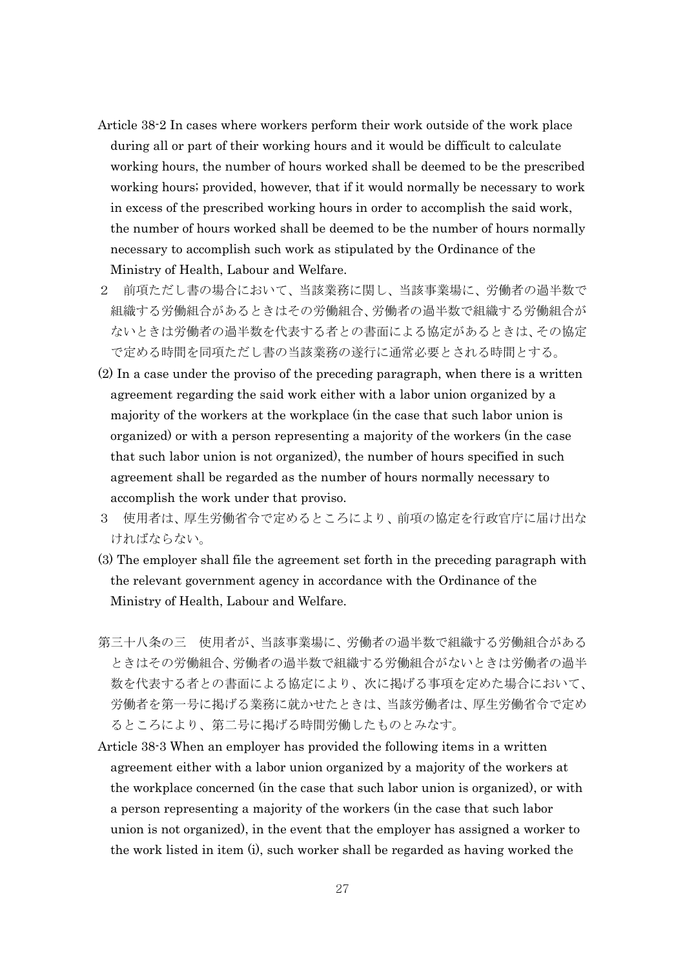- Article 38-2 In cases where workers perform their work outside of the work place during all or part of their working hours and it would be difficult to calculate working hours, the number of hours worked shall be deemed to be the prescribed working hours; provided, however, that if it would normally be necessary to work in excess of the prescribed working hours in order to accomplish the said work, the number of hours worked shall be deemed to be the number of hours normally necessary to accomplish such work as stipulated by the Ordinance of the Ministry of Health, Labour and Welfare.
- 2 前項ただし書の場合において、当該業務に関し、当該事業場に、労働者の過半数で 組織する労働組合があるときはその労働組合、労働者の過半数で組織する労働組合が ないときは労働者の過半数を代表する者との書面による協定があるときは、その協定 で定める時間を同項ただし書の当該業務の遂行に通常必要とされる時間とする。
- (2) In a case under the proviso of the preceding paragraph, when there is a written agreement regarding the said work either with a labor union organized by a majority of the workers at the workplace (in the case that such labor union is organized) or with a person representing a majority of the workers (in the case that such labor union is not organized), the number of hours specified in such agreement shall be regarded as the number of hours normally necessary to accomplish the work under that proviso.
- 3 使用者は、厚生労働省令で定めるところにより、前項の協定を行政官庁に届け出な ければならない。
- (3) The employer shall file the agreement set forth in the preceding paragraph with the relevant government agency in accordance with the Ordinance of the Ministry of Health, Labour and Welfare.
- 第三十八条の三 使用者が、当該事業場に、労働者の過半数で組織する労働組合がある ときはその労働組合、労働者の過半数で組織する労働組合がないときは労働者の過半 数を代表する者との書面による協定により、次に掲げる事項を定めた場合において、 労働者を第一号に掲げる業務に就かせたときは、当該労働者は、厚生労働省令で定め るところにより、第二号に掲げる時間労働したものとみなす。
- Article 38-3 When an employer has provided the following items in a written agreement either with a labor union organized by a majority of the workers at the workplace concerned (in the case that such labor union is organized), or with a person representing a majority of the workers (in the case that such labor union is not organized), in the event that the employer has assigned a worker to the work listed in item (i), such worker shall be regarded as having worked the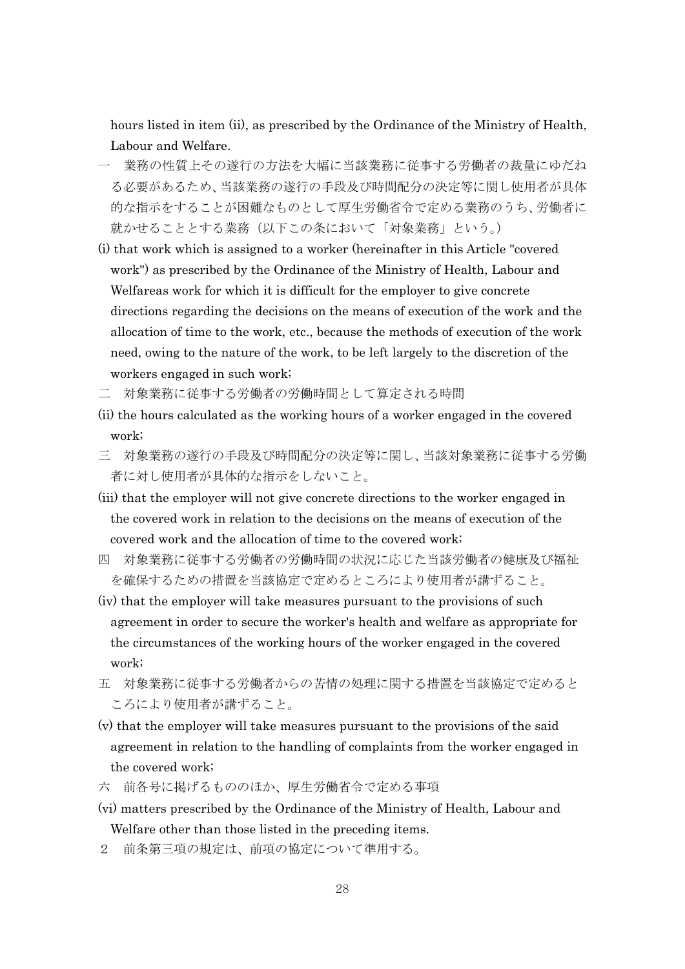hours listed in item (ii), as prescribed by the Ordinance of the Ministry of Health, Labour and Welfare.

- 一 業務の性質上その遂行の方法を大幅に当該業務に従事する労働者の裁量にゆだね る必要があるため、当該業務の遂行の手段及び時間配分の決定等に関し使用者が具体 的な指示をすることが困難なものとして厚生労働省令で定める業務のうち、労働者に 就かせることとする業務(以下この条において「対象業務」という。)
- (i) that work which is assigned to a worker (hereinafter in this Article "covered work") as prescribed by the Ordinance of the Ministry of Health, Labour and Welfareas work for which it is difficult for the employer to give concrete directions regarding the decisions on the means of execution of the work and the allocation of time to the work, etc., because the methods of execution of the work need, owing to the nature of the work, to be left largely to the discretion of the workers engaged in such work;
- 二 対象業務に従事する労働者の労働時間として算定される時間
- (ii) the hours calculated as the working hours of a worker engaged in the covered work;
- 三 対象業務の遂行の手段及び時間配分の決定等に関し、当該対象業務に従事する労働 者に対し使用者が具体的な指示をしないこと。
- (iii) that the employer will not give concrete directions to the worker engaged in the covered work in relation to the decisions on the means of execution of the covered work and the allocation of time to the covered work;
- 四 対象業務に従事する労働者の労働時間の状況に応じた当該労働者の健康及び福祉 を確保するための措置を当該協定で定めるところにより使用者が講ずること。
- (iv) that the employer will take measures pursuant to the provisions of such agreement in order to secure the worker's health and welfare as appropriate for the circumstances of the working hours of the worker engaged in the covered work;
- 五 対象業務に従事する労働者からの苦情の処理に関する措置を当該協定で定めると ころにより使用者が講ずること。
- (v) that the employer will take measures pursuant to the provisions of the said agreement in relation to the handling of complaints from the worker engaged in the covered work;
- 六 前各号に掲げるもののほか、厚生労働省令で定める事項
- (vi) matters prescribed by the Ordinance of the Ministry of Health, Labour and Welfare other than those listed in the preceding items.
- 2 前条第三項の規定は、前項の協定について準用する。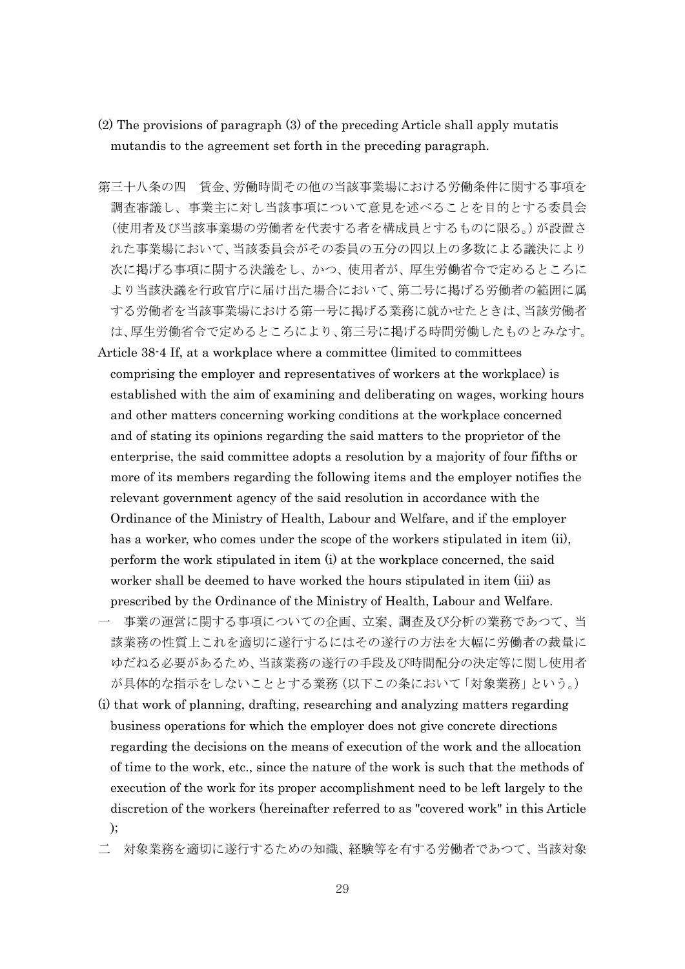- (2) The provisions of paragraph (3) of the preceding Article shall apply mutatis mutandis to the agreement set forth in the preceding paragraph.
- 第三十八条の四 賃金、労働時間その他の当該事業場における労働条件に関する事項を 調査審議し、事業主に対し当該事項について意見を述べることを目的とする委員会 (使用者及び当該事業場の労働者を代表する者を構成員とするものに限る。)が設置さ れた事業場において、当該委員会がその委員の五分の四以上の多数による議決により 次に掲げる事項に関する決議をし、かつ、使用者が、厚生労働省令で定めるところに より当該決議を行政官庁に届け出た場合において、第二号に掲げる労働者の範囲に属 する労働者を当該事業場における第一号に掲げる業務に就かせたときは、当該労働者 は、厚生労働省令で定めるところにより、第三号に掲げる時間労働したものとみなす。
- Article 38-4 If, at a workplace where a committee (limited to committees comprising the employer and representatives of workers at the workplace) is established with the aim of examining and deliberating on wages, working hours and other matters concerning working conditions at the workplace concerned and of stating its opinions regarding the said matters to the proprietor of the enterprise, the said committee adopts a resolution by a majority of four fifths or more of its members regarding the following items and the employer notifies the relevant government agency of the said resolution in accordance with the Ordinance of the Ministry of Health, Labour and Welfare, and if the employer has a worker, who comes under the scope of the workers stipulated in item (ii), perform the work stipulated in item (i) at the workplace concerned, the said worker shall be deemed to have worked the hours stipulated in item (iii) as prescribed by the Ordinance of the Ministry of Health, Labour and Welfare.
- 一 事業の運営に関する事項についての企画、立案、調査及び分析の業務であつて、当 該業務の性質上これを適切に遂行するにはその遂行の方法を大幅に労働者の裁量に ゆだねる必要があるため、当該業務の遂行の手段及び時間配分の決定等に関し使用者 が具体的な指示をしないこととする業務(以下この条において「対象業務」という。)
- (i) that work of planning, drafting, researching and analyzing matters regarding business operations for which the employer does not give concrete directions regarding the decisions on the means of execution of the work and the allocation of time to the work, etc., since the nature of the work is such that the methods of execution of the work for its proper accomplishment need to be left largely to the discretion of the workers (hereinafter referred to as "covered work" in this Article );
- 二 対象業務を適切に遂行するための知識、経験等を有する労働者であつて、当該対象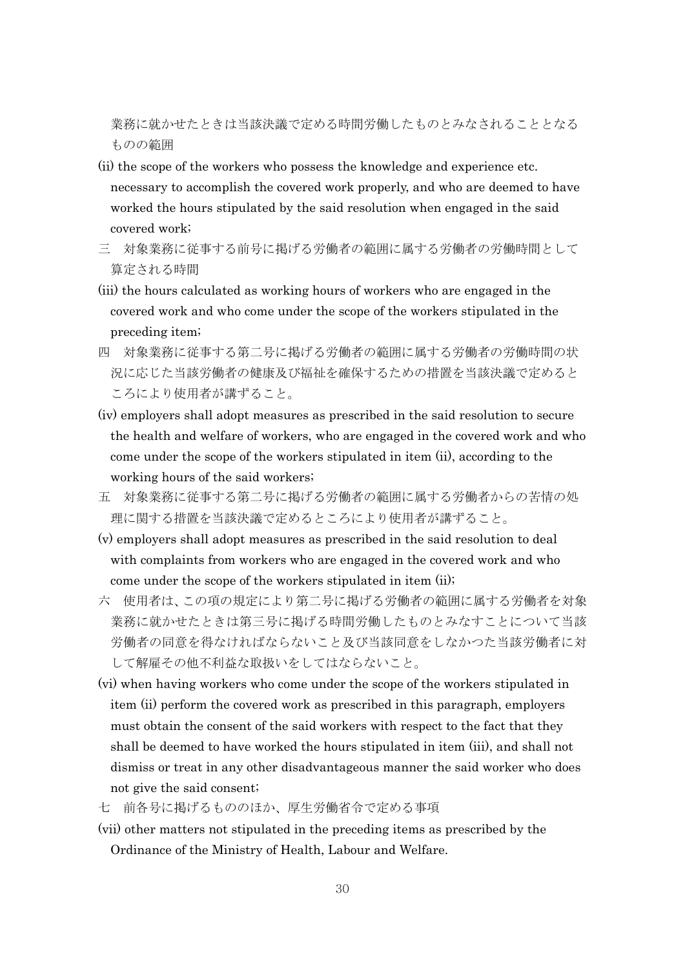業務に就かせたときは当該決議で定める時間労働したものとみなされることとなる ものの範囲

- (ii) the scope of the workers who possess the knowledge and experience etc. necessary to accomplish the covered work properly, and who are deemed to have worked the hours stipulated by the said resolution when engaged in the said covered work;
- 三 対象業務に従事する前号に掲げる労働者の範囲に属する労働者の労働時間として 算定される時間
- (iii) the hours calculated as working hours of workers who are engaged in the covered work and who come under the scope of the workers stipulated in the preceding item;
- 四 対象業務に従事する第二号に掲げる労働者の範囲に属する労働者の労働時間の状 況に応じた当該労働者の健康及び福祉を確保するための措置を当該決議で定めると ころにより使用者が講ずること。
- (iv) employers shall adopt measures as prescribed in the said resolution to secure the health and welfare of workers, who are engaged in the covered work and who come under the scope of the workers stipulated in item (ii), according to the working hours of the said workers;
- 五 対象業務に従事する第二号に掲げる労働者の範囲に属する労働者からの苦情の処 理に関する措置を当該決議で定めるところにより使用者が講ずること。
- (v) employers shall adopt measures as prescribed in the said resolution to deal with complaints from workers who are engaged in the covered work and who come under the scope of the workers stipulated in item (ii);
- 六 使用者は、この項の規定により第二号に掲げる労働者の範囲に属する労働者を対象 業務に就かせたときは第三号に掲げる時間労働したものとみなすことについて当該 労働者の同意を得なければならないこと及び当該同意をしなかつた当該労働者に対 して解雇その他不利益な取扱いをしてはならないこと。
- (vi) when having workers who come under the scope of the workers stipulated in item (ii) perform the covered work as prescribed in this paragraph, employers must obtain the consent of the said workers with respect to the fact that they shall be deemed to have worked the hours stipulated in item (iii), and shall not dismiss or treat in any other disadvantageous manner the said worker who does not give the said consent;
- 七 前各号に掲げるもののほか、厚生労働省令で定める事項
- (vii) other matters not stipulated in the preceding items as prescribed by the Ordinance of the Ministry of Health, Labour and Welfare.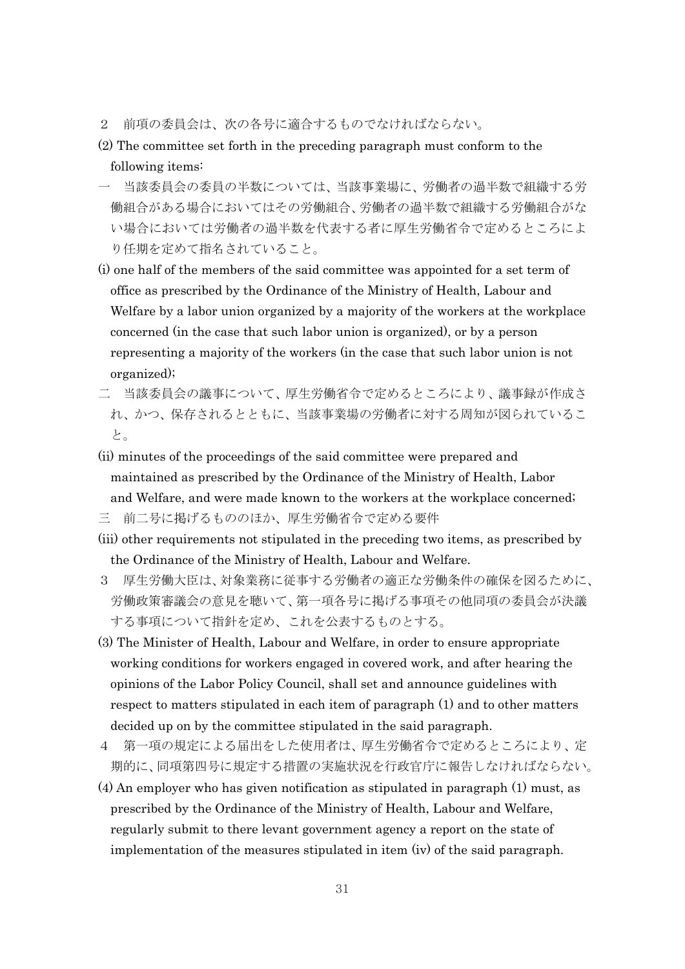- 2 前項の委員会は、次の各号に適合するものでなければならない。
- (2) The committee set forth in the preceding paragraph must conform to the following items:
- 一 当該委員会の委員の半数については、当該事業場に、労働者の過半数で組織する労 働組合がある場合においてはその労働組合、労働者の過半数で組織する労働組合がな い場合においては労働者の過半数を代表する者に厚生労働省令で定めるところによ り任期を定めて指名されていること。
- (i) one half of the members of the said committee was appointed for a set term of office as prescribed by the Ordinance of the Ministry of Health, Labour and Welfare by a labor union organized by a majority of the workers at the workplace concerned (in the case that such labor union is organized), or by a person representing a majority of the workers (in the case that such labor union is not organized);
- 二 当該委員会の議事について、厚生労働省令で定めるところにより、議事録が作成さ れ、かつ、保存されるとともに、当該事業場の労働者に対する周知が図られているこ と。
- (ii) minutes of the proceedings of the said committee were prepared and maintained as prescribed by the Ordinance of the Ministry of Health, Labor and Welfare, and were made known to the workers at the workplace concerned;
- 三 前二号に掲げるもののほか、厚生労働省令で定める要件
- (iii) other requirements not stipulated in the preceding two items, as prescribed by the Ordinance of the Ministry of Health, Labour and Welfare.
- 3 厚生労働大臣は、対象業務に従事する労働者の適正な労働条件の確保を図るために、 労働政策審議会の意見を聴いて、第一項各号に掲げる事項その他同項の委員会が決議 する事項について指針を定め、これを公表するものとする。
- (3) The Minister of Health, Labour and Welfare, in order to ensure appropriate working conditions for workers engaged in covered work, and after hearing the opinions of the Labor Policy Council, shall set and announce guidelines with respect to matters stipulated in each item of paragraph (1) and to other matters decided up on by the committee stipulated in the said paragraph.
- 4 第一項の規定による届出をした使用者は、厚生労働省令で定めるところにより、定 期的に、同項第四号に規定する措置の実施状況を行政官庁に報告しなければならない。
- (4) An employer who has given notification as stipulated in paragraph (1) must, as prescribed by the Ordinance of the Ministry of Health, Labour and Welfare, regularly submit to there levant government agency a report on the state of implementation of the measures stipulated in item (iv) of the said paragraph.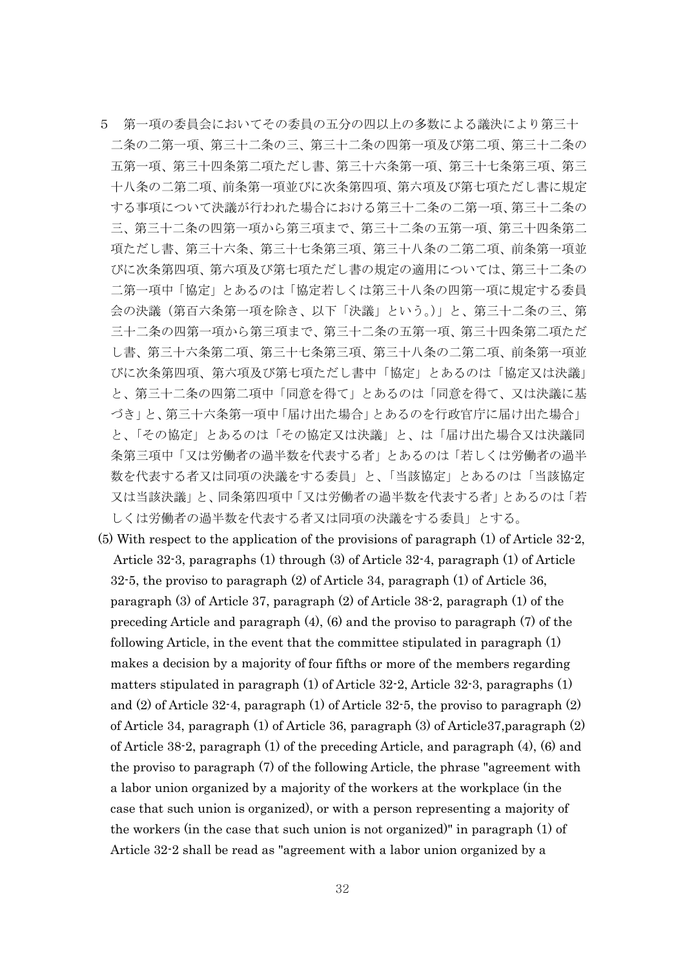- 5 第一項の委員会においてその委員の五分の四以上の多数による議決により第三十 二条の二第一項、第三十二条の三、第三十二条の四第一項及び第二項、第三十二条の 五第一項、第三十四条第二項ただし書、第三十六条第一項、第三十七条第三項、第三 十八条の二第二項、前条第一項並びに次条第四項、第六項及び第七項ただし書に規定 する事項について決議が行われた場合における第三十二条の二第一項、第三十二条の 三、第三十二条の四第一項から第三項まで、第三十二条の五第一項、第三十四条第二 項ただし書、第三十六条、第三十七条第三項、第三十八条の二第二項、前条第一項並 びに次条第四項、第六項及び第七項ただし書の規定の適用については、第三十二条の 二第一項中「協定」とあるのは「協定若しくは第三十八条の四第一項に規定する委員 会の決議(第百六条第一項を除き、以下「決議」という。)」と、第三十二条の三、第 三十二条の四第一項から第三項まで、第三十二条の五第一項、第三十四条第二項ただ し書、第三十六条第二項、第三十七条第三項、第三十八条の二第二項、前条第一項並 びに次条第四項、第六項及び第七項ただし書中「協定」とあるのは「協定又は決議」 と、第三十二条の四第二項中「同意を得て」とあるのは「同意を得て、又は決議に基 づき」と、第三十六条第一項中「届け出た場合」とあるのを行政官庁に届け出た場合」 と、「その協定」とあるのは「その協定又は決議」と、は「届け出た場合又は決議同 条第三項中「又は労働者の過半数を代表する者」とあるのは「若しくは労働者の過半 数を代表する者又は同項の決議をする委員」と、「当該協定」とあるのは「当該協定 又は当該決議」と、同条第四項中「又は労働者の過半数を代表する者」とあるのは「若 しくは労働者の過半数を代表する者又は同項の決議をする委員」とする。
- (5) With respect to the application of the provisions of paragraph (1) of Article 32-2, Article 32-3, paragraphs (1) through (3) of Article 32-4, paragraph (1) of Article 32-5, the proviso to paragraph (2) of Article 34, paragraph (1) of Article 36, paragraph (3) of Article 37, paragraph (2) of Article 38-2, paragraph (1) of the preceding Article and paragraph (4), (6) and the proviso to paragraph (7) of the following Article, in the event that the committee stipulated in paragraph (1) makes a decision by a majority of four fifths or more of the members regarding matters stipulated in paragraph (1) of Article 32-2, Article 32-3, paragraphs (1) and (2) of Article 32-4, paragraph (1) of Article 32-5, the proviso to paragraph (2) of Article 34, paragraph (1) of Article 36, paragraph (3) of Article37,paragraph (2) of Article 38-2, paragraph (1) of the preceding Article, and paragraph (4), (6) and the proviso to paragraph (7) of the following Article, the phrase "agreement with a labor union organized by a majority of the workers at the workplace (in the case that such union is organized), or with a person representing a majority of the workers (in the case that such union is not organized)" in paragraph (1) of Article 32-2 shall be read as "agreement with a labor union organized by a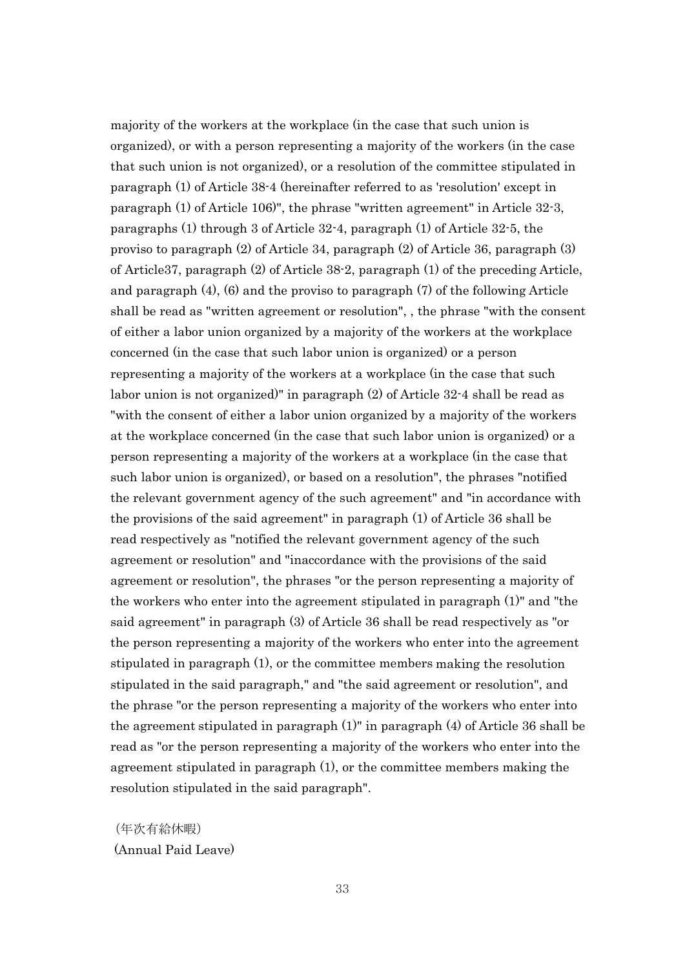majority of the workers at the workplace (in the case that such union is organized), or with a person representing a majority of the workers (in the case that such union is not organized), or a resolution of the committee stipulated in paragraph (1) of Article 38-4 (hereinafter referred to as 'resolution' except in paragraph (1) of Article 106)", the phrase "written agreement" in Article 32-3, paragraphs (1) through 3 of Article 32-4, paragraph (1) of Article 32-5, the proviso to paragraph (2) of Article 34, paragraph (2) of Article 36, paragraph (3) of Article37, paragraph (2) of Article 38-2, paragraph (1) of the preceding Article, and paragraph (4), (6) and the proviso to paragraph (7) of the following Article shall be read as "written agreement or resolution", , the phrase "with the consent of either a labor union organized by a majority of the workers at the workplace concerned (in the case that such labor union is organized) or a person representing a majority of the workers at a workplace (in the case that such labor union is not organized)" in paragraph (2) of Article 32-4 shall be read as "with the consent of either a labor union organized by a majority of the workers at the workplace concerned (in the case that such labor union is organized) or a person representing a majority of the workers at a workplace (in the case that such labor union is organized), or based on a resolution", the phrases "notified the relevant government agency of the such agreement" and "in accordance with the provisions of the said agreement" in paragraph (1) of Article 36 shall be read respectively as "notified the relevant government agency of the such agreement or resolution" and "inaccordance with the provisions of the said agreement or resolution", the phrases "or the person representing a majority of the workers who enter into the agreement stipulated in paragraph (1)" and "the said agreement" in paragraph (3) of Article 36 shall be read respectively as "or the person representing a majority of the workers who enter into the agreement stipulated in paragraph (1), or the committee members making the resolution stipulated in the said paragraph," and "the said agreement or resolution", and the phrase "or the person representing a majority of the workers who enter into the agreement stipulated in paragraph (1)" in paragraph (4) of Article 36 shall be read as "or the person representing a majority of the workers who enter into the agreement stipulated in paragraph (1), or the committee members making the resolution stipulated in the said paragraph".

(年次有給休暇) (Annual Paid Leave)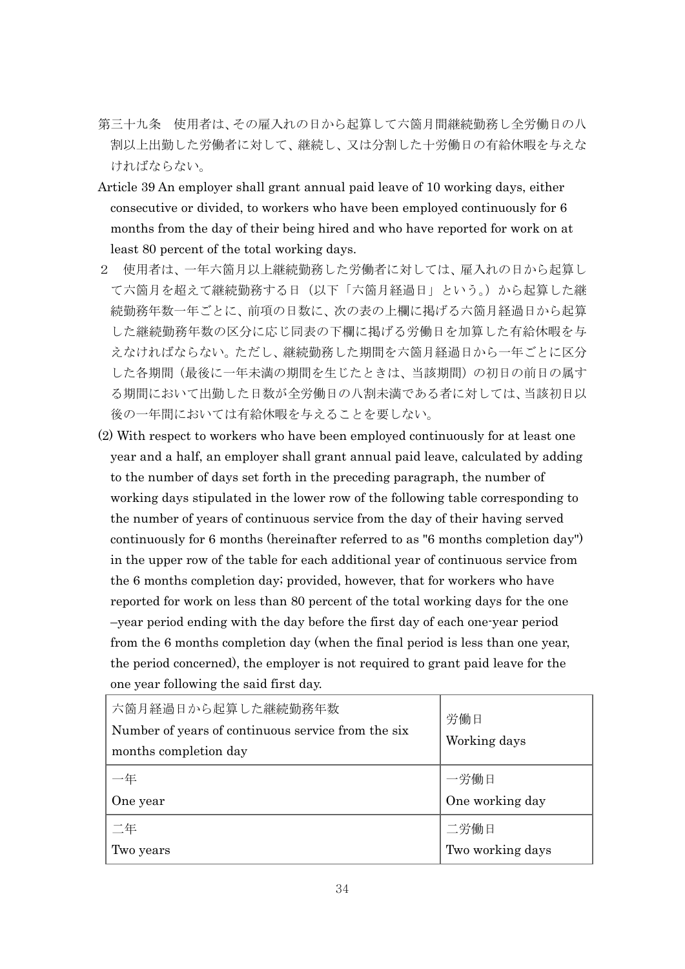- 第三十九条 使用者は、その雇入れの日から起算して六箇月間継続勤務し全労働日の八 割以上出勤した労働者に対して、継続し、又は分割した十労働日の有給休暇を与えな ければならない。
- Article 39 An employer shall grant annual paid leave of 10 working days, either consecutive or divided, to workers who have been employed continuously for 6 months from the day of their being hired and who have reported for work on at least 80 percent of the total working days.
- 2 使用者は、一年六箇月以上継続勤務した労働者に対しては、雇入れの日から起算し て六箇月を超えて継続勤務する日(以下「六箇月経過日」という。)から起算した継 続勤務年数一年ごとに、前項の日数に、次の表の上欄に掲げる六箇月経過日から起算 した継続勤務年数の区分に応じ同表の下欄に掲げる労働日を加算した有給休暇を与 えなければならない。ただし、継続勤務した期間を六箇月経過日から一年ごとに区分 した各期間(最後に一年未満の期間を生じたときは、当該期間)の初日の前日の属す る期間において出勤した日数が全労働日の八割未満である者に対しては、当該初日以 後の一年間においては有給休暇を与えることを要しない。
- (2) With respect to workers who have been employed continuously for at least one year and a half, an employer shall grant annual paid leave, calculated by adding to the number of days set forth in the preceding paragraph, the number of working days stipulated in the lower row of the following table corresponding to the number of years of continuous service from the day of their having served continuously for 6 months (hereinafter referred to as "6 months completion day") in the upper row of the table for each additional year of continuous service from the 6 months completion day; provided, however, that for workers who have reported for work on less than 80 percent of the total working days for the one –year period ending with the day before the first day of each one-year period from the 6 months completion day (when the final period is less than one year, the period concerned), the employer is not required to grant paid leave for the one year following the said first day.

| 六箇月経過日から起算した継続勤務年数<br>Number of years of continuous service from the six<br>months completion day | 労働日<br>Working days      |
|---------------------------------------------------------------------------------------------------|--------------------------|
| One year                                                                                          | 一労働日<br>One working day  |
| 二年<br>Two years                                                                                   | 二労働日<br>Two working days |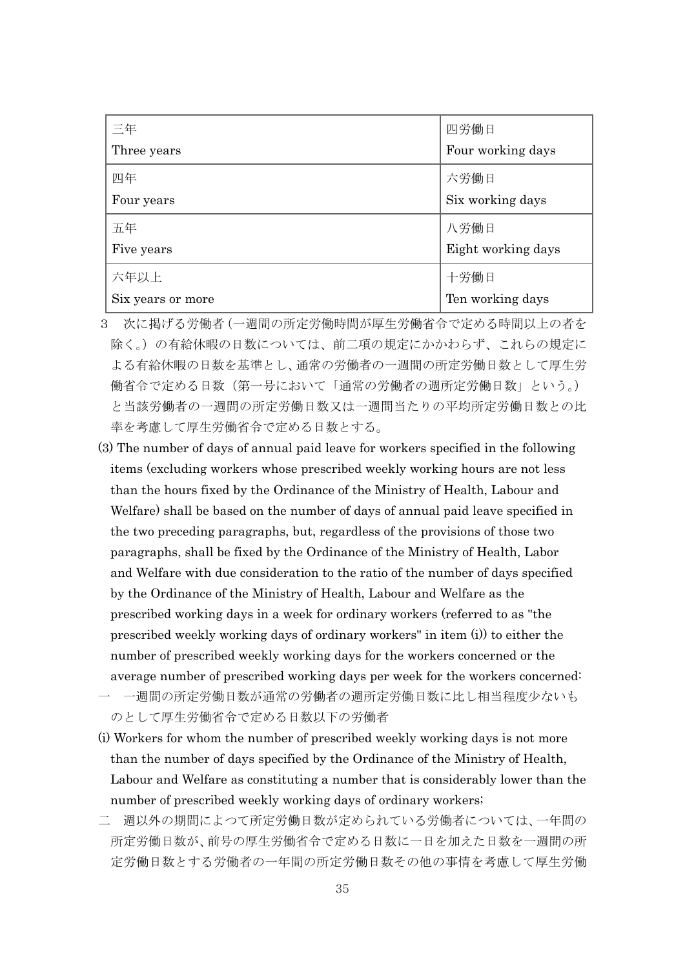| 三年                | 四労働日               |
|-------------------|--------------------|
| Three years       | Four working days  |
| 四年                | 六労働日               |
| Four years        | Six working days   |
| 五年                | 八労働日               |
| Five years        | Eight working days |
| 六年以上              | 十労働日               |
| Six years or more | Ten working days   |

- 3 次に掲げる労働者(一週間の所定労働時間が厚生労働省令で定める時間以上の者を 除く。)の有給休暇の日数については、前二項の規定にかかわらず、これらの規定に よる有給休暇の日数を基準とし、通常の労働者の一週間の所定労働日数として厚生労 働省令で定める日数(第一号において「通常の労働者の週所定労働日数」という。) と当該労働者の一週間の所定労働日数又は一週間当たりの平均所定労働日数との比 率を考慮して厚生労働省令で定める日数とする。
- (3) The number of days of annual paid leave for workers specified in the following items (excluding workers whose prescribed weekly working hours are not less than the hours fixed by the Ordinance of the Ministry of Health, Labour and Welfare) shall be based on the number of days of annual paid leave specified in the two preceding paragraphs, but, regardless of the provisions of those two paragraphs, shall be fixed by the Ordinance of the Ministry of Health, Labor and Welfare with due consideration to the ratio of the number of days specified by the Ordinance of the Ministry of Health, Labour and Welfare as the prescribed working days in a week for ordinary workers (referred to as "the prescribed weekly working days of ordinary workers" in item (i)) to either the number of prescribed weekly working days for the workers concerned or the average number of prescribed working days per week for the workers concerned:
- 一 一週間の所定労働日数が通常の労働者の週所定労働日数に比し相当程度少ないも のとして厚生労働省令で定める日数以下の労働者
- (i) Workers for whom the number of prescribed weekly working days is not more than the number of days specified by the Ordinance of the Ministry of Health, Labour and Welfare as constituting a number that is considerably lower than the number of prescribed weekly working days of ordinary workers;
- 二 週以外の期間によつて所定労働日数が定められている労働者については、一年間の 所定労働日数が、前号の厚生労働省令で定める日数に一日を加えた日数を一週間の所 定労働日数とする労働者の一年間の所定労働日数その他の事情を考慮して厚生労働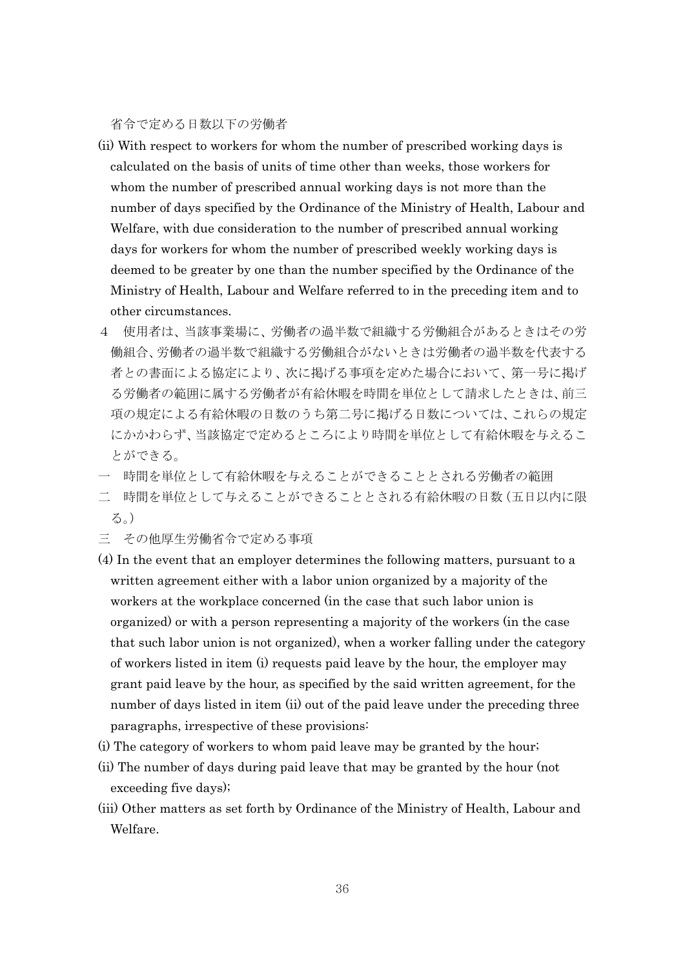省令で定める日数以下の労働者

- (ii) With respect to workers for whom the number of prescribed working days is calculated on the basis of units of time other than weeks, those workers for whom the number of prescribed annual working days is not more than the number of days specified by the Ordinance of the Ministry of Health, Labour and Welfare, with due consideration to the number of prescribed annual working days for workers for whom the number of prescribed weekly working days is deemed to be greater by one than the number specified by the Ordinance of the Ministry of Health, Labour and Welfare referred to in the preceding item and to other circumstances.
- 4 使用者は、当該事業場に、労働者の過半数で組織する労働組合があるときはその労 働組合、労働者の過半数で組織する労働組合がないときは労働者の過半数を代表する 者との書面による協定により、次に掲げる事項を定めた場合において、第一号に掲げ る労働者の範囲に属する労働者が有給休暇を時間を単位として請求したときは、前三 項の規定による有給休暇の日数のうち第二号に掲げる日数については、これらの規定 にかかわらず、当該協定で定めるところにより時間を単位として有給休暇を与えるこ とができる。
- 一 時間を単位として有給休暇を与えることができることとされる労働者の範囲
- 二 時間を単位として与えることができることとされる有給休暇の日数(五日以内に限 る。)
- 三 その他厚生労働省令で定める事項
- (4) In the event that an employer determines the following matters, pursuant to a written agreement either with a labor union organized by a majority of the workers at the workplace concerned (in the case that such labor union is organized) or with a person representing a majority of the workers (in the case that such labor union is not organized), when a worker falling under the category of workers listed in item (i) requests paid leave by the hour, the employer may grant paid leave by the hour, as specified by the said written agreement, for the number of days listed in item (ii) out of the paid leave under the preceding three paragraphs, irrespective of these provisions:
- (i) The category of workers to whom paid leave may be granted by the hour;
- (ii) The number of days during paid leave that may be granted by the hour (not exceeding five days);
- (iii) Other matters as set forth by Ordinance of the Ministry of Health, Labour and Welfare.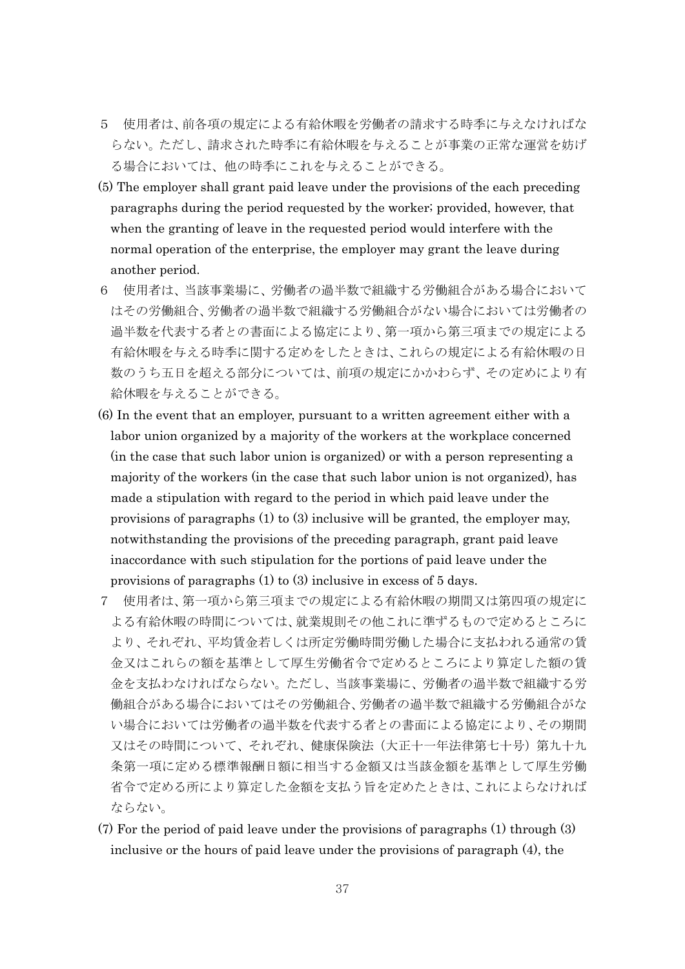- 5 使用者は、前各項の規定による有給休暇を労働者の請求する時季に与えなければな らない。ただし、請求された時季に有給休暇を与えることが事業の正常な運営を妨げ る場合においては、他の時季にこれを与えることができる。
- (5) The employer shall grant paid leave under the provisions of the each preceding paragraphs during the period requested by the worker; provided, however, that when the granting of leave in the requested period would interfere with the normal operation of the enterprise, the employer may grant the leave during another period.
- 6 使用者は、当該事業場に、労働者の過半数で組織する労働組合がある場合において はその労働組合、労働者の過半数で組織する労働組合がない場合においては労働者の 過半数を代表する者との書面による協定により、第一項から第三項までの規定による 有給休暇を与える時季に関する定めをしたときは、これらの規定による有給休暇の日 数のうち五日を超える部分については、前項の規定にかかわらず、その定めにより有 給休暇を与えることができる。
- (6) In the event that an employer, pursuant to a written agreement either with a labor union organized by a majority of the workers at the workplace concerned (in the case that such labor union is organized) or with a person representing a majority of the workers (in the case that such labor union is not organized), has made a stipulation with regard to the period in which paid leave under the provisions of paragraphs (1) to (3) inclusive will be granted, the employer may, notwithstanding the provisions of the preceding paragraph, grant paid leave inaccordance with such stipulation for the portions of paid leave under the provisions of paragraphs (1) to (3) inclusive in excess of 5 days.
- 7 使用者は、第一項から第三項までの規定による有給休暇の期間又は第四項の規定に よる有給休暇の時間については、就業規則その他これに準ずるもので定めるところに より、それぞれ、平均賃金若しくは所定労働時間労働した場合に支払われる通常の賃 金又はこれらの額を基準として厚生労働省令で定めるところにより算定した額の賃 金を支払わなければならない。ただし、当該事業場に、労働者の過半数で組織する労 働組合がある場合においてはその労働組合、労働者の過半数で組織する労働組合がな い場合においては労働者の過半数を代表する者との書面による協定により、その期間 又はその時間について、それぞれ、健康保険法(大正十一年法律第七十号)第九十九 条第一項に定める標準報酬日額に相当する金額又は当該金額を基準として厚生労働 省令で定める所により算定した金額を支払う旨を定めたときは、これによらなければ ならない。
- (7) For the period of paid leave under the provisions of paragraphs (1) through (3) inclusive or the hours of paid leave under the provisions of paragraph (4), the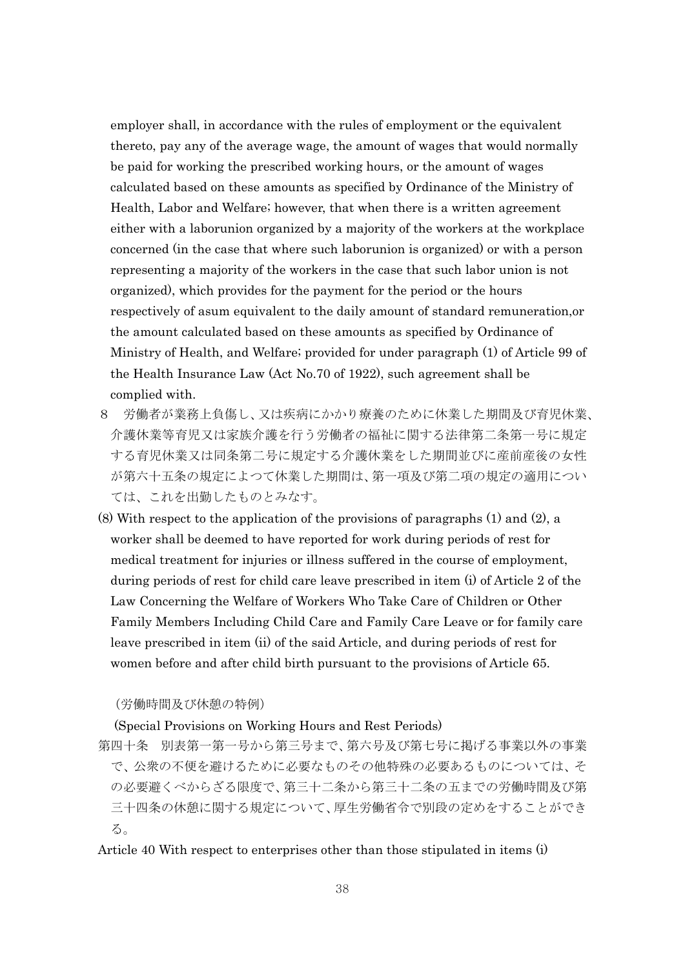employer shall, in accordance with the rules of employment or the equivalent thereto, pay any of the average wage, the amount of wages that would normally be paid for working the prescribed working hours, or the amount of wages calculated based on these amounts as specified by Ordinance of the Ministry of Health, Labor and Welfare; however, that when there is a written agreement either with a laborunion organized by a majority of the workers at the workplace concerned (in the case that where such laborunion is organized) or with a person representing a majority of the workers in the case that such labor union is not organized), which provides for the payment for the period or the hours respectively of asum equivalent to the daily amount of standard remuneration,or the amount calculated based on these amounts as specified by Ordinance of Ministry of Health, and Welfare; provided for under paragraph (1) of Article 99 of the Health Insurance Law (Act No.70 of 1922), such agreement shall be complied with.

- 8 労働者が業務上負傷し、又は疾病にかかり療養のために休業した期間及び育児休業、 介護休業等育児又は家族介護を行う労働者の福祉に関する法律第二条第一号に規定 する育児休業又は同条第二号に規定する介護休業をした期間並びに産前産後の女性 が第六十五条の規定によつて休業した期間は、第一項及び第二項の規定の適用につい ては、これを出勤したものとみなす。
- (8) With respect to the application of the provisions of paragraphs (1) and (2), a worker shall be deemed to have reported for work during periods of rest for medical treatment for injuries or illness suffered in the course of employment, during periods of rest for child care leave prescribed in item (i) of Article 2 of the Law Concerning the Welfare of Workers Who Take Care of Children or Other Family Members Including Child Care and Family Care Leave or for family care leave prescribed in item (ii) of the said Article, and during periods of rest for women before and after child birth pursuant to the provisions of Article 65.

(労働時間及び休憩の特例)

(Special Provisions on Working Hours and Rest Periods)

- 第四十条 別表第一第一号から第三号まで、第六号及び第七号に掲げる事業以外の事業 で、公衆の不便を避けるために必要なものその他特殊の必要あるものについては、そ の必要避くべからざる限度で、第三十二条から第三十二条の五までの労働時間及び第 三十四条の休憩に関する規定について、厚生労働省令で別段の定めをすることができ る。
- Article 40 With respect to enterprises other than those stipulated in items (i)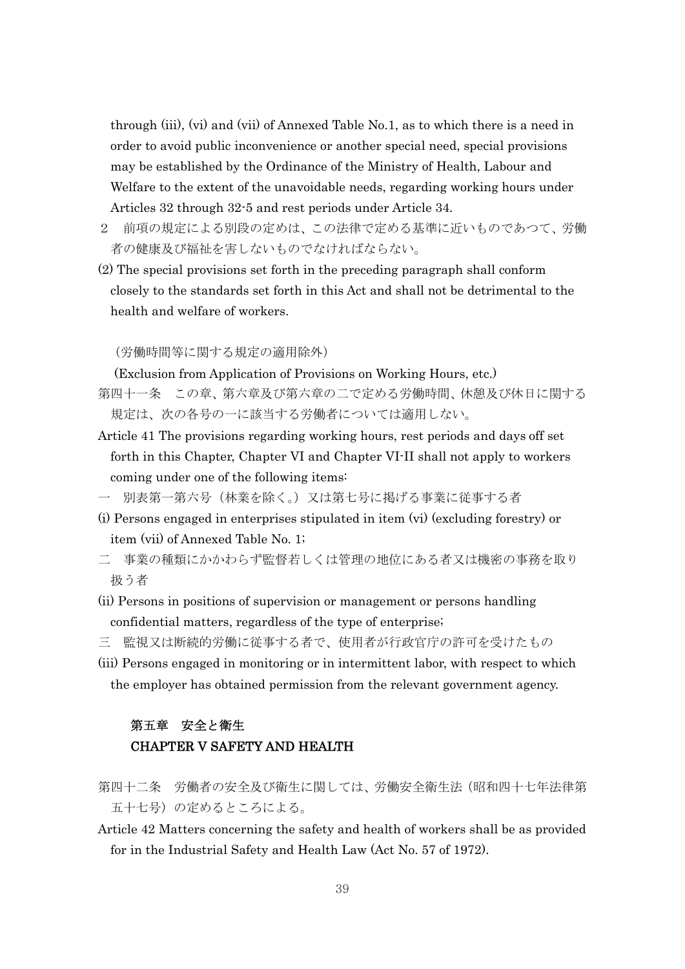through (iii), (vi) and (vii) of Annexed Table No.1, as to which there is a need in order to avoid public inconvenience or another special need, special provisions may be established by the Ordinance of the Ministry of Health, Labour and Welfare to the extent of the unavoidable needs, regarding working hours under Articles 32 through 32-5 and rest periods under Article 34.

- 2 前項の規定による別段の定めは、この法律で定める基準に近いものであつて、労働 者の健康及び福祉を害しないものでなければならない。
- (2) The special provisions set forth in the preceding paragraph shall conform closely to the standards set forth in this Act and shall not be detrimental to the health and welfare of workers.

(労働時間等に関する規定の適用除外)

(Exclusion from Application of Provisions on Working Hours, etc.)

- 第四十一条 この章、第六章及び第六章の二で定める労働時間、休憩及び休日に関する 規定は、次の各号の一に該当する労働者については適用しない。
- Article 41 The provisions regarding working hours, rest periods and days off set forth in this Chapter, Chapter VI and Chapter VI-II shall not apply to workers coming under one of the following items:
- 一 別表第一第六号(林業を除く。)又は第七号に掲げる事業に従事する者
- (i) Persons engaged in enterprises stipulated in item (vi) (excluding forestry) or item (vii) of Annexed Table No. 1;
- 二 事業の種類にかかわらず監督若しくは管理の地位にある者又は機密の事務を取り 扱う者
- (ii) Persons in positions of supervision or management or persons handling confidential matters, regardless of the type of enterprise;
- 三 監視又は断続的労働に従事する者で、使用者が行政官庁の許可を受けたもの
- (iii) Persons engaged in monitoring or in intermittent labor, with respect to which the employer has obtained permission from the relevant government agency.

# 第五章 安全と衛生 CHAPTER V SAFETY AND HEALTH

- 第四十二条 労働者の安全及び衛生に関しては、労働安全衛生法(昭和四十七年法律第 五十七号)の定めるところによる。
- Article 42 Matters concerning the safety and health of workers shall be as provided for in the Industrial Safety and Health Law (Act No. 57 of 1972).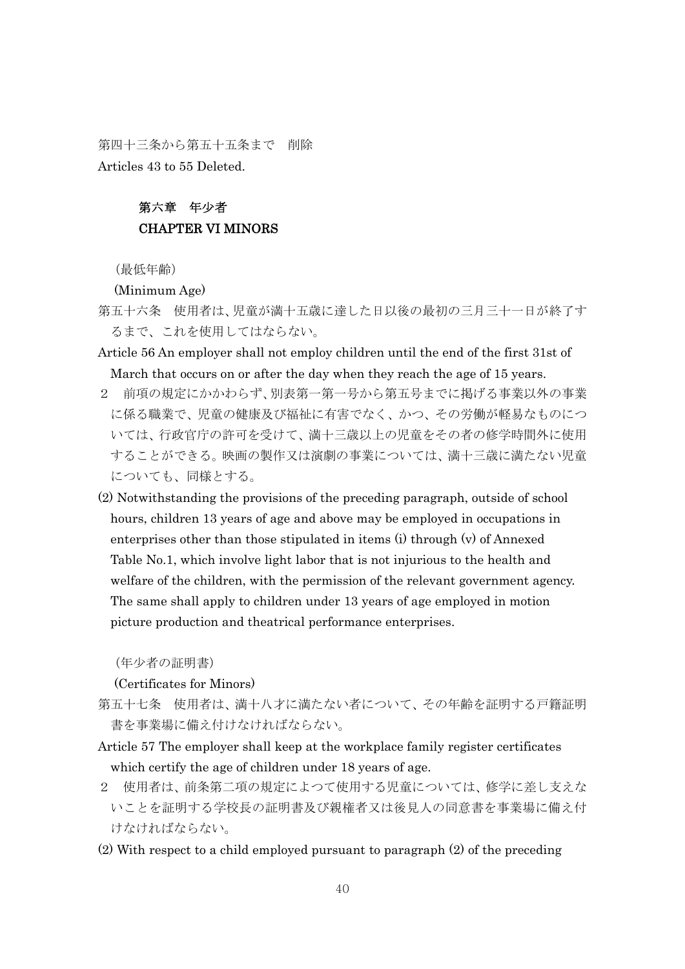第四十三条から第五十五条まで 削除 Articles 43 to 55 Deleted.

# 第六章 年少者 CHAPTER VI MINORS

(最低年齢)

(Minimum Age)

- 第五十六条 使用者は、児童が満十五歳に達した日以後の最初の三月三十一日が終了す るまで、これを使用してはならない。
- Article 56 An employer shall not employ children until the end of the first 31st of March that occurs on or after the day when they reach the age of 15 years.
- 2 前項の規定にかかわらず、別表第一第一号から第五号までに掲げる事業以外の事業 に係る職業で、児童の健康及び福祉に有害でなく、かつ、その労働が軽易なものにつ いては、行政官庁の許可を受けて、満十三歳以上の児童をその者の修学時間外に使用 することができる。映画の製作又は演劇の事業については、満十三歳に満たない児童 についても、同様とする。
- (2) Notwithstanding the provisions of the preceding paragraph, outside of school hours, children 13 years of age and above may be employed in occupations in enterprises other than those stipulated in items (i) through (v) of Annexed Table No.1, which involve light labor that is not injurious to the health and welfare of the children, with the permission of the relevant government agency. The same shall apply to children under 13 years of age employed in motion picture production and theatrical performance enterprises.

(年少者の証明書)

(Certificates for Minors)

- 第五十七条 使用者は、満十八才に満たない者について、その年齢を証明する戸籍証明 書を事業場に備え付けなければならない。
- Article 57 The employer shall keep at the workplace family register certificates which certify the age of children under 18 years of age.
- 2 使用者は、前条第二項の規定によつて使用する児童については、修学に差し支えな いことを証明する学校長の証明書及び親権者又は後見人の同意書を事業場に備え付 けなければならない。
- (2) With respect to a child employed pursuant to paragraph (2) of the preceding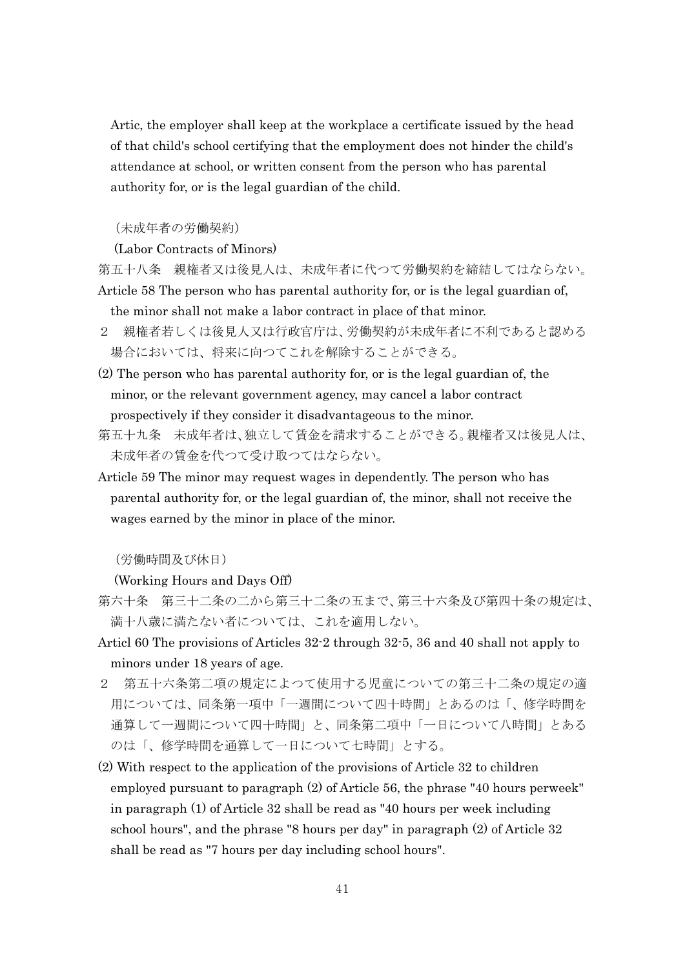Artic, the employer shall keep at the workplace a certificate issued by the head of that child's school certifying that the employment does not hinder the child's attendance at school, or written consent from the person who has parental authority for, or is the legal guardian of the child.

#### (未成年者の労働契約)

(Labor Contracts of Minors)

第五十八条 親権者又は後見人は、未成年者に代つて労働契約を締結してはならない。 Article 58 The person who has parental authority for, or is the legal guardian of, the minor shall not make a labor contract in place of that minor.

- 2 親権者若しくは後見人又は行政官庁は、労働契約が未成年者に不利であると認める 場合においては、将来に向つてこれを解除することができる。
- (2) The person who has parental authority for, or is the legal guardian of, the minor, or the relevant government agency, may cancel a labor contract prospectively if they consider it disadvantageous to the minor.
- 第五十九条 未成年者は、独立して賃金を請求することができる。親権者又は後見人は、 未成年者の賃金を代つて受け取つてはならない。
- Article 59 The minor may request wages in dependently. The person who has parental authority for, or the legal guardian of, the minor, shall not receive the wages earned by the minor in place of the minor.

(労働時間及び休日)

(Working Hours and Days Off)

- 第六十条 第三十二条の二から第三十二条の五まで、第三十六条及び第四十条の規定は、 満十八歳に満たない者については、これを適用しない。
- Articl 60 The provisions of Articles 32-2 through 32-5, 36 and 40 shall not apply to minors under 18 years of age.
- 2 第五十六条第二項の規定によつて使用する児童についての第三十二条の規定の適 用については、同条第一項中「一週間について四十時間」とあるのは「、修学時間を 通算して一週間について四十時間」と、同条第二項中「一日について八時間」とある のは「、修学時間を通算して一日について七時間」とする。
- (2) With respect to the application of the provisions of Article 32 to children employed pursuant to paragraph (2) of Article 56, the phrase "40 hours perweek" in paragraph (1) of Article 32 shall be read as "40 hours per week including school hours", and the phrase "8 hours per day" in paragraph (2) of Article 32 shall be read as "7 hours per day including school hours".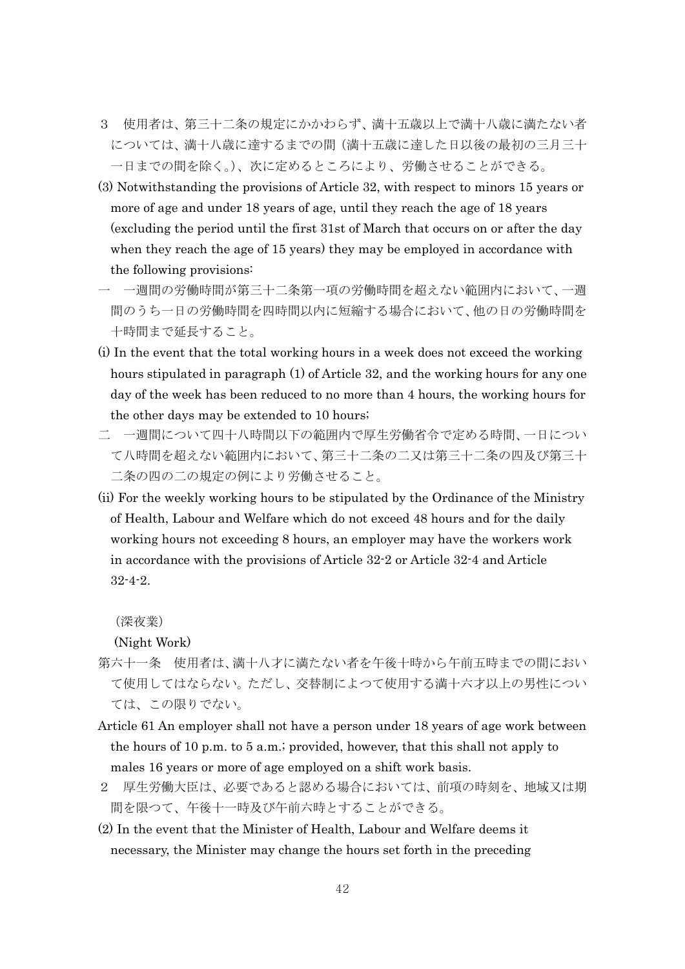- 3 使用者は、第三十二条の規定にかかわらず、満十五歳以上で満十八歳に満たない者 については、満十八歳に達するまでの間(満十五歳に達した日以後の最初の三月三十 一日までの間を除く。)、次に定めるところにより、労働させることができる。
- (3) Notwithstanding the provisions of Article 32, with respect to minors 15 years or more of age and under 18 years of age, until they reach the age of 18 years (excluding the period until the first 31st of March that occurs on or after the day when they reach the age of 15 years) they may be employed in accordance with the following provisions:
- 一 一週間の労働時間が第三十二条第一項の労働時間を超えない範囲内において、一週 間のうち一日の労働時間を四時間以内に短縮する場合において、他の日の労働時間を 十時間まで延長すること。
- (i) In the event that the total working hours in a week does not exceed the working hours stipulated in paragraph (1) of Article 32, and the working hours for any one day of the week has been reduced to no more than 4 hours, the working hours for the other days may be extended to 10 hours;
- 二 一週間について四十八時間以下の範囲内で厚生労働省令で定める時間、一日につい て八時間を超えない範囲内において、第三十二条の二又は第三十二条の四及び第三十 二条の四の二の規定の例により労働させること。
- (ii) For the weekly working hours to be stipulated by the Ordinance of the Ministry of Health, Labour and Welfare which do not exceed 48 hours and for the daily working hours not exceeding 8 hours, an employer may have the workers work in accordance with the provisions of Article 32-2 or Article 32-4 and Article 32-4-2.

(深夜業)

(Night Work)

- 第六十一条 使用者は、満十八才に満たない者を午後十時から午前五時までの間におい て使用してはならない。ただし、交替制によつて使用する満十六才以上の男性につい ては、この限りでない。
- Article 61 An employer shall not have a person under 18 years of age work between the hours of 10 p.m. to 5 a.m.; provided, however, that this shall not apply to males 16 years or more of age employed on a shift work basis.
- 2 厚生労働大臣は、必要であると認める場合においては、前項の時刻を、地域又は期 間を限つて、午後十一時及び午前六時とすることができる。
- (2) In the event that the Minister of Health, Labour and Welfare deems it necessary, the Minister may change the hours set forth in the preceding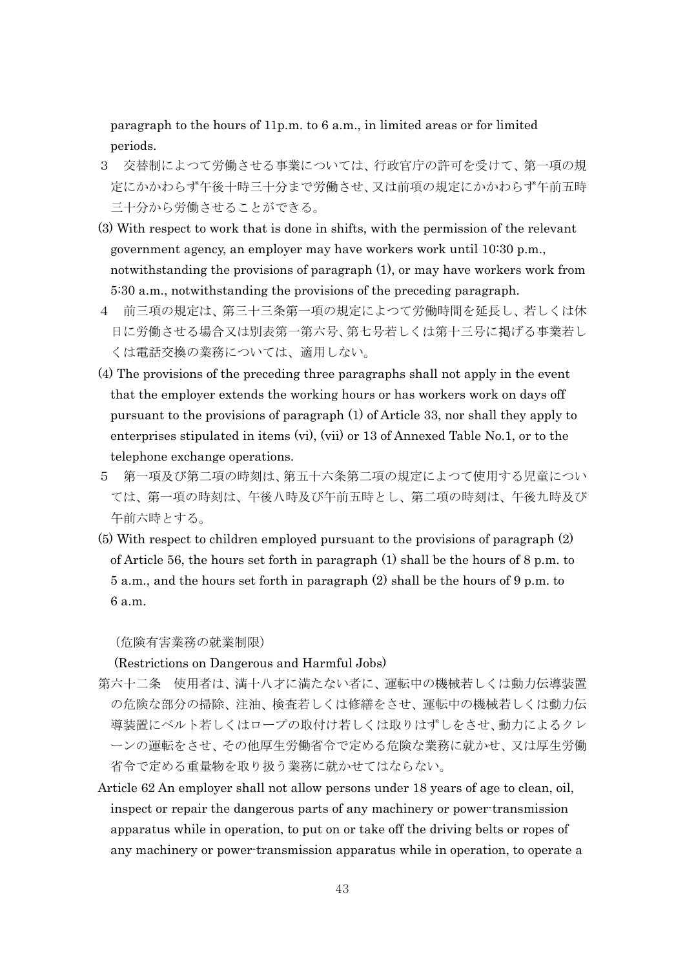paragraph to the hours of 11p.m. to 6 a.m., in limited areas or for limited periods.

- 3 交替制によつて労働させる事業については、行政官庁の許可を受けて、第一項の規 定にかかわらず午後十時三十分まで労働させ、又は前項の規定にかかわらず午前五時 三十分から労働させることができる。
- (3) With respect to work that is done in shifts, with the permission of the relevant government agency, an employer may have workers work until 10:30 p.m., notwithstanding the provisions of paragraph (1), or may have workers work from 5:30 a.m., notwithstanding the provisions of the preceding paragraph.
- 4 前三項の規定は、第三十三条第一項の規定によつて労働時間を延長し、若しくは休 日に労働させる場合又は別表第一第六号、第七号若しくは第十三号に掲げる事業若し くは電話交換の業務については、適用しない。
- (4) The provisions of the preceding three paragraphs shall not apply in the event that the employer extends the working hours or has workers work on days off pursuant to the provisions of paragraph (1) of Article 33, nor shall they apply to enterprises stipulated in items (vi), (vii) or 13 of Annexed Table No.1, or to the telephone exchange operations.
- 5 第一項及び第二項の時刻は、第五十六条第二項の規定によつて使用する児童につい ては、第一項の時刻は、午後八時及び午前五時とし、第二項の時刻は、午後九時及び 午前六時とする。
- (5) With respect to children employed pursuant to the provisions of paragraph (2) of Article 56, the hours set forth in paragraph (1) shall be the hours of 8 p.m. to 5 a.m., and the hours set forth in paragraph (2) shall be the hours of 9 p.m. to 6 a.m.

(危険有害業務の就業制限)

(Restrictions on Dangerous and Harmful Jobs)

- 第六十二条 使用者は、満十八才に満たない者に、運転中の機械若しくは動力伝導装置 の危険な部分の掃除、注油、検査若しくは修繕をさせ、運転中の機械若しくは動力伝 導装置にベルト若しくはロープの取付け若しくは取りはずしをさせ、動力によるクレ ーンの運転をさせ、その他厚生労働省令で定める危険な業務に就かせ、又は厚生労働 省令で定める重量物を取り扱う業務に就かせてはならない。
- Article 62 An employer shall not allow persons under 18 years of age to clean, oil, inspect or repair the dangerous parts of any machinery or power-transmission apparatus while in operation, to put on or take off the driving belts or ropes of any machinery or power-transmission apparatus while in operation, to operate a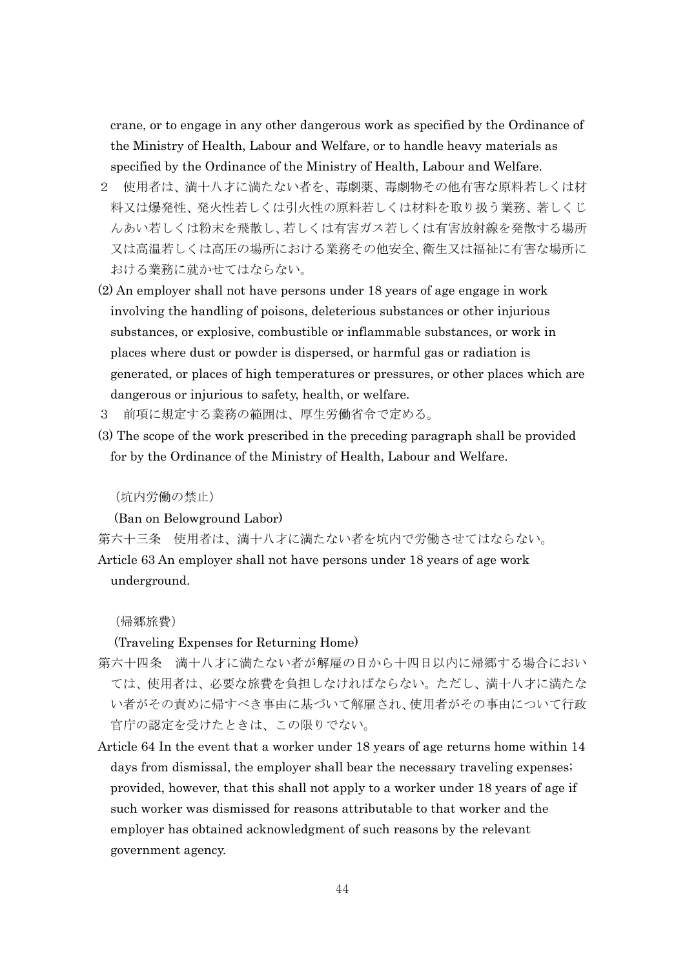crane, or to engage in any other dangerous work as specified by the Ordinance of the Ministry of Health, Labour and Welfare, or to handle heavy materials as specified by the Ordinance of the Ministry of Health, Labour and Welfare.

- 2 使用者は、満十八才に満たない者を、毒劇薬、毒劇物その他有害な原料若しくは材 料又は爆発性、発火性若しくは引火性の原料若しくは材料を取り扱う業務、著しくじ んあい若しくは粉末を飛散し、若しくは有害ガス若しくは有害放射線を発散する場所 又は高温若しくは高圧の場所における業務その他安全、衛生又は福祉に有害な場所に おける業務に就かせてはならない。
- (2) An employer shall not have persons under 18 years of age engage in work involving the handling of poisons, deleterious substances or other injurious substances, or explosive, combustible or inflammable substances, or work in places where dust or powder is dispersed, or harmful gas or radiation is generated, or places of high temperatures or pressures, or other places which are dangerous or injurious to safety, health, or welfare.
- 3 前項に規定する業務の範囲は、厚生労働省令で定める。
- (3) The scope of the work prescribed in the preceding paragraph shall be provided for by the Ordinance of the Ministry of Health, Labour and Welfare.

(坑内労働の禁止)

(Ban on Belowground Labor)

第六十三条 使用者は、満十八才に満たない者を坑内で労働させてはならない。 Article 63 An employer shall not have persons under 18 years of age work underground.

(帰郷旅費)

(Traveling Expenses for Returning Home)

- 第六十四条 満十八才に満たない者が解雇の日から十四日以内に帰郷する場合におい ては、使用者は、必要な旅費を負担しなければならない。ただし、満十八才に満たな い者がその責めに帰すべき事由に基づいて解雇され、使用者がその事由について行政 官庁の認定を受けたときは、この限りでない。
- Article 64 In the event that a worker under 18 years of age returns home within 14 days from dismissal, the employer shall bear the necessary traveling expenses; provided, however, that this shall not apply to a worker under 18 years of age if such worker was dismissed for reasons attributable to that worker and the employer has obtained acknowledgment of such reasons by the relevant government agency.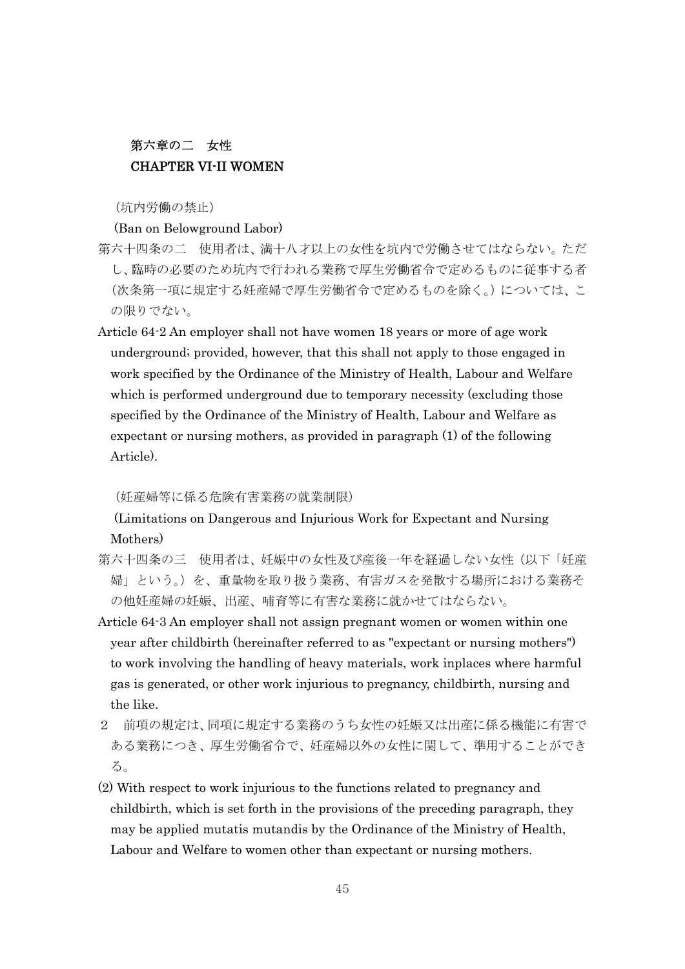## 第六章の二 女性 CHAPTER VI-II WOMEN

(坑内労働の禁止)

#### (Ban on Belowground Labor)

- 第六十四条の二 使用者は、満十八才以上の女性を坑内で労働させてはならない。ただ し、臨時の必要のため坑内で行われる業務で厚生労働省令で定めるものに従事する者 (次条第一項に規定する妊産婦で厚生労働省令で定めるものを除く。)については、こ の限りでない。
- Article 64-2 An employer shall not have women 18 years or more of age work underground; provided, however, that this shall not apply to those engaged in work specified by the Ordinance of the Ministry of Health, Labour and Welfare which is performed underground due to temporary necessity (excluding those specified by the Ordinance of the Ministry of Health, Labour and Welfare as expectant or nursing mothers, as provided in paragraph (1) of the following Article).

### (妊産婦等に係る危険有害業務の就業制限)

(Limitations on Dangerous and Injurious Work for Expectant and Nursing Mothers)

- 第六十四条の三 使用者は、妊娠中の女性及び産後一年を経過しない女性(以下「妊産 婦」という。)を、重量物を取り扱う業務、有害ガスを発散する場所における業務そ の他妊産婦の妊娠、出産、哺育等に有害な業務に就かせてはならない。
- Article 64-3 An employer shall not assign pregnant women or women within one year after childbirth (hereinafter referred to as "expectant or nursing mothers") to work involving the handling of heavy materials, work inplaces where harmful gas is generated, or other work injurious to pregnancy, childbirth, nursing and the like.
- 2 前項の規定は、同項に規定する業務のうち女性の妊娠又は出産に係る機能に有害で ある業務につき、厚生労働省令で、妊産婦以外の女性に関して、準用することができ る。
- (2) With respect to work injurious to the functions related to pregnancy and childbirth, which is set forth in the provisions of the preceding paragraph, they may be applied mutatis mutandis by the Ordinance of the Ministry of Health, Labour and Welfare to women other than expectant or nursing mothers.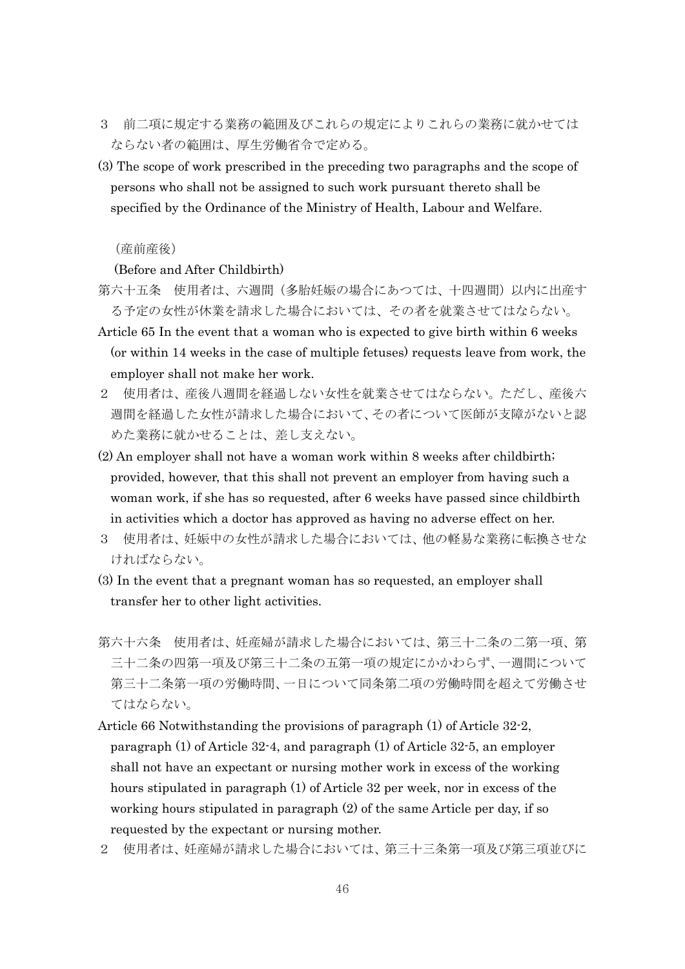- 3 前二項に規定する業務の範囲及びこれらの規定によりこれらの業務に就かせては ならない者の範囲は、厚生労働省令で定める。
- (3) The scope of work prescribed in the preceding two paragraphs and the scope of persons who shall not be assigned to such work pursuant thereto shall be specified by the Ordinance of the Ministry of Health, Labour and Welfare.

### (産前産後)

(Before and After Childbirth)

- 第六十五条 使用者は、六週間(多胎妊娠の場合にあつては、十四週間)以内に出産す る予定の女性が休業を請求した場合においては、その者を就業させてはならない。
- Article 65 In the event that a woman who is expected to give birth within 6 weeks (or within 14 weeks in the case of multiple fetuses) requests leave from work, the employer shall not make her work.
- 2 使用者は、産後八週間を経過しない女性を就業させてはならない。ただし、産後六 週間を経過した女性が請求した場合において、その者について医師が支障がないと認 めた業務に就かせることは、差し支えない。
- (2) An employer shall not have a woman work within 8 weeks after childbirth; provided, however, that this shall not prevent an employer from having such a woman work, if she has so requested, after 6 weeks have passed since childbirth in activities which a doctor has approved as having no adverse effect on her.
- 3 使用者は、妊娠中の女性が請求した場合においては、他の軽易な業務に転換させな ければならない。
- (3) In the event that a pregnant woman has so requested, an employer shall transfer her to other light activities.
- 第六十六条 使用者は、妊産婦が請求した場合においては、第三十二条の二第一項、第 三十二条の四第一項及び第三十二条の五第一項の規定にかかわらず、一週間について 第三十二条第一項の労働時間、一日について同条第二項の労働時間を超えて労働させ てはならない。
- Article 66 Notwithstanding the provisions of paragraph (1) of Article 32-2, paragraph (1) of Article 32-4, and paragraph (1) of Article 32-5, an employer shall not have an expectant or nursing mother work in excess of the working hours stipulated in paragraph (1) of Article 32 per week, nor in excess of the working hours stipulated in paragraph (2) of the same Article per day, if so requested by the expectant or nursing mother.
- 2 使用者は、妊産婦が請求した場合においては、第三十三条第一項及び第三項並びに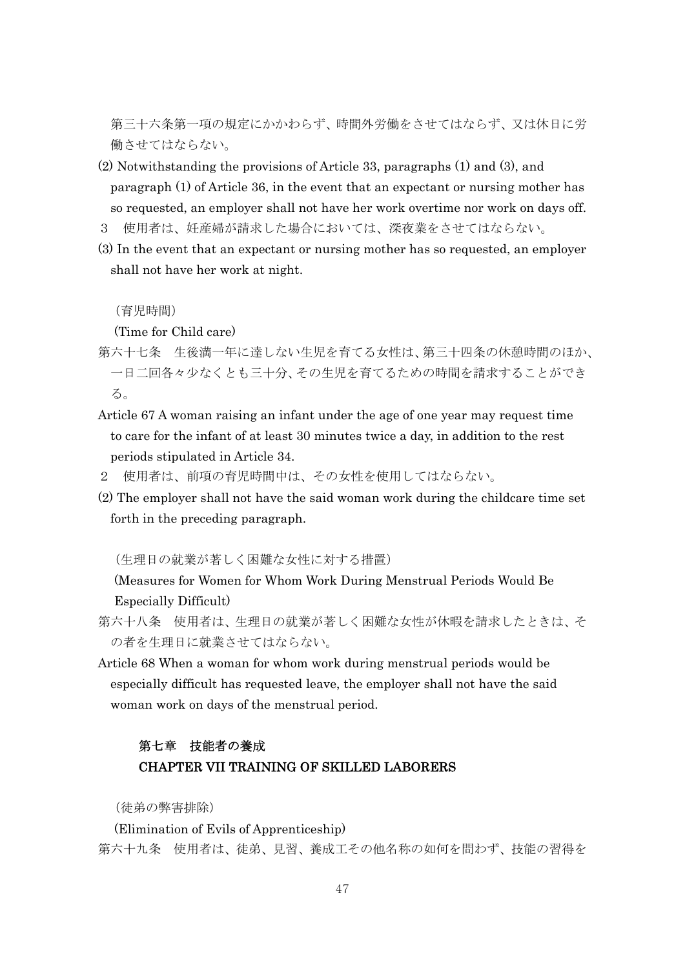第三十六条第一項の規定にかかわらず、時間外労働をさせてはならず、又は休日に労 働させてはならない。

- (2) Notwithstanding the provisions of Article 33, paragraphs (1) and (3), and paragraph (1) of Article 36, in the event that an expectant or nursing mother has so requested, an employer shall not have her work overtime nor work on days off.
- 3 使用者は、妊産婦が請求した場合においては、深夜業をさせてはならない。
- (3) In the event that an expectant or nursing mother has so requested, an employer shall not have her work at night.

(育児時間)

(Time for Child care)

- 第六十七条 生後満一年に達しない生児を育てる女性は、第三十四条の休憩時間のほか、 一日二回各々少なくとも三十分、その生児を育てるための時間を請求することができ る。
- Article 67 A woman raising an infant under the age of one year may request time to care for the infant of at least 30 minutes twice a day, in addition to the rest periods stipulated in Article 34.
- 2 使用者は、前項の育児時間中は、その女性を使用してはならない。
- (2) The employer shall not have the said woman work during the childcare time set forth in the preceding paragraph.

(生理日の就業が著しく困難な女性に対する措置)

(Measures for Women for Whom Work During Menstrual Periods Would Be Especially Difficult)

- 第六十八条 使用者は、生理日の就業が著しく困難な女性が休暇を請求したときは、そ の者を生理日に就業させてはならない。
- Article 68 When a woman for whom work during menstrual periods would be especially difficult has requested leave, the employer shall not have the said woman work on days of the menstrual period.

# 第七章 技能者の養成 CHAPTER VII TRAINING OF SKILLED LABORERS

(徒弟の弊害排除)

(Elimination of Evils of Apprenticeship) 第六十九条 使用者は、徒弟、見習、養成工その他名称の如何を問わず、技能の習得を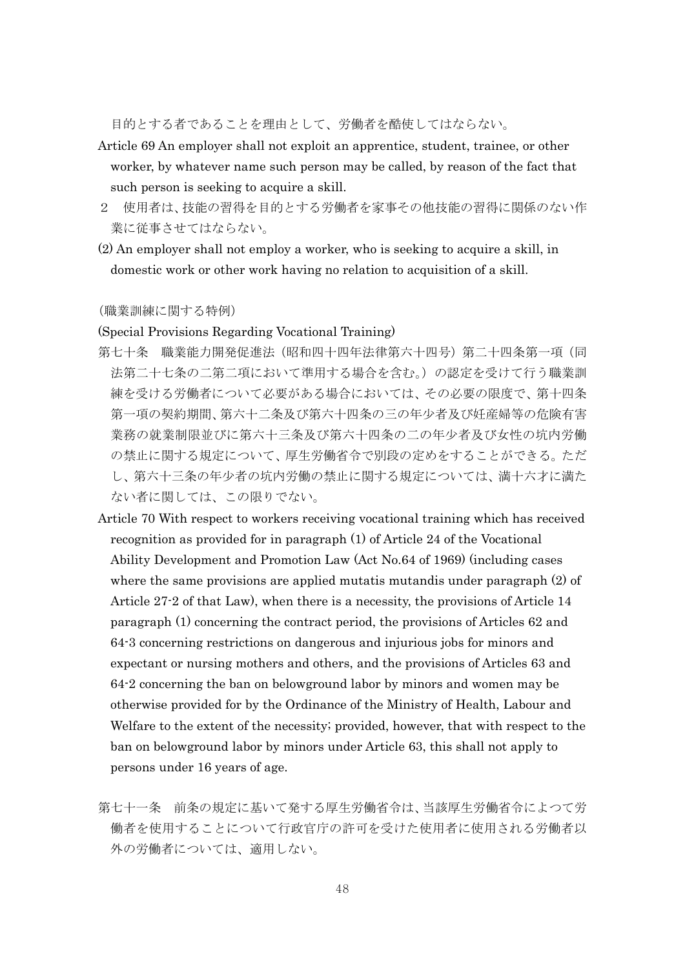目的とする者であることを理由として、労働者を酷使してはならない。

- Article 69 An employer shall not exploit an apprentice, student, trainee, or other worker, by whatever name such person may be called, by reason of the fact that such person is seeking to acquire a skill.
- 2 使用者は、技能の習得を目的とする労働者を家事その他技能の習得に関係のない作 業に従事させてはならない。
- (2) An employer shall not employ a worker, who is seeking to acquire a skill, in domestic work or other work having no relation to acquisition of a skill.

#### (職業訓練に関する特例)

#### (Special Provisions Regarding Vocational Training)

- 第七十条 職業能力開発促進法(昭和四十四年法律第六十四号)第二十四条第一項(同 法第二十七条の二第二項において準用する場合を含む。)の認定を受けて行う職業訓 練を受ける労働者について必要がある場合においては、その必要の限度で、第十四条 第一項の契約期間、第六十二条及び第六十四条の三の年少者及び妊産婦等の危険有害 業務の就業制限並びに第六十三条及び第六十四条の二の年少者及び女性の坑内労働 の禁止に関する規定について、厚生労働省令で別段の定めをすることができる。ただ し、第六十三条の年少者の坑内労働の禁止に関する規定については、満十六才に満た ない者に関しては、この限りでない。
- Article 70 With respect to workers receiving vocational training which has received recognition as provided for in paragraph (1) of Article 24 of the Vocational Ability Development and Promotion Law (Act No.64 of 1969) (including cases where the same provisions are applied mutatis mutandis under paragraph (2) of Article 27-2 of that Law), when there is a necessity, the provisions of Article 14 paragraph (1) concerning the contract period, the provisions of Articles 62 and 64-3 concerning restrictions on dangerous and injurious jobs for minors and expectant or nursing mothers and others, and the provisions of Articles 63 and 64-2 concerning the ban on belowground labor by minors and women may be otherwise provided for by the Ordinance of the Ministry of Health, Labour and Welfare to the extent of the necessity; provided, however, that with respect to the ban on belowground labor by minors under Article 63, this shall not apply to persons under 16 years of age.
- 第七十一条 前条の規定に基いて発する厚生労働省令は、当該厚生労働省令によつて労 働者を使用することについて行政官庁の許可を受けた使用者に使用される労働者以 外の労働者については、適用しない。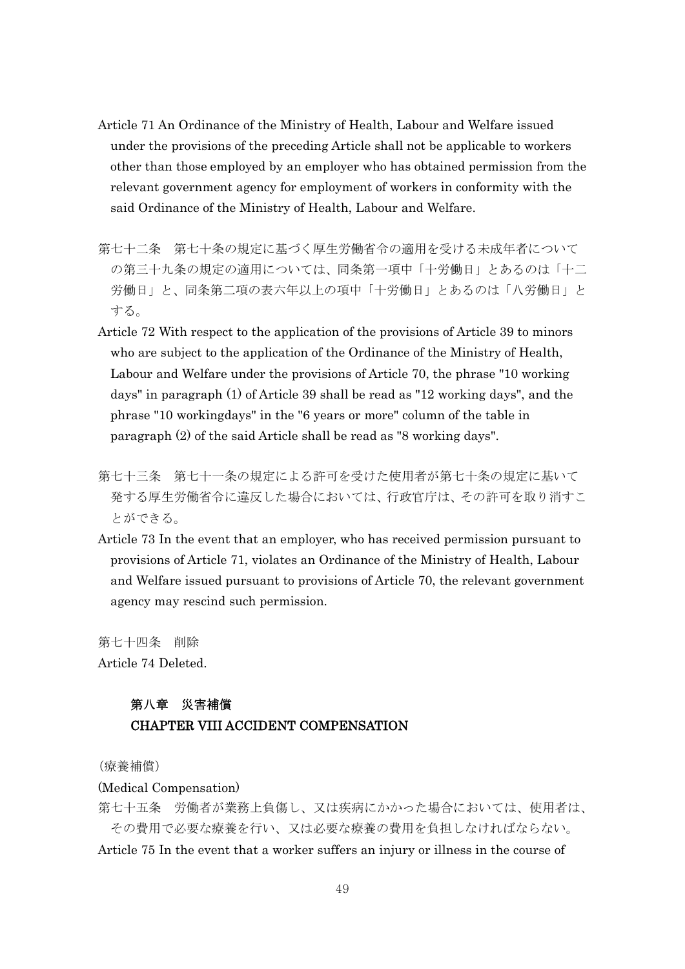- Article 71 An Ordinance of the Ministry of Health, Labour and Welfare issued under the provisions of the preceding Article shall not be applicable to workers other than those employed by an employer who has obtained permission from the relevant government agency for employment of workers in conformity with the said Ordinance of the Ministry of Health, Labour and Welfare.
- 第七十二条 第七十条の規定に基づく厚生労働省令の適用を受ける未成年者について の第三十九条の規定の適用については、同条第一項中「十労働日」とあるのは「十二 労働日」と、同条第二項の表六年以上の項中「十労働日」とあるのは「八労働日」と する。
- Article 72 With respect to the application of the provisions of Article 39 to minors who are subject to the application of the Ordinance of the Ministry of Health, Labour and Welfare under the provisions of Article 70, the phrase "10 working days" in paragraph (1) of Article 39 shall be read as "12 working days", and the phrase "10 workingdays" in the "6 years or more" column of the table in paragraph (2) of the said Article shall be read as "8 working days".
- 第七十三条 第七十一条の規定による許可を受けた使用者が第七十条の規定に基いて 発する厚生労働省令に違反した場合においては、行政官庁は、その許可を取り消すこ とができる。
- Article 73 In the event that an employer, who has received permission pursuant to provisions of Article 71, violates an Ordinance of the Ministry of Health, Labour and Welfare issued pursuant to provisions of Article 70, the relevant government agency may rescind such permission.

第七十四条 削除 Article 74 Deleted.

## 第八章 災害補償 CHAPTER VIII ACCIDENT COMPENSATION

(療養補償)

(Medical Compensation)

第七十五条 労働者が業務上負傷し、又は疾病にかかった場合においては、使用者は、 その費用で必要な療養を行い、又は必要な療養の費用を負担しなければならない。 Article 75 In the event that a worker suffers an injury or illness in the course of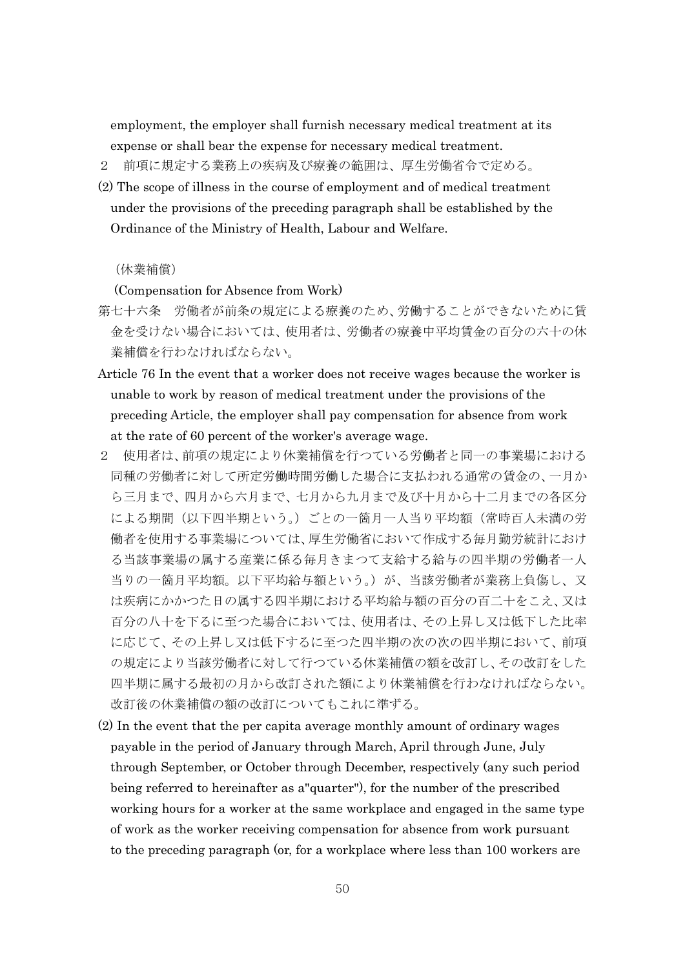employment, the employer shall furnish necessary medical treatment at its expense or shall bear the expense for necessary medical treatment.

- 2 前項に規定する業務上の疾病及び療養の範囲は、厚生労働省令で定める。
- (2) The scope of illness in the course of employment and of medical treatment under the provisions of the preceding paragraph shall be established by the Ordinance of the Ministry of Health, Labour and Welfare.

### (休業補償)

(Compensation for Absence from Work)

- 第七十六条 労働者が前条の規定による療養のため、労働することができないために賃 金を受けない場合においては、使用者は、労働者の療養中平均賃金の百分の六十の休 業補償を行わなければならない。
- Article 76 In the event that a worker does not receive wages because the worker is unable to work by reason of medical treatment under the provisions of the preceding Article, the employer shall pay compensation for absence from work at the rate of 60 percent of the worker's average wage.
- 2 使用者は、前項の規定により休業補償を行つている労働者と同一の事業場における 同種の労働者に対して所定労働時間労働した場合に支払われる通常の賃金の、一月か ら三月まで、四月から六月まで、七月から九月まで及び十月から十二月までの各区分 による期間(以下四半期という。)ごとの一箇月一人当り平均額(常時百人未満の労 働者を使用する事業場については、厚生労働省において作成する毎月勤労統計におけ る当該事業場の属する産業に係る毎月きまつて支給する給与の四半期の労働者一人 当りの一箇月平均額。以下平均給与額という。)が、当該労働者が業務上負傷し、又 は疾病にかかつた日の属する四半期における平均給与額の百分の百二十をこえ、又は 百分の八十を下るに至つた場合においては、使用者は、その上昇し又は低下した比率 に応じて、その上昇し又は低下するに至つた四半期の次の次の四半期において、前項 の規定により当該労働者に対して行つている休業補償の額を改訂し、その改訂をした 四半期に属する最初の月から改訂された額により休業補償を行わなければならない。 改訂後の休業補償の額の改訂についてもこれに準ずる。
- (2) In the event that the per capita average monthly amount of ordinary wages payable in the period of January through March, April through June, July through September, or October through December, respectively (any such period being referred to hereinafter as a"quarter"), for the number of the prescribed working hours for a worker at the same workplace and engaged in the same type of work as the worker receiving compensation for absence from work pursuant to the preceding paragraph (or, for a workplace where less than 100 workers are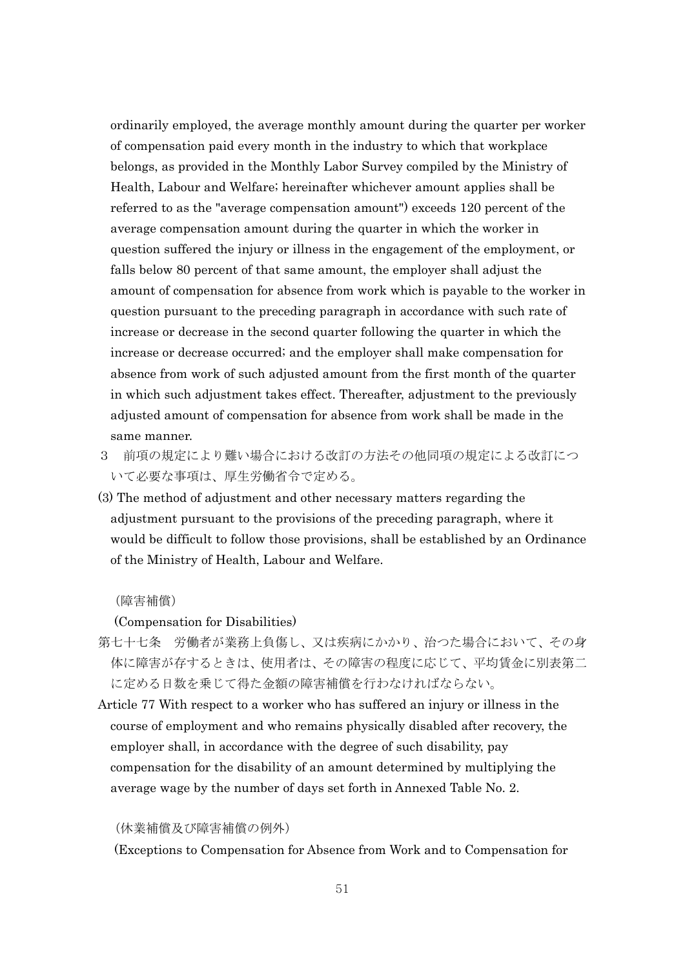ordinarily employed, the average monthly amount during the quarter per worker of compensation paid every month in the industry to which that workplace belongs, as provided in the Monthly Labor Survey compiled by the Ministry of Health, Labour and Welfare; hereinafter whichever amount applies shall be referred to as the "average compensation amount") exceeds 120 percent of the average compensation amount during the quarter in which the worker in question suffered the injury or illness in the engagement of the employment, or falls below 80 percent of that same amount, the employer shall adjust the amount of compensation for absence from work which is payable to the worker in question pursuant to the preceding paragraph in accordance with such rate of increase or decrease in the second quarter following the quarter in which the increase or decrease occurred; and the employer shall make compensation for absence from work of such adjusted amount from the first month of the quarter in which such adjustment takes effect. Thereafter, adjustment to the previously adjusted amount of compensation for absence from work shall be made in the same manner.

- 3 前項の規定により難い場合における改訂の方法その他同項の規定による改訂につ いて必要な事項は、厚生労働省令で定める。
- (3) The method of adjustment and other necessary matters regarding the adjustment pursuant to the provisions of the preceding paragraph, where it would be difficult to follow those provisions, shall be established by an Ordinance of the Ministry of Health, Labour and Welfare.

(障害補償)

(Compensation for Disabilities)

- 第七十七条 労働者が業務上負傷し、又は疾病にかかり、治つた場合において、その身 体に障害が存するときは、使用者は、その障害の程度に応じて、平均賃金に別表第二 に定める日数を乗じて得た金額の障害補償を行わなければならない。
- Article 77 With respect to a worker who has suffered an injury or illness in the course of employment and who remains physically disabled after recovery, the employer shall, in accordance with the degree of such disability, pay compensation for the disability of an amount determined by multiplying the average wage by the number of days set forth in Annexed Table No. 2.

(休業補償及び障害補償の例外)

(Exceptions to Compensation for Absence from Work and to Compensation for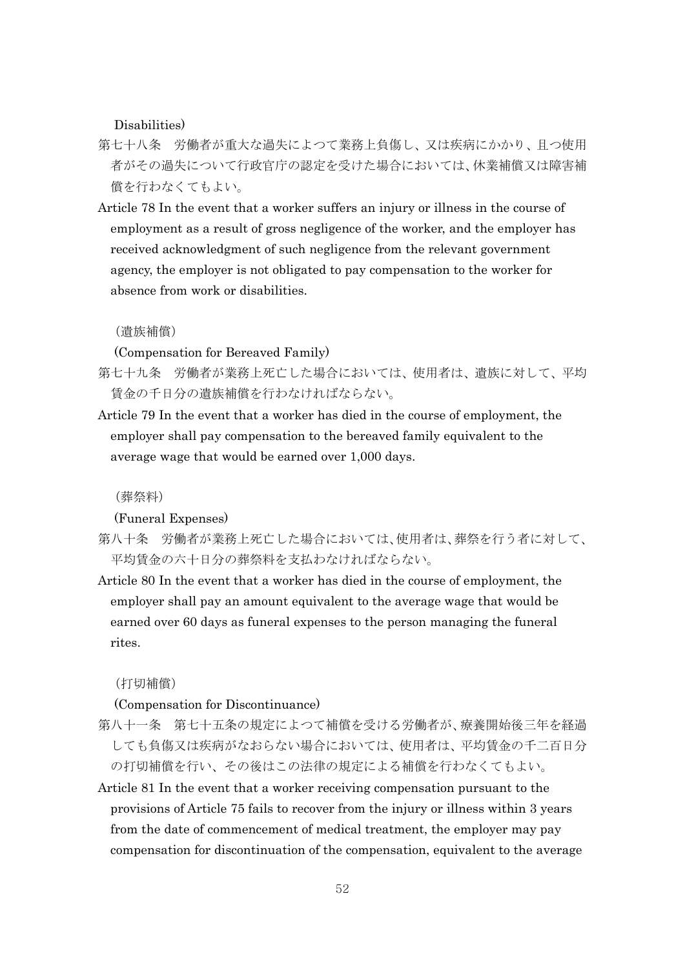Disabilities)

- 第七十八条 労働者が重大な過失によつて業務上負傷し、又は疾病にかかり、且つ使用 者がその過失について行政官庁の認定を受けた場合においては、休業補償又は障害補 償を行わなくてもよい。
- Article 78 In the event that a worker suffers an injury or illness in the course of employment as a result of gross negligence of the worker, and the employer has received acknowledgment of such negligence from the relevant government agency, the employer is not obligated to pay compensation to the worker for absence from work or disabilities.

(遺族補償)

(Compensation for Bereaved Family)

- 第七十九条 労働者が業務上死亡した場合においては、使用者は、遺族に対して、平均 賃金の千日分の遺族補償を行わなければならない。
- Article 79 In the event that a worker has died in the course of employment, the employer shall pay compensation to the bereaved family equivalent to the average wage that would be earned over 1,000 days.

(葬祭料)

(Funeral Expenses)

- 第八十条 労働者が業務上死亡した場合においては、使用者は、葬祭を行う者に対して、 平均賃金の六十日分の葬祭料を支払わなければならない。
- Article 80 In the event that a worker has died in the course of employment, the employer shall pay an amount equivalent to the average wage that would be earned over 60 days as funeral expenses to the person managing the funeral rites.

(打切補償)

(Compensation for Discontinuance)

- 第八十一条 第七十五条の規定によつて補償を受ける労働者が、療養開始後三年を経過 しても負傷又は疾病がなおらない場合においては、使用者は、平均賃金の千二百日分 の打切補償を行い、その後はこの法律の規定による補償を行わなくてもよい。
- Article 81 In the event that a worker receiving compensation pursuant to the provisions of Article 75 fails to recover from the injury or illness within 3 years from the date of commencement of medical treatment, the employer may pay compensation for discontinuation of the compensation, equivalent to the average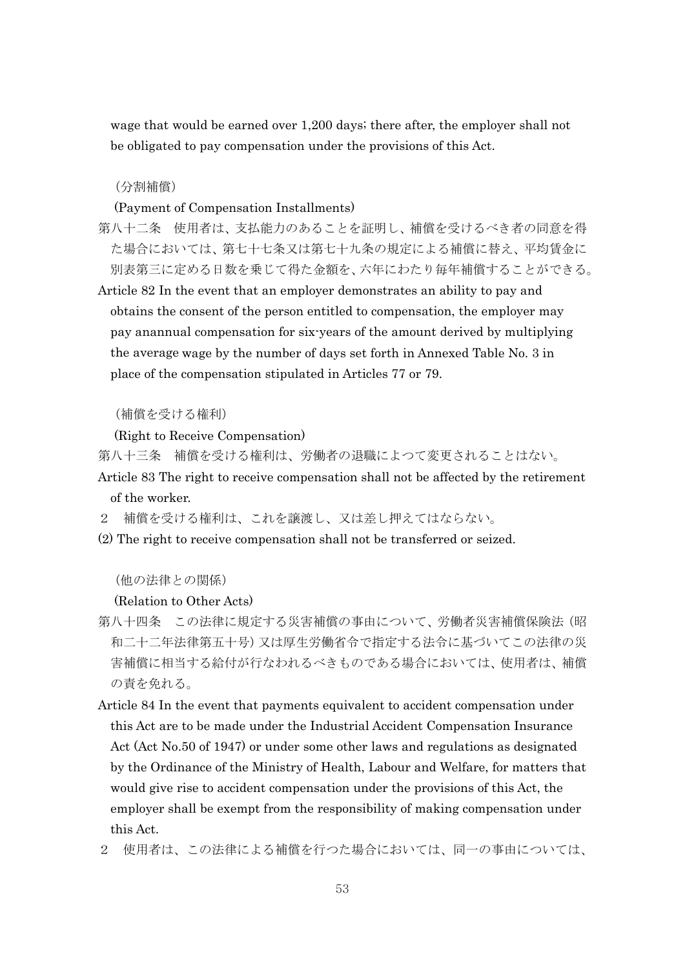wage that would be earned over 1,200 days; there after, the employer shall not be obligated to pay compensation under the provisions of this Act.

(分割補償)

(Payment of Compensation Installments)

- 第八十二条 使用者は、支払能力のあることを証明し、補償を受けるべき者の同意を得 た場合においては、第七十七条又は第七十九条の規定による補償に替え、平均賃金に 別表第三に定める日数を乗じて得た金額を、六年にわたり毎年補償することができる。
- Article 82 In the event that an employer demonstrates an ability to pay and obtains the consent of the person entitled to compensation, the employer may pay anannual compensation for six-years of the amount derived by multiplying the average wage by the number of days set forth in Annexed Table No. 3 in place of the compensation stipulated in Articles 77 or 79.

(補償を受ける権利)

(Right to Receive Compensation)

- 第八十三条 補償を受ける権利は、労働者の退職によつて変更されることはない。
- Article 83 The right to receive compensation shall not be affected by the retirement of the worker.
- 2 補償を受ける権利は、これを譲渡し、又は差し押えてはならない。
- (2) The right to receive compensation shall not be transferred or seized.

(他の法律との関係)

(Relation to Other Acts)

- 第八十四条 この法律に規定する災害補償の事由について、労働者災害補償保険法(昭 和二十二年法律第五十号)又は厚生労働省令で指定する法令に基づいてこの法律の災 害補償に相当する給付が行なわれるべきものである場合においては、使用者は、補償 の責を免れる。
- Article 84 In the event that payments equivalent to accident compensation under this Act are to be made under the Industrial Accident Compensation Insurance Act (Act No.50 of 1947) or under some other laws and regulations as designated by the Ordinance of the Ministry of Health, Labour and Welfare, for matters that would give rise to accident compensation under the provisions of this Act, the employer shall be exempt from the responsibility of making compensation under this Act.
- 2 使用者は、この法律による補償を行つた場合においては、同一の事由については、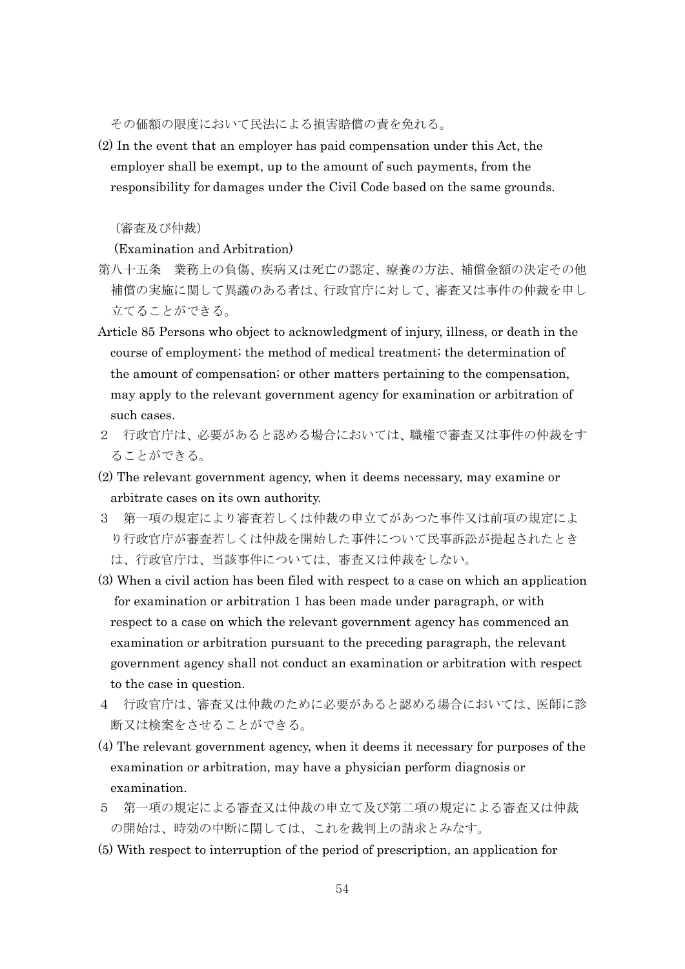その価額の限度において民法による損害賠償の責を免れる。

(2) In the event that an employer has paid compensation under this Act, the employer shall be exempt, up to the amount of such payments, from the responsibility for damages under the Civil Code based on the same grounds.

### (審査及び仲裁)

(Examination and Arbitration)

- 第八十五条 業務上の負傷、疾病又は死亡の認定、療養の方法、補償金額の決定その他 補償の実施に関して異議のある者は、行政官庁に対して、審査又は事件の仲裁を申し 立てることができる。
- Article 85 Persons who object to acknowledgment of injury, illness, or death in the course of employment; the method of medical treatment; the determination of the amount of compensation; or other matters pertaining to the compensation, may apply to the relevant government agency for examination or arbitration of such cases.
- 2 行政官庁は、必要があると認める場合においては、職権で審査又は事件の仲裁をす ることができる。
- (2) The relevant government agency, when it deems necessary, may examine or arbitrate cases on its own authority.
- 3 第一項の規定により審査若しくは仲裁の申立てがあつた事件又は前項の規定によ り行政官庁が審査若しくは仲裁を開始した事件について民事訴訟が提起されたとき は、行政官庁は、当該事件については、審査又は仲裁をしない。
- (3) When a civil action has been filed with respect to a case on which an application for examination or arbitration 1 has been made under paragraph, or with respect to a case on which the relevant government agency has commenced an examination or arbitration pursuant to the preceding paragraph, the relevant government agency shall not conduct an examination or arbitration with respect to the case in question.
- 4 行政官庁は、審査又は仲裁のために必要があると認める場合においては、医師に診 断又は検案をさせることができる。
- (4) The relevant government agency, when it deems it necessary for purposes of the examination or arbitration, may have a physician perform diagnosis or examination.
- 5 第一項の規定による審査又は仲裁の申立て及び第二項の規定による審査又は仲裁 の開始は、時効の中断に関しては、これを裁判上の請求とみなす。
- (5) With respect to interruption of the period of prescription, an application for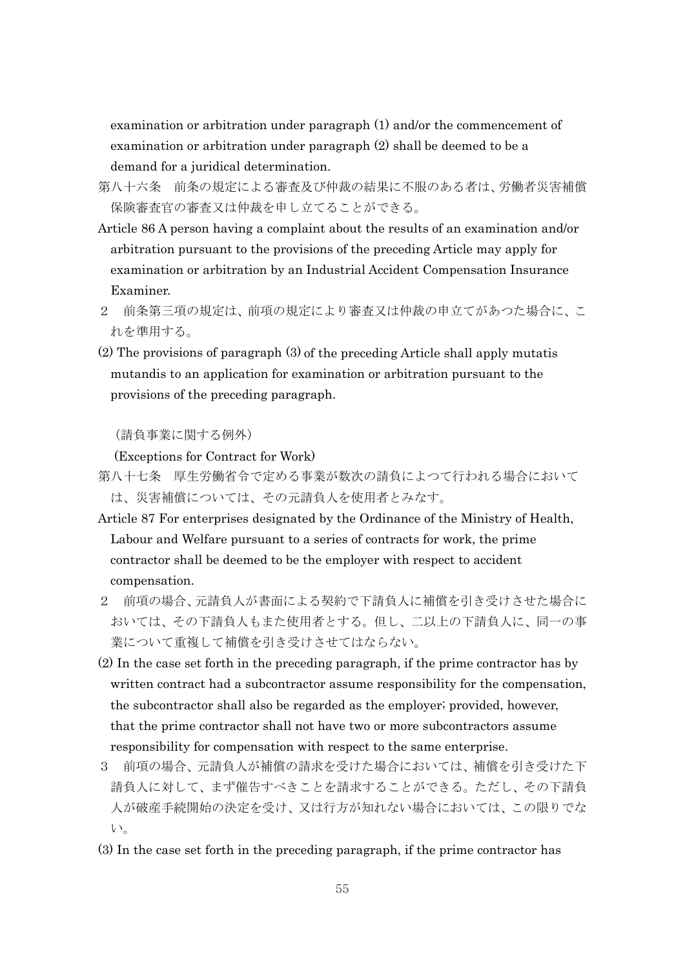examination or arbitration under paragraph (1) and/or the commencement of examination or arbitration under paragraph (2) shall be deemed to be a demand for a juridical determination.

- 第八十六条 前条の規定による審査及び仲裁の結果に不服のある者は、労働者災害補償 保険審査官の審査又は仲裁を申し立てることができる。
- Article 86 A person having a complaint about the results of an examination and/or arbitration pursuant to the provisions of the preceding Article may apply for examination or arbitration by an Industrial Accident Compensation Insurance Examiner.
- 2 前条第三項の規定は、前項の規定により審査又は仲裁の申立てがあつた場合に、こ れを準用する。
- (2) The provisions of paragraph (3) of the preceding Article shall apply mutatis mutandis to an application for examination or arbitration pursuant to the provisions of the preceding paragraph.

(請負事業に関する例外)

(Exceptions for Contract for Work)

- 第八十七条 厚生労働省令で定める事業が数次の請負によつて行われる場合において は、災害補償については、その元請負人を使用者とみなす。
- Article 87 For enterprises designated by the Ordinance of the Ministry of Health, Labour and Welfare pursuant to a series of contracts for work, the prime contractor shall be deemed to be the employer with respect to accident compensation.
- 2 前項の場合、元請負人が書面による契約で下請負人に補償を引き受けさせた場合に おいては、その下請負人もまた使用者とする。但し、二以上の下請負人に、同一の事 業について重複して補償を引き受けさせてはならない。
- (2) In the case set forth in the preceding paragraph, if the prime contractor has by written contract had a subcontractor assume responsibility for the compensation, the subcontractor shall also be regarded as the employer; provided, however, that the prime contractor shall not have two or more subcontractors assume responsibility for compensation with respect to the same enterprise.
- 3 前項の場合、元請負人が補償の請求を受けた場合においては、補償を引き受けた下 請負人に対して、まず催告すべきことを請求することができる。ただし、その下請負 人が破産手続開始の決定を受け、又は行方が知れない場合においては、この限りでな い。
- (3) In the case set forth in the preceding paragraph, if the prime contractor has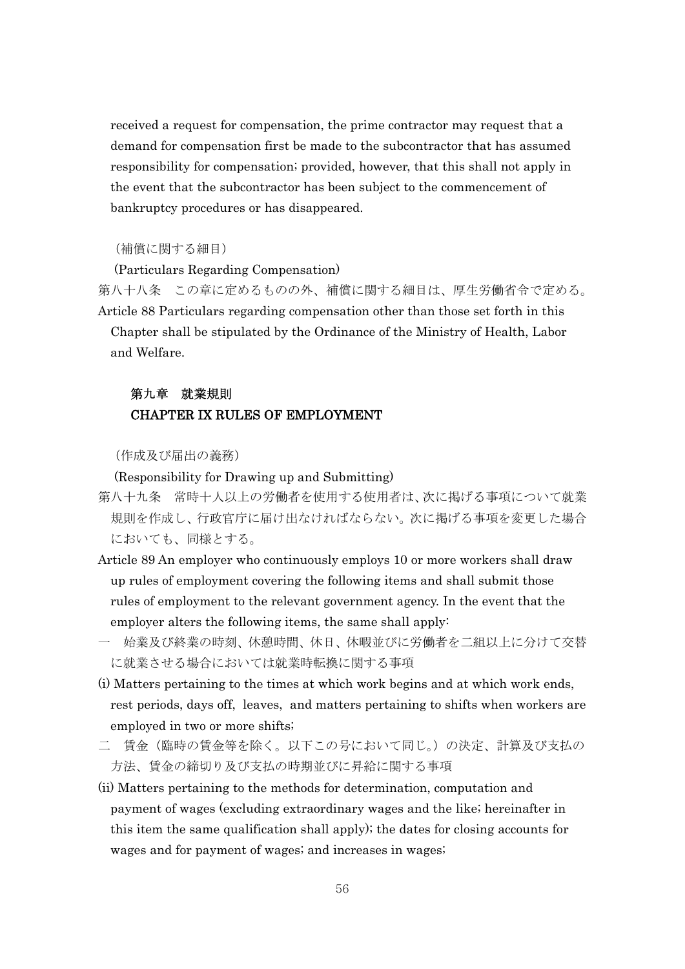received a request for compensation, the prime contractor may request that a demand for compensation first be made to the subcontractor that has assumed responsibility for compensation; provided, however, that this shall not apply in the event that the subcontractor has been subject to the commencement of bankruptcy procedures or has disappeared.

### (補償に関する細目)

(Particulars Regarding Compensation)

第八十八条 この章に定めるものの外、補償に関する細目は、厚生労働省令で定める。 Article 88 Particulars regarding compensation other than those set forth in this

Chapter shall be stipulated by the Ordinance of the Ministry of Health, Labor and Welfare.

### 第九章 就業規則 CHAPTER IX RULES OF EMPLOYMENT

(作成及び届出の義務)

(Responsibility for Drawing up and Submitting)

- 第八十九条 常時十人以上の労働者を使用する使用者は、次に掲げる事項について就業 規則を作成し、行政官庁に届け出なければならない。次に掲げる事項を変更した場合 においても、同様とする。
- Article 89 An employer who continuously employs 10 or more workers shall draw up rules of employment covering the following items and shall submit those rules of employment to the relevant government agency. In the event that the employer alters the following items, the same shall apply:
- 一 始業及び終業の時刻、休憩時間、休日、休暇並びに労働者を二組以上に分けて交替 に就業させる場合においては就業時転換に関する事項
- (i) Matters pertaining to the times at which work begins and at which work ends, rest periods, days off, leaves, and matters pertaining to shifts when workers are employed in two or more shifts;
- 二 賃金(臨時の賃金等を除く。以下この号において同じ。)の決定、計算及び支払の 方法、賃金の締切り及び支払の時期並びに昇給に関する事項
- (ii) Matters pertaining to the methods for determination, computation and payment of wages (excluding extraordinary wages and the like; hereinafter in this item the same qualification shall apply); the dates for closing accounts for wages and for payment of wages; and increases in wages;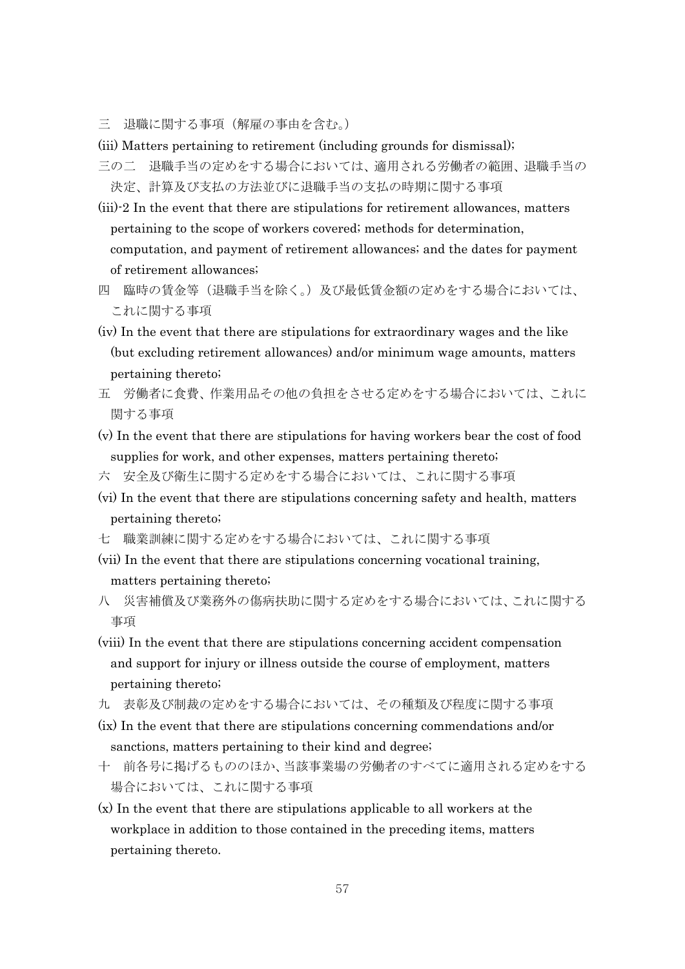三 退職に関する事項(解雇の事由を含む。)

(iii) Matters pertaining to retirement (including grounds for dismissal);

- 三の二 退職手当の定めをする場合においては、適用される労働者の範囲、退職手当の 決定、計算及び支払の方法並びに退職手当の支払の時期に関する事項
- (iii)-2 In the event that there are stipulations for retirement allowances, matters pertaining to the scope of workers covered; methods for determination, computation, and payment of retirement allowances; and the dates for payment of retirement allowances;
- 四 臨時の賃金等(退職手当を除く。)及び最低賃金額の定めをする場合においては、 これに関する事項
- (iv) In the event that there are stipulations for extraordinary wages and the like (but excluding retirement allowances) and/or minimum wage amounts, matters pertaining thereto;
- 五 労働者に食費、作業用品その他の負担をさせる定めをする場合においては、これに 関する事項
- (v) In the event that there are stipulations for having workers bear the cost of food supplies for work, and other expenses, matters pertaining thereto;
- 六 安全及び衛生に関する定めをする場合においては、これに関する事項
- (vi) In the event that there are stipulations concerning safety and health, matters pertaining thereto;
- 七 職業訓練に関する定めをする場合においては、これに関する事項
- (vii) In the event that there are stipulations concerning vocational training, matters pertaining thereto;
- 八 災害補償及び業務外の傷病扶助に関する定めをする場合においては、これに関する 事項
- (viii) In the event that there are stipulations concerning accident compensation and support for injury or illness outside the course of employment, matters pertaining thereto;
- 九 表彰及び制裁の定めをする場合においては、その種類及び程度に関する事項
- (ix) In the event that there are stipulations concerning commendations and/or sanctions, matters pertaining to their kind and degree;
- 十 前各号に掲げるもののほか、当該事業場の労働者のすべてに適用される定めをする 場合においては、これに関する事項
- (x) In the event that there are stipulations applicable to all workers at the workplace in addition to those contained in the preceding items, matters pertaining thereto.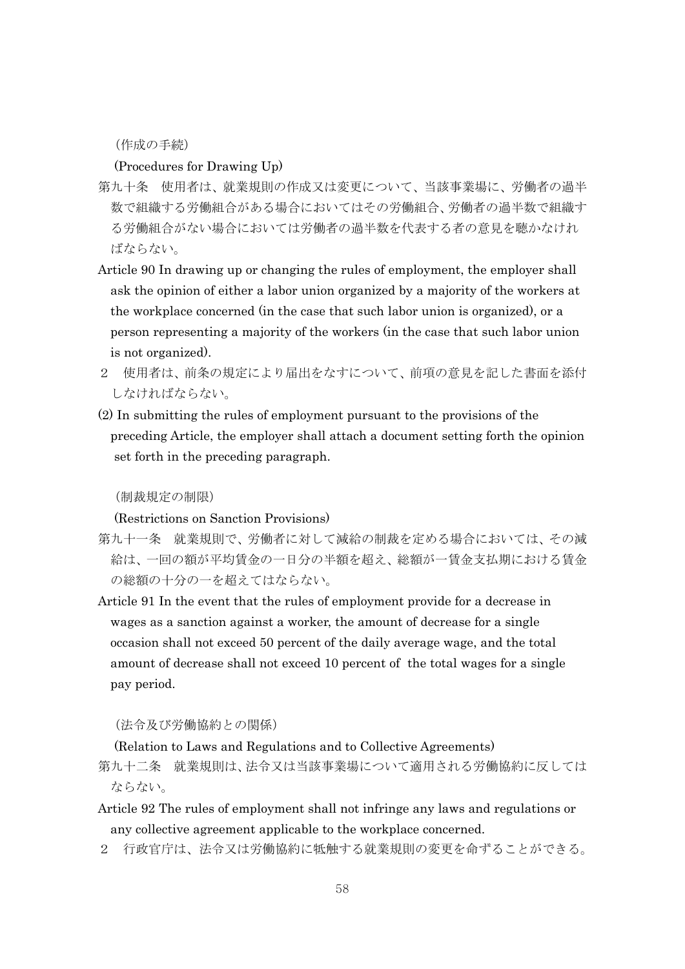(作成の手続)

(Procedures for Drawing Up)

- 第九十条 使用者は、就業規則の作成又は変更について、当該事業場に、労働者の過半 数で組織する労働組合がある場合においてはその労働組合、労働者の過半数で組織す る労働組合がない場合においては労働者の過半数を代表する者の意見を聴かなけれ ばならない。
- Article 90 In drawing up or changing the rules of employment, the employer shall ask the opinion of either a labor union organized by a majority of the workers at the workplace concerned (in the case that such labor union is organized), or a person representing a majority of the workers (in the case that such labor union is not organized).
- 2 使用者は、前条の規定により届出をなすについて、前項の意見を記した書面を添付 しなければならない。
- (2) In submitting the rules of employment pursuant to the provisions of the preceding Article, the employer shall attach a document setting forth the opinion set forth in the preceding paragraph.

(制裁規定の制限)

(Restrictions on Sanction Provisions)

- 第九十一条 就業規則で、労働者に対して減給の制裁を定める場合においては、その減 給は、一回の額が平均賃金の一日分の半額を超え、総額が一賃金支払期における賃金 の総額の十分の一を超えてはならない。
- Article 91 In the event that the rules of employment provide for a decrease in wages as a sanction against a worker, the amount of decrease for a single occasion shall not exceed 50 percent of the daily average wage, and the total amount of decrease shall not exceed 10 percent of the total wages for a single pay period.

(法令及び労働協約との関係)

(Relation to Laws and Regulations and to Collective Agreements)

- 第九十二条 就業規則は、法令又は当該事業場について適用される労働協約に反しては ならない。
- Article 92 The rules of employment shall not infringe any laws and regulations or any collective agreement applicable to the workplace concerned.
- 2 行政官庁は、法令又は労働協約に牴触する就業規則の変更を命ずることができる。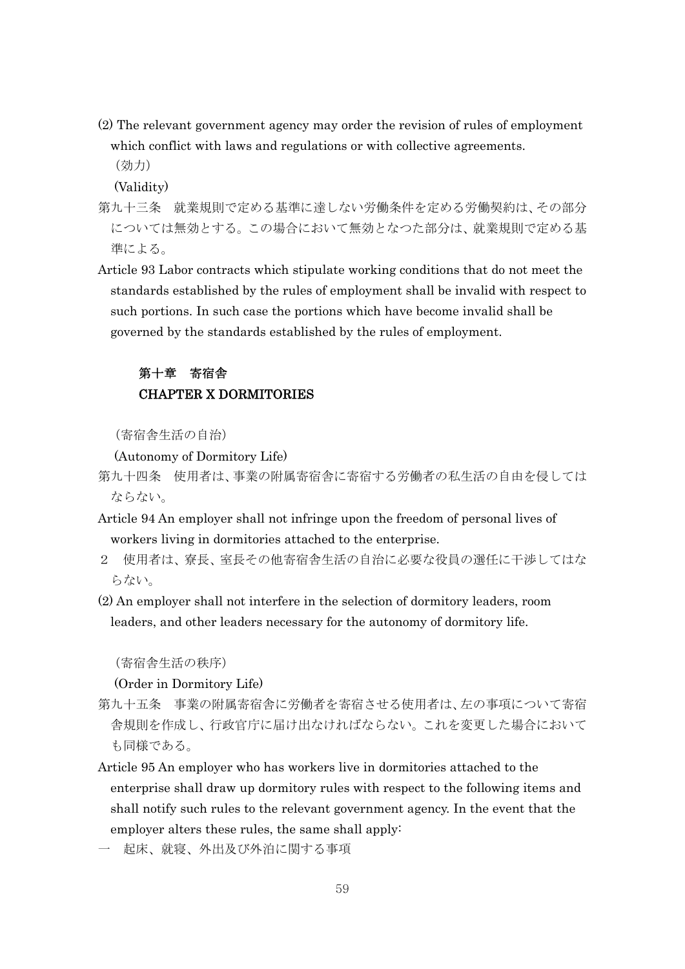- (2) The relevant government agency may order the revision of rules of employment which conflict with laws and regulations or with collective agreements.
	- (効力)

(Validity)

- 第九十三条 就業規則で定める基準に達しない労働条件を定める労働契約は、その部分 については無効とする。この場合において無効となつた部分は、就業規則で定める基 準による。
- Article 93 Labor contracts which stipulate working conditions that do not meet the standards established by the rules of employment shall be invalid with respect to such portions. In such case the portions which have become invalid shall be governed by the standards established by the rules of employment.

## 第十章 寄宿舎 CHAPTER X DORMITORIES

(寄宿舎生活の自治)

(Autonomy of Dormitory Life)

- 第九十四条 使用者は、事業の附属寄宿舎に寄宿する労働者の私生活の自由を侵しては ならない。
- Article 94 An employer shall not infringe upon the freedom of personal lives of workers living in dormitories attached to the enterprise.
- 2 使用者は、寮長、室長その他寄宿舎生活の自治に必要な役員の選任に干渉してはな らない。
- (2) An employer shall not interfere in the selection of dormitory leaders, room leaders, and other leaders necessary for the autonomy of dormitory life.

(寄宿舎生活の秩序)

(Order in Dormitory Life)

- 第九十五条 事業の附属寄宿舎に労働者を寄宿させる使用者は、左の事項について寄宿 舎規則を作成し、行政官庁に届け出なければならない。これを変更した場合において も同様である。
- Article 95 An employer who has workers live in dormitories attached to the enterprise shall draw up dormitory rules with respect to the following items and shall notify such rules to the relevant government agency. In the event that the employer alters these rules, the same shall apply:
- 一 起床、就寝、外出及び外泊に関する事項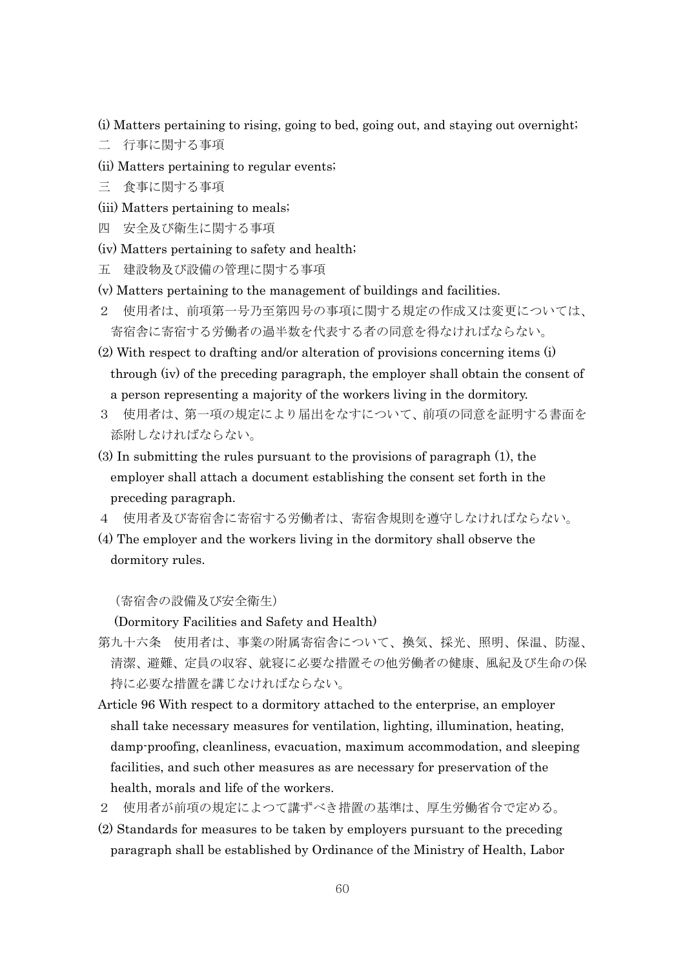- (i) Matters pertaining to rising, going to bed, going out, and staying out overnight;
- 二 行事に関する事項
- (ii) Matters pertaining to regular events;
- 三 食事に関する事項
- (iii) Matters pertaining to meals;
- 四 安全及び衛生に関する事項
- (iv) Matters pertaining to safety and health;
- 五 建設物及び設備の管理に関する事項
- (v) Matters pertaining to the management of buildings and facilities.
- 2 使用者は、前項第一号乃至第四号の事項に関する規定の作成又は変更については、 寄宿舎に寄宿する労働者の過半数を代表する者の同意を得なければならない。
- (2) With respect to drafting and/or alteration of provisions concerning items (i) through (iv) of the preceding paragraph, the employer shall obtain the consent of a person representing a majority of the workers living in the dormitory.
- 3 使用者は、第一項の規定により届出をなすについて、前項の同意を証明する書面を 添附しなければならない。
- (3) In submitting the rules pursuant to the provisions of paragraph (1), the employer shall attach a document establishing the consent set forth in the preceding paragraph.
- 4 使用者及び寄宿舎に寄宿する労働者は、寄宿舎規則を遵守しなければならない。
- (4) The employer and the workers living in the dormitory shall observe the dormitory rules.

(寄宿舎の設備及び安全衛生)

(Dormitory Facilities and Safety and Health)

- 第九十六条 使用者は、事業の附属寄宿舎について、換気、採光、照明、保温、防湿、 清潔、避難、定員の収容、就寝に必要な措置その他労働者の健康、風紀及び生命の保 持に必要な措置を講じなければならない。
- Article 96 With respect to a dormitory attached to the enterprise, an employer shall take necessary measures for ventilation, lighting, illumination, heating, damp-proofing, cleanliness, evacuation, maximum accommodation, and sleeping facilities, and such other measures as are necessary for preservation of the health, morals and life of the workers.
- 2 使用者が前項の規定によつて講ずべき措置の基準は、厚生労働省令で定める。
- (2) Standards for measures to be taken by employers pursuant to the preceding paragraph shall be established by Ordinance of the Ministry of Health, Labor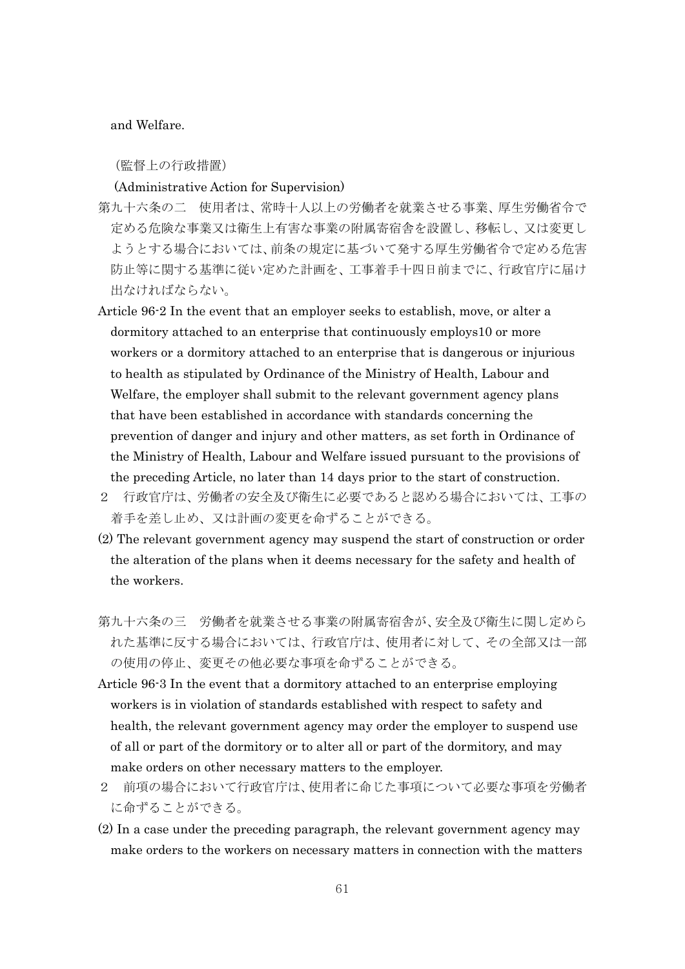and Welfare.

(監督上の行政措置)

#### (Administrative Action for Supervision)

- 第九十六条の二 使用者は、常時十人以上の労働者を就業させる事業、厚生労働省令で 定める危険な事業又は衛生上有害な事業の附属寄宿舎を設置し、移転し、又は変更し ようとする場合においては、前条の規定に基づいて発する厚生労働省令で定める危害 防止等に関する基準に従い定めた計画を、工事着手十四日前までに、行政官庁に届け 出なければならない。
- Article 96-2 In the event that an employer seeks to establish, move, or alter a dormitory attached to an enterprise that continuously employs10 or more workers or a dormitory attached to an enterprise that is dangerous or injurious to health as stipulated by Ordinance of the Ministry of Health, Labour and Welfare, the employer shall submit to the relevant government agency plans that have been established in accordance with standards concerning the prevention of danger and injury and other matters, as set forth in Ordinance of the Ministry of Health, Labour and Welfare issued pursuant to the provisions of the preceding Article, no later than 14 days prior to the start of construction.
- 2 行政官庁は、労働者の安全及び衛生に必要であると認める場合においては、工事の 着手を差し止め、又は計画の変更を命ずることができる。
- (2) The relevant government agency may suspend the start of construction or order the alteration of the plans when it deems necessary for the safety and health of the workers.
- 第九十六条の三 労働者を就業させる事業の附属寄宿舎が、安全及び衛生に関し定めら れた基準に反する場合においては、行政官庁は、使用者に対して、その全部又は一部 の使用の停止、変更その他必要な事項を命ずることができる。
- Article 96-3 In the event that a dormitory attached to an enterprise employing workers is in violation of standards established with respect to safety and health, the relevant government agency may order the employer to suspend use of all or part of the dormitory or to alter all or part of the dormitory, and may make orders on other necessary matters to the employer.
- 2 前項の場合において行政官庁は、使用者に命じた事項について必要な事項を労働者 に命ずることができる。
- (2) In a case under the preceding paragraph, the relevant government agency may make orders to the workers on necessary matters in connection with the matters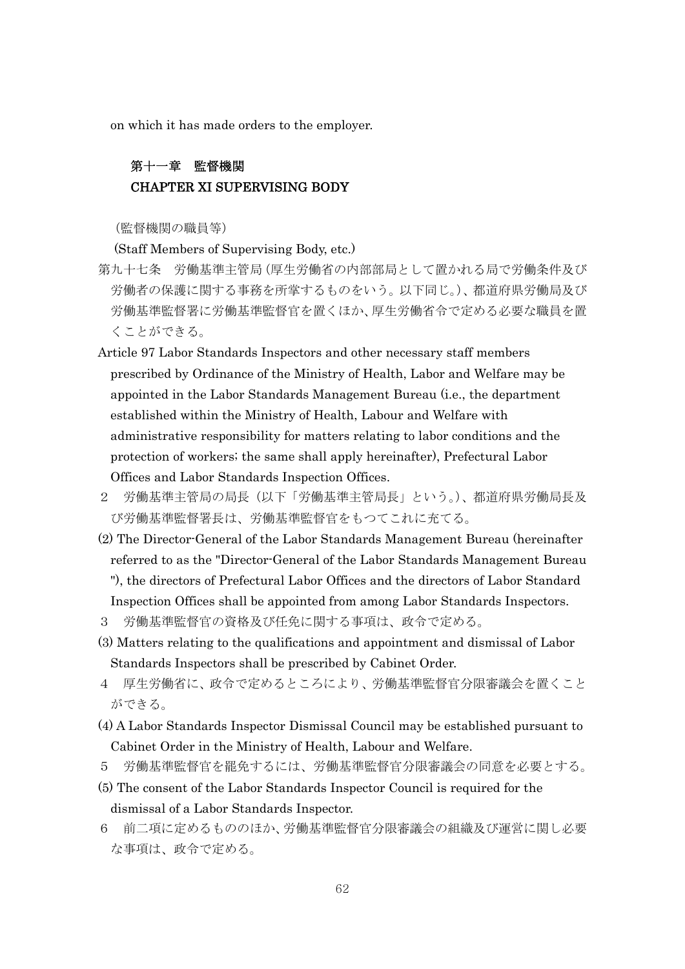on which it has made orders to the employer.

### 第十一章 監督機関 CHAPTER XI SUPERVISING BODY

(監督機関の職員等)

(Staff Members of Supervising Body, etc.)

- 第九十七条 労働基準主管局(厚生労働省の内部部局として置かれる局で労働条件及び 労働者の保護に関する事務を所掌するものをいう。以下同じ。)、都道府県労働局及び 労働基準監督署に労働基準監督官を置くほか、厚生労働省令で定める必要な職員を置 くことができる。
- Article 97 Labor Standards Inspectors and other necessary staff members prescribed by Ordinance of the Ministry of Health, Labor and Welfare may be appointed in the Labor Standards Management Bureau (i.e., the department established within the Ministry of Health, Labour and Welfare with administrative responsibility for matters relating to labor conditions and the protection of workers; the same shall apply hereinafter), Prefectural Labor Offices and Labor Standards Inspection Offices.
- 2 労働基準主管局の局長(以下「労働基準主管局長」という。)、都道府県労働局長及 び労働基準監督署長は、労働基準監督官をもつてこれに充てる。
- (2) The Director-General of the Labor Standards Management Bureau (hereinafter referred to as the "Director-General of the Labor Standards Management Bureau "), the directors of Prefectural Labor Offices and the directors of Labor Standard Inspection Offices shall be appointed from among Labor Standards Inspectors.
- 3 労働基準監督官の資格及び任免に関する事項は、政令で定める。
- (3) Matters relating to the qualifications and appointment and dismissal of Labor Standards Inspectors shall be prescribed by Cabinet Order.
- 4 厚生労働省に、政令で定めるところにより、労働基準監督官分限審議会を置くこと ができる。
- (4) A Labor Standards Inspector Dismissal Council may be established pursuant to Cabinet Order in the Ministry of Health, Labour and Welfare.
- 5 労働基準監督官を罷免するには、労働基準監督官分限審議会の同意を必要とする。
- (5) The consent of the Labor Standards Inspector Council is required for the dismissal of a Labor Standards Inspector.
- 6 前二項に定めるもののほか、労働基準監督官分限審議会の組織及び運営に関し必要 な事項は、政令で定める。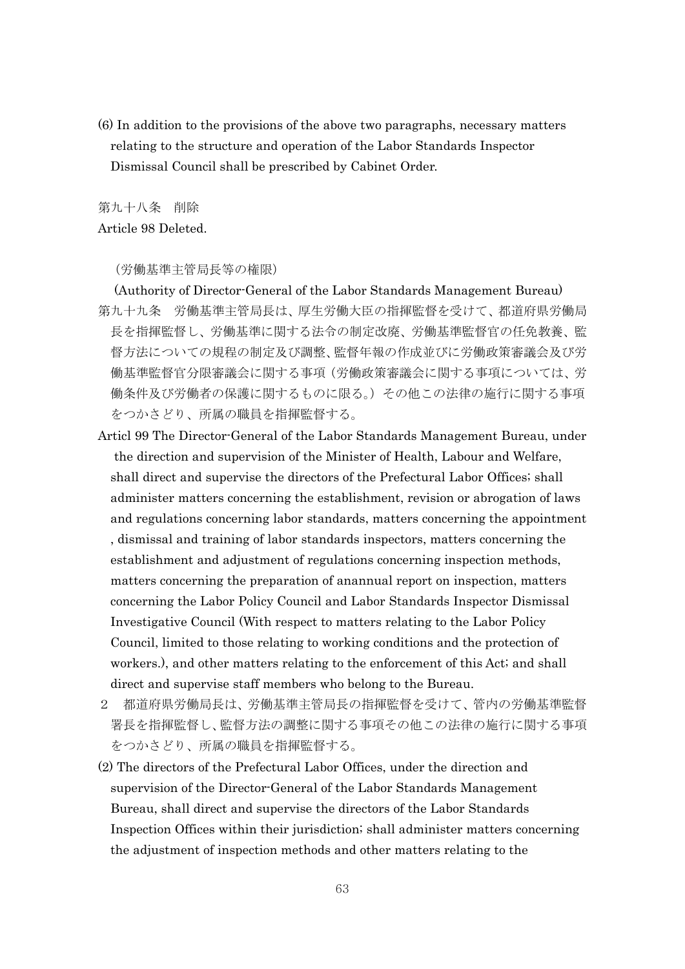(6) In addition to the provisions of the above two paragraphs, necessary matters relating to the structure and operation of the Labor Standards Inspector Dismissal Council shall be prescribed by Cabinet Order.

第九十八条 削除 Article 98 Deleted.

(労働基準主管局長等の権限)

- (Authority of Director-General of the Labor Standards Management Bureau) 第九十九条 労働基準主管局長は、厚生労働大臣の指揮監督を受けて、都道府県労働局 長を指揮監督し、労働基準に関する法令の制定改廃、労働基準監督官の任免教養、監 督方法についての規程の制定及び調整、監督年報の作成並びに労働政策審議会及び労 働基準監督官分限審議会に関する事項(労働政策審議会に関する事項については、労 働条件及び労働者の保護に関するものに限る。)その他この法律の施行に関する事項 をつかさどり、所属の職員を指揮監督する。
- Articl 99 The Director-General of the Labor Standards Management Bureau, under the direction and supervision of the Minister of Health, Labour and Welfare, shall direct and supervise the directors of the Prefectural Labor Offices; shall administer matters concerning the establishment, revision or abrogation of laws and regulations concerning labor standards, matters concerning the appointment , dismissal and training of labor standards inspectors, matters concerning the establishment and adjustment of regulations concerning inspection methods, matters concerning the preparation of anannual report on inspection, matters concerning the Labor Policy Council and Labor Standards Inspector Dismissal Investigative Council (With respect to matters relating to the Labor Policy Council, limited to those relating to working conditions and the protection of workers.), and other matters relating to the enforcement of this Act; and shall direct and supervise staff members who belong to the Bureau.
- 2 都道府県労働局長は、労働基準主管局長の指揮監督を受けて、管内の労働基準監督 署長を指揮監督し、監督方法の調整に関する事項その他この法律の施行に関する事項 をつかさどり、所属の職員を指揮監督する。
- (2) The directors of the Prefectural Labor Offices, under the direction and supervision of the Director-General of the Labor Standards Management Bureau, shall direct and supervise the directors of the Labor Standards Inspection Offices within their jurisdiction; shall administer matters concerning the adjustment of inspection methods and other matters relating to the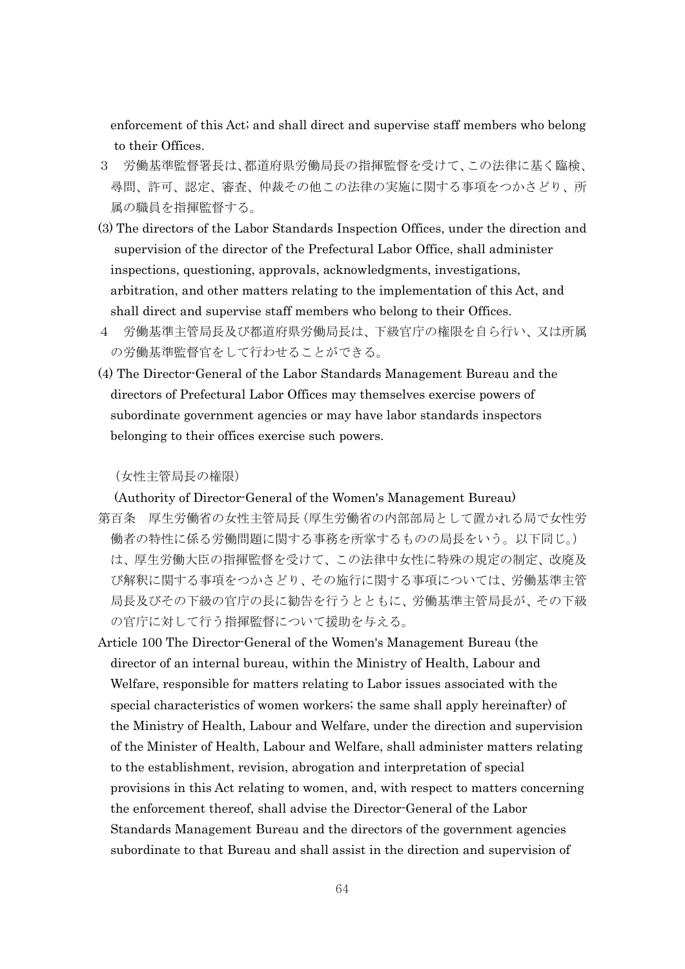enforcement of this Act; and shall direct and supervise staff members who belong to their Offices.

- 3 労働基準監督署長は、都道府県労働局長の指揮監督を受けて、この法律に基く臨検、 尋問、許可、認定、審査、仲裁その他この法律の実施に関する事項をつかさどり、所 属の職員を指揮監督する。
- (3) The directors of the Labor Standards Inspection Offices, under the direction and supervision of the director of the Prefectural Labor Office, shall administer inspections, questioning, approvals, acknowledgments, investigations, arbitration, and other matters relating to the implementation of this Act, and shall direct and supervise staff members who belong to their Offices.
- 4 労働基準主管局長及び都道府県労働局長は、下級官庁の権限を自ら行い、又は所属 の労働基準監督官をして行わせることができる。
- (4) The Director-General of the Labor Standards Management Bureau and the directors of Prefectural Labor Offices may themselves exercise powers of subordinate government agencies or may have labor standards inspectors belonging to their offices exercise such powers.

#### (女性主管局長の権限)

(Authority of Director-General of the Women's Management Bureau)

- 第百条 厚生労働省の女性主管局長(厚生労働省の内部部局として置かれる局で女性労 働者の特性に係る労働問題に関する事務を所掌するものの局長をいう。以下同じ。) は、厚生労働大臣の指揮監督を受けて、この法律中女性に特殊の規定の制定、改廃及 び解釈に関する事項をつかさどり、その施行に関する事項については、労働基準主管 局長及びその下級の官庁の長に勧告を行うとともに、労働基準主管局長が、その下級 の官庁に対して行う指揮監督について援助を与える。
- Article 100 The Director-General of the Women's Management Bureau (the director of an internal bureau, within the Ministry of Health, Labour and Welfare, responsible for matters relating to Labor issues associated with the special characteristics of women workers; the same shall apply hereinafter) of the Ministry of Health, Labour and Welfare, under the direction and supervision of the Minister of Health, Labour and Welfare, shall administer matters relating to the establishment, revision, abrogation and interpretation of special provisions in this Act relating to women, and, with respect to matters concerning the enforcement thereof, shall advise the Director-General of the Labor Standards Management Bureau and the directors of the government agencies subordinate to that Bureau and shall assist in the direction and supervision of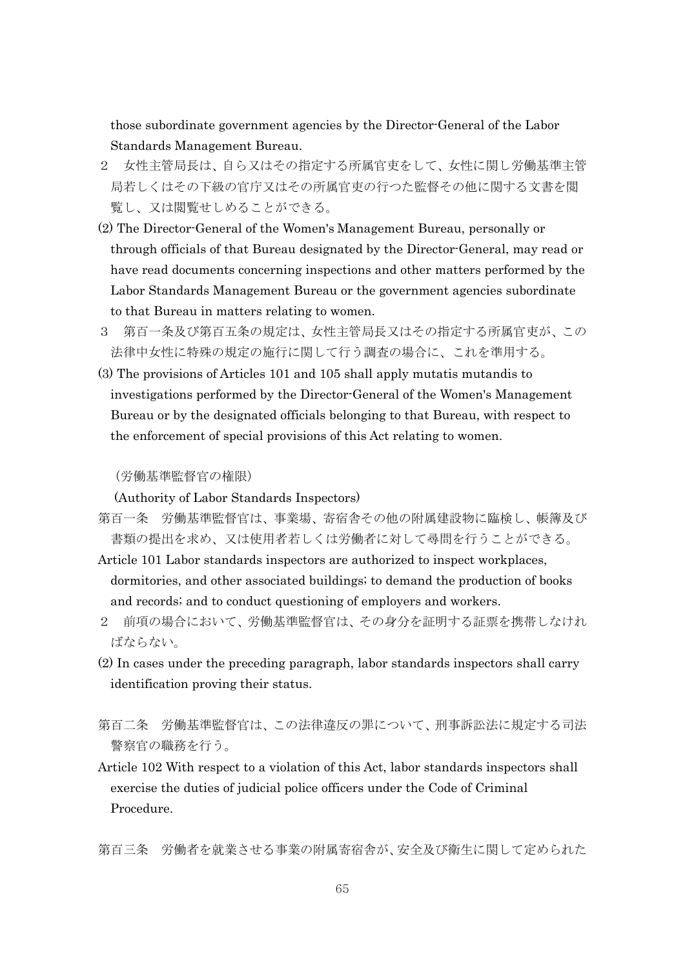those subordinate government agencies by the Director-General of the Labor Standards Management Bureau.

- 2 女性主管局長は、自ら又はその指定する所属官吏をして、女性に関し労働基準主管 局若しくはその下級の官庁又はその所属官吏の行つた監督その他に関する文書を閲 覧し、又は閲覧せしめることができる。
- (2) The Director-General of the Women's Management Bureau, personally or through officials of that Bureau designated by the Director-General, may read or have read documents concerning inspections and other matters performed by the Labor Standards Management Bureau or the government agencies subordinate to that Bureau in matters relating to women.
- 3 第百一条及び第百五条の規定は、女性主管局長又はその指定する所属官吏が、この 法律中女性に特殊の規定の施行に関して行う調査の場合に、これを準用する。
- (3) The provisions of Articles 101 and 105 shall apply mutatis mutandis to investigations performed by the Director-General of the Women's Management Bureau or by the designated officials belonging to that Bureau, with respect to the enforcement of special provisions of this Act relating to women.

(労働基準監督官の権限)

(Authority of Labor Standards Inspectors)

- 第百一条 労働基準監督官は、事業場、寄宿舎その他の附属建設物に臨検し、帳簿及び 書類の提出を求め、又は使用者若しくは労働者に対して尋問を行うことができる。
- Article 101 Labor standards inspectors are authorized to inspect workplaces, dormitories, and other associated buildings; to demand the production of books and records; and to conduct questioning of employers and workers.
- 2 前項の場合において、労働基準監督官は、その身分を証明する証票を携帯しなけれ ばならない。
- (2) In cases under the preceding paragraph, labor standards inspectors shall carry identification proving their status.
- 第百二条 労働基準監督官は、この法律違反の罪について、刑事訴訟法に規定する司法 警察官の職務を行う。
- Article 102 With respect to a violation of this Act, labor standards inspectors shall exercise the duties of judicial police officers under the Code of Criminal Procedure.

第百三条 労働者を就業させる事業の附属寄宿舎が、安全及び衛生に関して定められた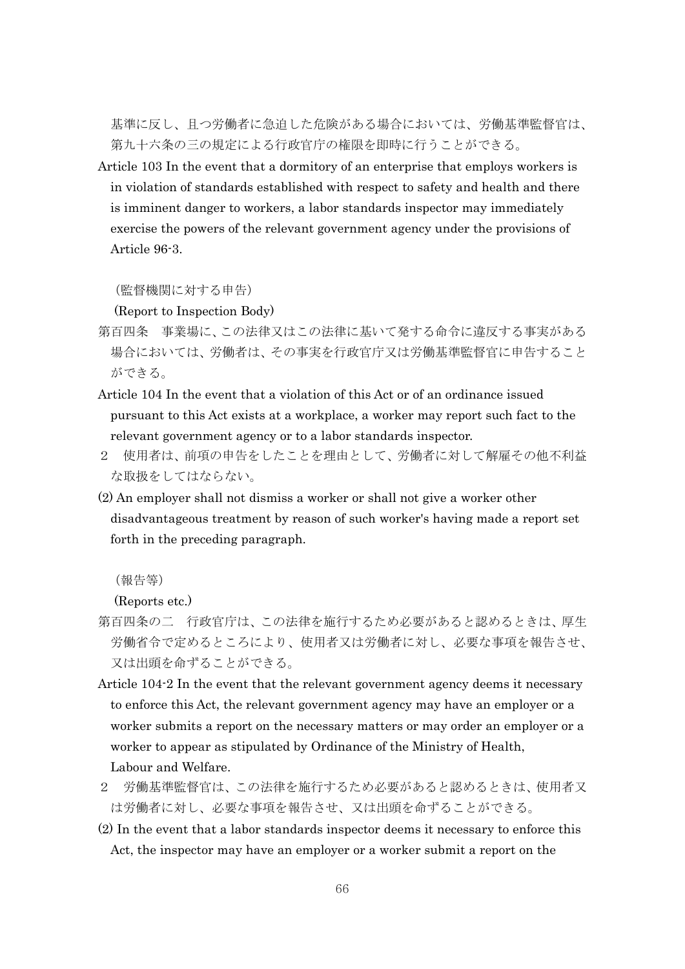基準に反し、且つ労働者に急迫した危険がある場合においては、労働基準監督官は、 第九十六条の三の規定による行政官庁の権限を即時に行うことができる。

Article 103 In the event that a dormitory of an enterprise that employs workers is in violation of standards established with respect to safety and health and there is imminent danger to workers, a labor standards inspector may immediately exercise the powers of the relevant government agency under the provisions of Article 96-3.

(監督機関に対する申告)

(Report to Inspection Body)

- 第百四条 事業場に、この法律又はこの法律に基いて発する命令に違反する事実がある 場合においては、労働者は、その事実を行政官庁又は労働基準監督官に申告すること ができる。
- Article 104 In the event that a violation of this Act or of an ordinance issued pursuant to this Act exists at a workplace, a worker may report such fact to the relevant government agency or to a labor standards inspector.
- 2 使用者は、前項の申告をしたことを理由として、労働者に対して解雇その他不利益 な取扱をしてはならない。
- (2) An employer shall not dismiss a worker or shall not give a worker other disadvantageous treatment by reason of such worker's having made a report set forth in the preceding paragraph.

(報告等)

(Reports etc.)

- 第百四条の二 行政官庁は、この法律を施行するため必要があると認めるときは、厚生 労働省令で定めるところにより、使用者又は労働者に対し、必要な事項を報告させ、 又は出頭を命ずることができる。
- Article 104-2 In the event that the relevant government agency deems it necessary to enforce this Act, the relevant government agency may have an employer or a worker submits a report on the necessary matters or may order an employer or a worker to appear as stipulated by Ordinance of the Ministry of Health, Labour and Welfare.
- 2 労働基準監督官は、この法律を施行するため必要があると認めるときは、使用者又 は労働者に対し、必要な事項を報告させ、又は出頭を命ずることができる。
- (2) In the event that a labor standards inspector deems it necessary to enforce this Act, the inspector may have an employer or a worker submit a report on the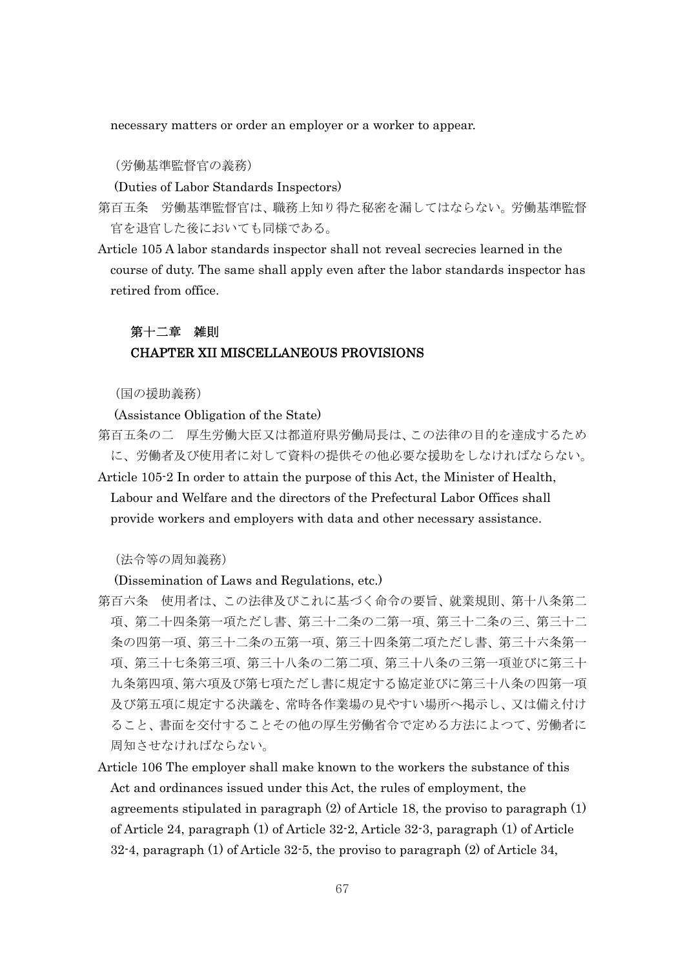necessary matters or order an employer or a worker to appear.

(労働基準監督官の義務)

(Duties of Labor Standards Inspectors)

第百五条 労働基準監督官は、職務上知り得た秘密を漏してはならない。労働基準監督 官を退官した後においても同様である。

Article 105 A labor standards inspector shall not reveal secrecies learned in the course of duty. The same shall apply even after the labor standards inspector has retired from office.

# 第十二章 雑則 CHAPTER XII MISCELLANEOUS PROVISIONS

(国の援助義務)

(Assistance Obligation of the State)

第百五条の二 厚生労働大臣又は都道府県労働局長は、この法律の目的を達成するため に、労働者及び使用者に対して資料の提供その他必要な援助をしなければならない。

Article 105-2 In order to attain the purpose of this Act, the Minister of Health, Labour and Welfare and the directors of the Prefectural Labor Offices shall provide workers and employers with data and other necessary assistance.

(法令等の周知義務)

(Dissemination of Laws and Regulations, etc.)

- 第百六条 使用者は、この法律及びこれに基づく命令の要旨、就業規則、第十八条第二 項、第二十四条第一項ただし書、第三十二条の二第一項、第三十二条の三、第三十二 条の四第一項、第三十二条の五第一項、第三十四条第二項ただし書、第三十六条第一 項、第三十七条第三項、第三十八条の二第二項、第三十八条の三第一項並びに第三十 九条第四項、第六項及び第七項ただし書に規定する協定並びに第三十八条の四第一項 及び第五項に規定する決議を、常時各作業場の見やすい場所へ掲示し、又は備え付け ること、書面を交付することその他の厚生労働省令で定める方法によつて、労働者に 周知させなければならない。
- Article 106 The employer shall make known to the workers the substance of this Act and ordinances issued under this Act, the rules of employment, the agreements stipulated in paragraph (2) of Article 18, the proviso to paragraph (1) of Article 24, paragraph (1) of Article 32-2, Article 32-3, paragraph (1) of Article 32-4, paragraph (1) of Article 32-5, the proviso to paragraph (2) of Article 34,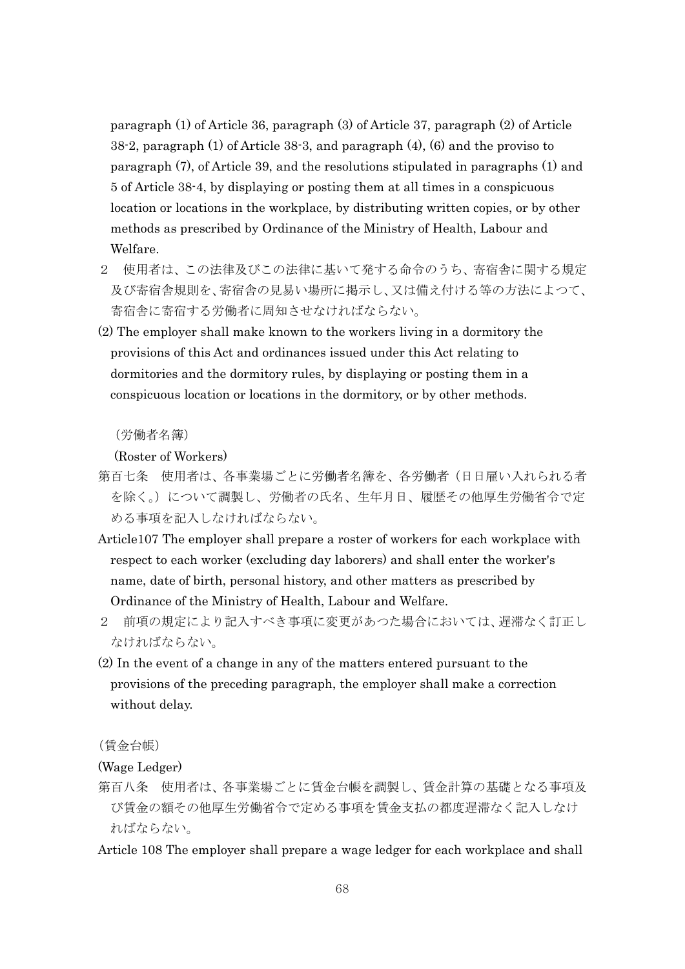paragraph (1) of Article 36, paragraph (3) of Article 37, paragraph (2) of Article 38-2, paragraph (1) of Article 38-3, and paragraph (4), (6) and the proviso to paragraph (7), of Article 39, and the resolutions stipulated in paragraphs (1) and 5 of Article 38-4, by displaying or posting them at all times in a conspicuous location or locations in the workplace, by distributing written copies, or by other methods as prescribed by Ordinance of the Ministry of Health, Labour and Welfare.

- 2 使用者は、この法律及びこの法律に基いて発する命令のうち、寄宿舎に関する規定 及び寄宿舎規則を、寄宿舎の見易い場所に掲示し、又は備え付ける等の方法によつて、 寄宿舎に寄宿する労働者に周知させなければならない。
- (2) The employer shall make known to the workers living in a dormitory the provisions of this Act and ordinances issued under this Act relating to dormitories and the dormitory rules, by displaying or posting them in a conspicuous location or locations in the dormitory, or by other methods.

(労働者名簿)

(Roster of Workers)

- 第百七条 使用者は、各事業場ごとに労働者名簿を、各労働者(日日雇い入れられる者 を除く。)について調製し、労働者の氏名、生年月日、履歴その他厚生労働省令で定 める事項を記入しなければならない。
- Article107 The employer shall prepare a roster of workers for each workplace with respect to each worker (excluding day laborers) and shall enter the worker's name, date of birth, personal history, and other matters as prescribed by Ordinance of the Ministry of Health, Labour and Welfare.
- 2 前項の規定により記入すべき事項に変更があつた場合においては、遅滞なく訂正し なければならない。
- (2) In the event of a change in any of the matters entered pursuant to the provisions of the preceding paragraph, the employer shall make a correction without delay.

(賃金台帳)

(Wage Ledger)

第百八条 使用者は、各事業場ごとに賃金台帳を調製し、賃金計算の基礎となる事項及 び賃金の額その他厚生労働省令で定める事項を賃金支払の都度遅滞なく記入しなけ ればならない。

Article 108 The employer shall prepare a wage ledger for each workplace and shall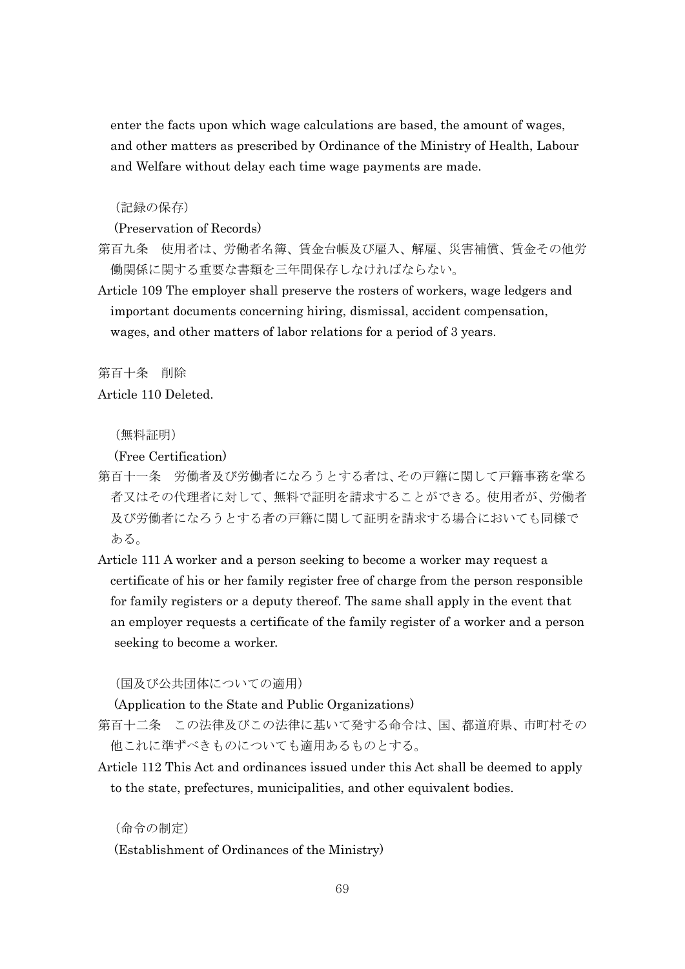enter the facts upon which wage calculations are based, the amount of wages, and other matters as prescribed by Ordinance of the Ministry of Health, Labour and Welfare without delay each time wage payments are made.

(記録の保存)

(Preservation of Records)

- 第百九条 使用者は、労働者名簿、賃金台帳及び雇入、解雇、災害補償、賃金その他労 働関係に関する重要な書類を三年間保存しなければならない。
- Article 109 The employer shall preserve the rosters of workers, wage ledgers and important documents concerning hiring, dismissal, accident compensation, wages, and other matters of labor relations for a period of 3 years.

第百十条 削除

Article 110 Deleted.

(無料証明)

(Free Certification)

- 第百十一条 労働者及び労働者になろうとする者は、その戸籍に関して戸籍事務を掌る 者又はその代理者に対して、無料で証明を請求することができる。使用者が、労働者 及び労働者になろうとする者の戸籍に関して証明を請求する場合においても同様で ある。
- Article 111 A worker and a person seeking to become a worker may request a certificate of his or her family register free of charge from the person responsible for family registers or a deputy thereof. The same shall apply in the event that an employer requests a certificate of the family register of a worker and a person seeking to become a worker.

(国及び公共団体についての適用)

(Application to the State and Public Organizations)

- 第百十二条 この法律及びこの法律に基いて発する命令は、国、都道府県、市町村その 他これに準ずべきものについても適用あるものとする。
- Article 112 This Act and ordinances issued under this Act shall be deemed to apply to the state, prefectures, municipalities, and other equivalent bodies.

(命令の制定) (Establishment of Ordinances of the Ministry)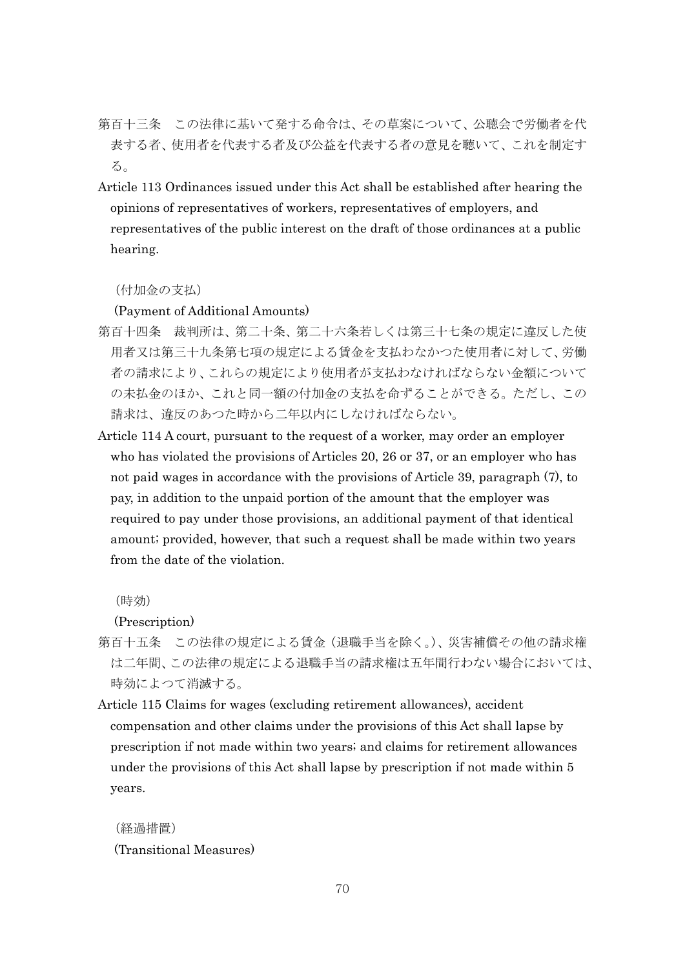- 第百十三条 この法律に基いて発する命令は、その草案について、公聴会で労働者を代 表する者、使用者を代表する者及び公益を代表する者の意見を聴いて、これを制定す る。
- Article 113 Ordinances issued under this Act shall be established after hearing the opinions of representatives of workers, representatives of employers, and representatives of the public interest on the draft of those ordinances at a public hearing.

#### (付加金の支払)

(Payment of Additional Amounts)

- 第百十四条 裁判所は、第二十条、第二十六条若しくは第三十七条の規定に違反した使 用者又は第三十九条第七項の規定による賃金を支払わなかつた使用者に対して、労働 者の請求により、これらの規定により使用者が支払わなければならない金額について の未払金のほか、これと同一額の付加金の支払を命ずることができる。ただし、この 請求は、違反のあつた時から二年以内にしなければならない。
- Article 114 A court, pursuant to the request of a worker, may order an employer who has violated the provisions of Articles 20, 26 or 37, or an employer who has not paid wages in accordance with the provisions of Article 39, paragraph (7), to pay, in addition to the unpaid portion of the amount that the employer was required to pay under those provisions, an additional payment of that identical amount; provided, however, that such a request shall be made within two years from the date of the violation.

(時効)

(Prescription)

- 第百十五条 この法律の規定による賃金(退職手当を除く。)、災害補償その他の請求権 は二年間、この法律の規定による退職手当の請求権は五年間行わない場合においては、 時効によつて消滅する。
- Article 115 Claims for wages (excluding retirement allowances), accident compensation and other claims under the provisions of this Act shall lapse by prescription if not made within two years; and claims for retirement allowances under the provisions of this Act shall lapse by prescription if not made within 5 years.

(経過措置) (Transitional Measures)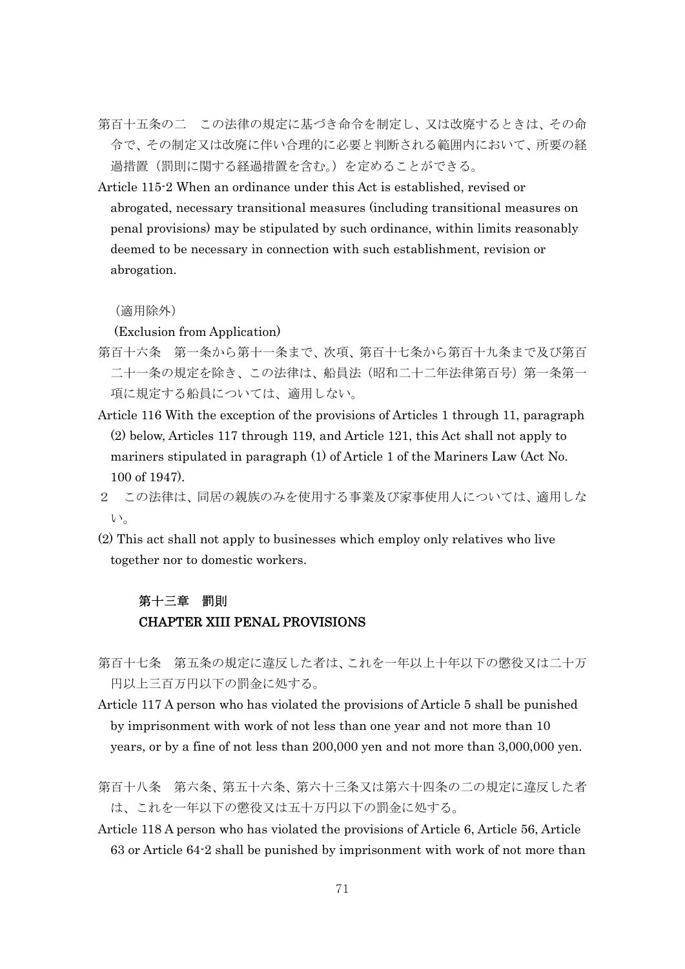- 第百十五条の二 この法律の規定に基づき命令を制定し、又は改廃するときは、その命 令で、その制定又は改廃に伴い合理的に必要と判断される範囲内において、所要の経 過措置(罰則に関する経過措置を含む。)を定めることができる。
- Article 115-2 When an ordinance under this Act is established, revised or abrogated, necessary transitional measures (including transitional measures on penal provisions) may be stipulated by such ordinance, within limits reasonably deemed to be necessary in connection with such establishment, revision or abrogation.

(適用除外)

(Exclusion from Application)

- 第百十六条 第一条から第十一条まで、次項、第百十七条から第百十九条まで及び第百 二十一条の規定を除き、この法律は、船員法(昭和二十二年法律第百号)第一条第一 項に規定する船員については、適用しない。
- Article 116 With the exception of the provisions of Articles 1 through 11, paragraph (2) below, Articles 117 through 119, and Article 121, this Act shall not apply to mariners stipulated in paragraph (1) of Article 1 of the Mariners Law (Act No. 100 of 1947).
- 2 この法律は、同居の親族のみを使用する事業及び家事使用人については、適用しな い。
- (2) This act shall not apply to businesses which employ only relatives who live together nor to domestic workers.

### 第十三章 罰則 CHAPTER XIII PENAL PROVISIONS

- 第百十七条 第五条の規定に違反した者は、これを一年以上十年以下の懲役又は二十万 円以上三百万円以下の罰金に処する。
- Article 117 A person who has violated the provisions of Article 5 shall be punished by imprisonment with work of not less than one year and not more than 10 years, or by a fine of not less than 200,000 yen and not more than 3,000,000 yen.
- 第百十八条 第六条、第五十六条、第六十三条又は第六十四条の二の規定に違反した者 は、これを一年以下の懲役又は五十万円以下の罰金に処する。
- Article 118 A person who has violated the provisions of Article 6, Article 56, Article 63 or Article 64-2 shall be punished by imprisonment with work of not more than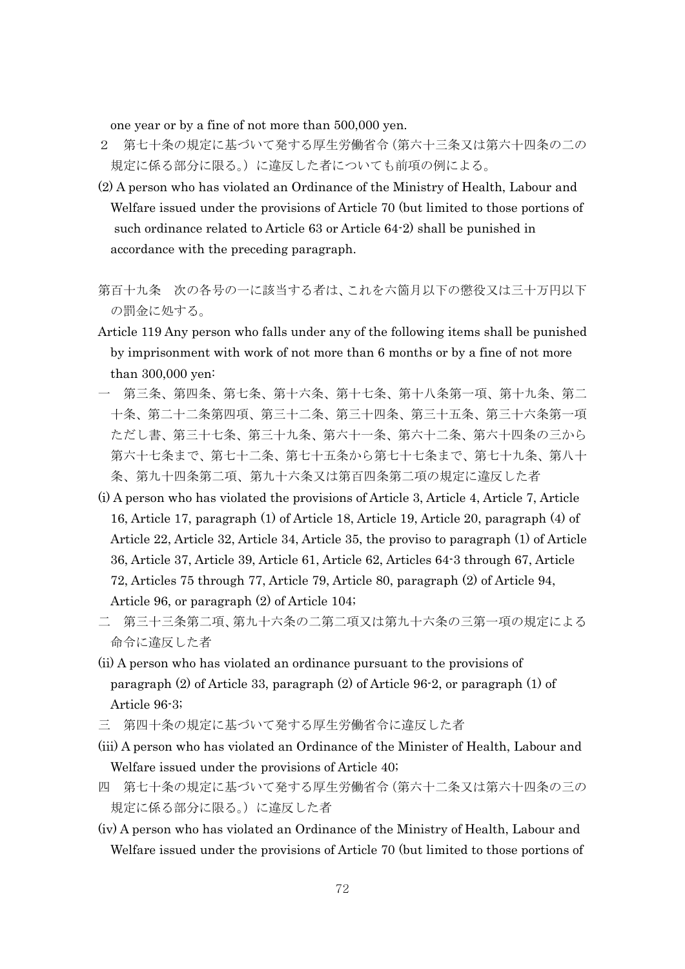one year or by a fine of not more than 500,000 yen.

- 2 第七十条の規定に基づいて発する厚生労働省令(第六十三条又は第六十四条の二の 規定に係る部分に限る。)に違反した者についても前項の例による。
- (2) A person who has violated an Ordinance of the Ministry of Health, Labour and Welfare issued under the provisions of Article 70 (but limited to those portions of such ordinance related to Article 63 or Article 64-2) shall be punished in accordance with the preceding paragraph.
- 第百十九条 次の各号の一に該当する者は、これを六箇月以下の懲役又は三十万円以下 の罰金に処する。
- Article 119 Any person who falls under any of the following items shall be punished by imprisonment with work of not more than 6 months or by a fine of not more than 300,000 yen:
- 第三条、第四条、第七条、第十七条、第十八条第一項、第十九条、第二 十条、第二十二条第四項、第三十二条、第三十四条、第三十五条、第三十六条第一項 ただし書、第三十七条、第三十九条、第六十一条、第六十二条、第六十四条の三から 第六十七条まで、第七十二条、第七十五条から第七十七条まで、第七十九条、第八十 条、第九十四条第二項、第九十六条又は第百四条第二項の規定に違反した者
- (i) A person who has violated the provisions of Article 3, Article 4, Article 7, Article 16, Article 17, paragraph (1) of Article 18, Article 19, Article 20, paragraph (4) of Article 22, Article 32, Article 34, Article 35, the proviso to paragraph (1) of Article 36, Article 37, Article 39, Article 61, Article 62, Articles 64-3 through 67, Article 72, Articles 75 through 77, Article 79, Article 80, paragraph (2) of Article 94, Article 96, or paragraph (2) of Article 104;
- 二 第三十三条第二項、第九十六条の二第二項又は第九十六条の三第一項の規定による 命令に違反した者
- (ii) A person who has violated an ordinance pursuant to the provisions of paragraph (2) of Article 33, paragraph (2) of Article 96-2, or paragraph (1) of Article 96-3;
- 三 第四十条の規定に基づいて発する厚生労働省令に違反した者
- (iii) A person who has violated an Ordinance of the Minister of Health, Labour and Welfare issued under the provisions of Article 40;
- 四 第七十条の規定に基づいて発する厚生労働省令(第六十二条又は第六十四条の三の 規定に係る部分に限る。)に違反した者
- (iv) A person who has violated an Ordinance of the Ministry of Health, Labour and Welfare issued under the provisions of Article 70 (but limited to those portions of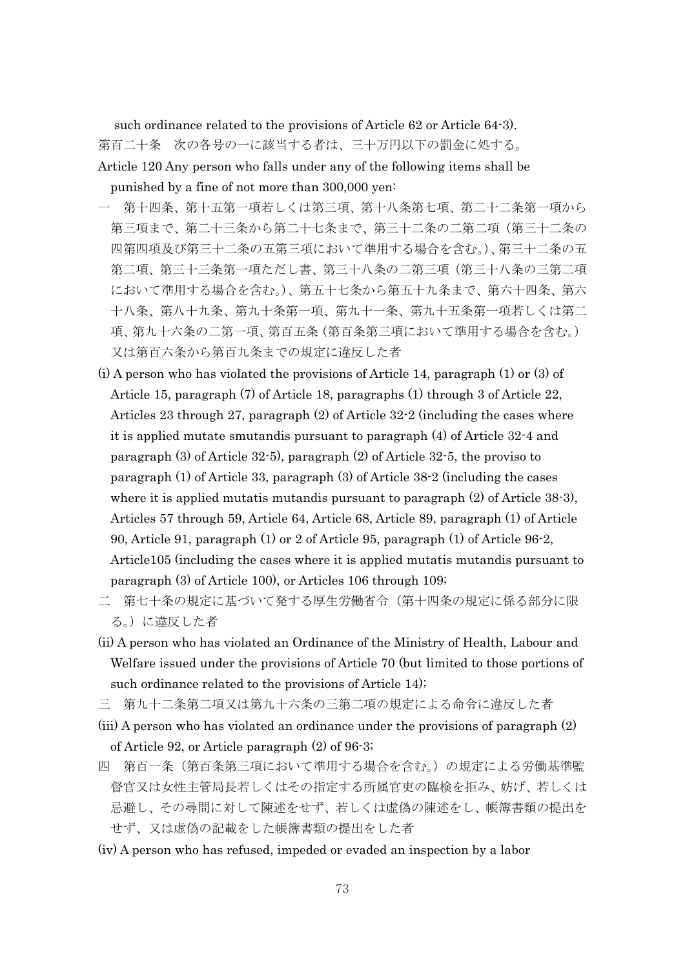such ordinance related to the provisions of Article 62 or Article 64-3).

第百二十条 次の各号の一に該当する者は、三十万円以下の罰金に処する。

Article 120 Any person who falls under any of the following items shall be punished by a fine of not more than 300,000 yen:

- 第十四条、第十五第一項若しくは第三項、第十八条第七項、第二十二条第一項から 第三項まで、第二十三条から第二十七条まで、第三十二条の二第二項(第三十二条の 四第四項及び第三十二条の五第三項において準用する場合を含む。)、第三十二条の五 第二項、第三十三条第一項ただし書、第三十八条の二第三項(第三十八条の三第二項 において準用する場合を含む。)、第五十七条から第五十九条まで、第六十四条、第六 十八条、第八十九条、第九十条第一項、第九十一条、第九十五条第一項若しくは第二 項、第九十六条の二第一項、第百五条(第百条第三項において準用する場合を含む。) 又は第百六条から第百九条までの規定に違反した者
- (i) A person who has violated the provisions of Article 14, paragraph (1) or (3) of Article 15, paragraph (7) of Article 18, paragraphs (1) through 3 of Article 22, Articles 23 through 27, paragraph (2) of Article 32-2 (including the cases where it is applied mutate smutandis pursuant to paragraph (4) of Article 32-4 and paragraph (3) of Article 32-5), paragraph (2) of Article 32-5, the proviso to paragraph (1) of Article 33, paragraph (3) of Article 38-2 (including the cases where it is applied mutatis mutandis pursuant to paragraph (2) of Article 38-3), Articles 57 through 59, Article 64, Article 68, Article 89, paragraph (1) of Article 90, Article 91, paragraph (1) or 2 of Article 95, paragraph (1) of Article 96-2, Article105 (including the cases where it is applied mutatis mutandis pursuant to paragraph (3) of Article 100), or Articles 106 through 109;
- 二 第七十条の規定に基づいて発する厚生労働省令(第十四条の規定に係る部分に限 る。)に違反した者
- (ii) A person who has violated an Ordinance of the Ministry of Health, Labour and Welfare issued under the provisions of Article 70 (but limited to those portions of such ordinance related to the provisions of Article 14);
- 三 第九十二条第二項又は第九十六条の三第二項の規定による命令に違反した者
- (iii) A person who has violated an ordinance under the provisions of paragraph (2) of Article 92, or Article paragraph (2) of 96-3;
- 四 第百一条(第百条第三項において準用する場合を含む。)の規定による労働基準監 督官又は女性主管局長若しくはその指定する所属官吏の臨検を拒み、妨げ、若しくは 忌避し、その尋問に対して陳述をせず、若しくは虚偽の陳述をし、帳簿書類の提出を せず、又は虚偽の記載をした帳簿書類の提出をした者
- (iv) A person who has refused, impeded or evaded an inspection by a labor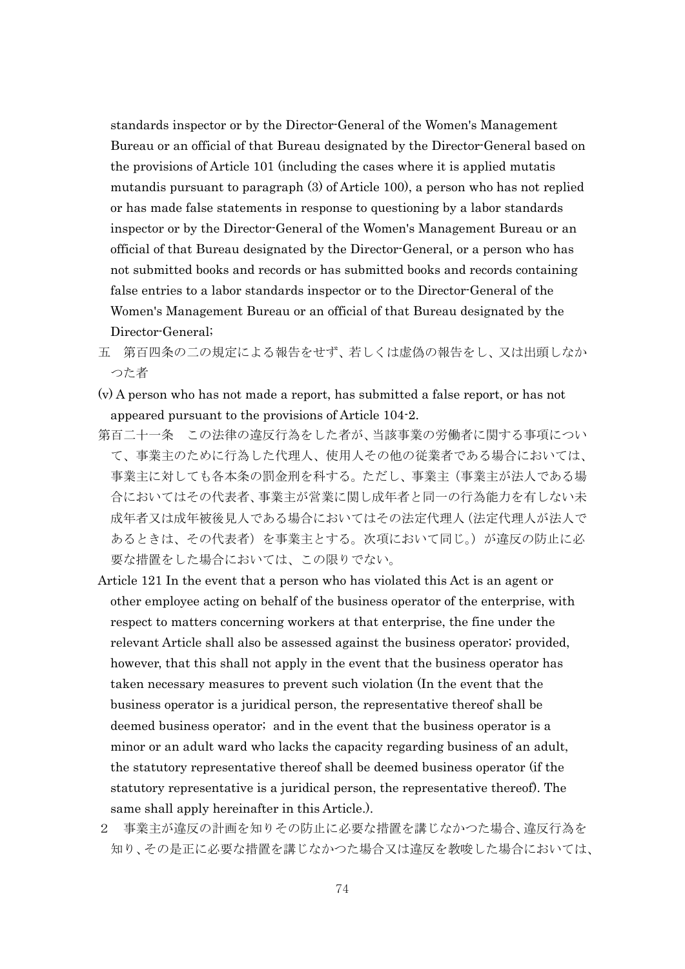standards inspector or by the Director-General of the Women's Management Bureau or an official of that Bureau designated by the Director-General based on the provisions of Article 101 (including the cases where it is applied mutatis mutandis pursuant to paragraph (3) of Article 100), a person who has not replied or has made false statements in response to questioning by a labor standards inspector or by the Director-General of the Women's Management Bureau or an official of that Bureau designated by the Director-General, or a person who has not submitted books and records or has submitted books and records containing false entries to a labor standards inspector or to the Director-General of the Women's Management Bureau or an official of that Bureau designated by the Director-General;

- 五 第百四条の二の規定による報告をせず、若しくは虚偽の報告をし、又は出頭しなか つた者
- (v) A person who has not made a report, has submitted a false report, or has not appeared pursuant to the provisions of Article 104-2.
- 第百二十一条 この法律の違反行為をした者が、当該事業の労働者に関する事項につい て、事業主のために行為した代理人、使用人その他の従業者である場合においては、 事業主に対しても各本条の罰金刑を科する。ただし、事業主(事業主が法人である場 合においてはその代表者、事業主が営業に関し成年者と同一の行為能力を有しない未 成年者又は成年被後見人である場合においてはその法定代理人(法定代理人が法人で あるときは、その代表者)を事業主とする。次項において同じ。)が違反の防止に必 要な措置をした場合においては、この限りでない。
- Article 121 In the event that a person who has violated this Act is an agent or other employee acting on behalf of the business operator of the enterprise, with respect to matters concerning workers at that enterprise, the fine under the relevant Article shall also be assessed against the business operator; provided, however, that this shall not apply in the event that the business operator has taken necessary measures to prevent such violation (In the event that the business operator is a juridical person, the representative thereof shall be deemed business operator; and in the event that the business operator is a minor or an adult ward who lacks the capacity regarding business of an adult, the statutory representative thereof shall be deemed business operator (if the statutory representative is a juridical person, the representative thereof). The same shall apply hereinafter in this Article.).
- 2 事業主が違反の計画を知りその防止に必要な措置を講じなかつた場合、違反行為を 知り、その是正に必要な措置を講じなかつた場合又は違反を教唆した場合においては、